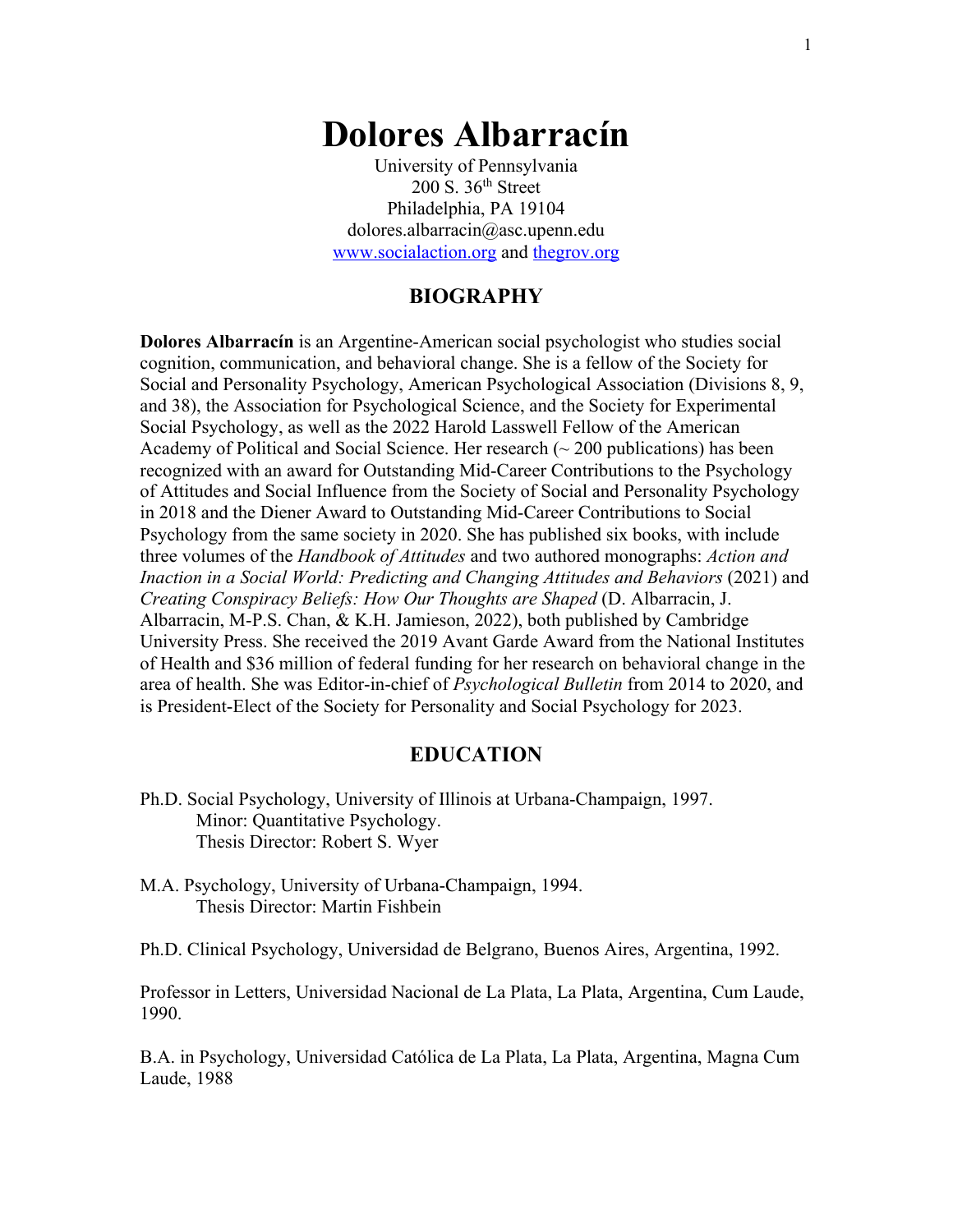# **Dolores Albarracín**

University of Pennsylvania 200 S. 36th Street Philadelphia, PA 19104 dolores.albarracin@asc.upenn.edu www.socialaction.org and thegrov.org

#### **BIOGRAPHY**

**Dolores Albarracín** is an Argentine-American social psychologist who studies social cognition, communication, and behavioral change. She is a fellow of the Society for Social and Personality Psychology, American Psychological Association (Divisions 8, 9, and 38), the Association for Psychological Science, and the Society for Experimental Social Psychology, as well as the 2022 Harold Lasswell Fellow of the American Academy of Political and Social Science. Her research  $\sim$  200 publications) has been recognized with an award for Outstanding Mid-Career Contributions to the Psychology of Attitudes and Social Influence from the Society of Social and Personality Psychology in 2018 and the Diener Award to Outstanding Mid-Career Contributions to Social Psychology from the same society in 2020. She has published six books, with include three volumes of the *Handbook of Attitudes* and two authored monographs: *Action and Inaction in a Social World: Predicting and Changing Attitudes and Behaviors* (2021) and *Creating Conspiracy Beliefs: How Our Thoughts are Shaped* (D. Albarracin, J. Albarracin, M-P.S. Chan, & K.H. Jamieson, 2022), both published by Cambridge University Press. She received the 2019 Avant Garde Award from the National Institutes of Health and \$36 million of federal funding for her research on behavioral change in the area of health. She was Editor-in-chief of *Psychological Bulletin* from 2014 to 2020, and is President-Elect of the Society for Personality and Social Psychology for 2023.

#### **EDUCATION**

- Ph.D. Social Psychology, University of Illinois at Urbana-Champaign, 1997. Minor: Quantitative Psychology. Thesis Director: Robert S. Wyer
- M.A. Psychology, University of Urbana-Champaign, 1994. Thesis Director: Martin Fishbein

Ph.D. Clinical Psychology, Universidad de Belgrano, Buenos Aires, Argentina, 1992.

Professor in Letters, Universidad Nacional de La Plata, La Plata, Argentina, Cum Laude, 1990.

B.A. in Psychology, Universidad Católica de La Plata, La Plata, Argentina, Magna Cum Laude, 1988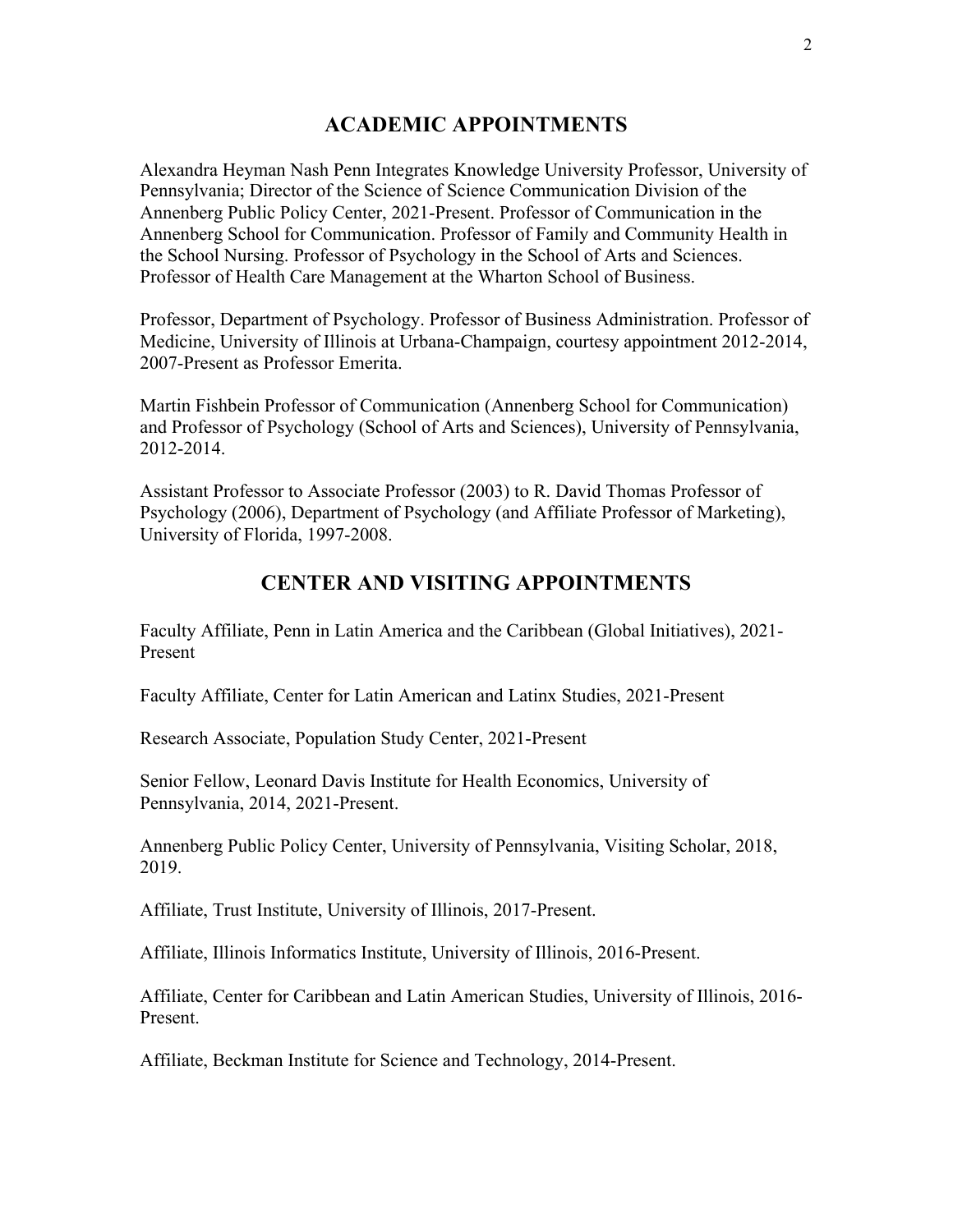#### **ACADEMIC APPOINTMENTS**

Alexandra Heyman Nash Penn Integrates Knowledge University Professor, University of Pennsylvania; Director of the Science of Science Communication Division of the Annenberg Public Policy Center, 2021-Present. Professor of Communication in the Annenberg School for Communication. Professor of Family and Community Health in the School Nursing. Professor of Psychology in the School of Arts and Sciences. Professor of Health Care Management at the Wharton School of Business.

Professor, Department of Psychology. Professor of Business Administration. Professor of Medicine, University of Illinois at Urbana-Champaign, courtesy appointment 2012-2014, 2007-Present as Professor Emerita.

Martin Fishbein Professor of Communication (Annenberg School for Communication) and Professor of Psychology (School of Arts and Sciences), University of Pennsylvania, 2012-2014.

Assistant Professor to Associate Professor (2003) to R. David Thomas Professor of Psychology (2006), Department of Psychology (and Affiliate Professor of Marketing), University of Florida, 1997-2008.

#### **CENTER AND VISITING APPOINTMENTS**

Faculty Affiliate, Penn in Latin America and the Caribbean (Global Initiatives), 2021- Present

Faculty Affiliate, Center for Latin American and Latinx Studies, 2021-Present

Research Associate, Population Study Center, 2021-Present

Senior Fellow, Leonard Davis Institute for Health Economics, University of Pennsylvania, 2014, 2021-Present.

Annenberg Public Policy Center, University of Pennsylvania, Visiting Scholar, 2018, 2019.

Affiliate, Trust Institute, University of Illinois, 2017-Present.

Affiliate, Illinois Informatics Institute, University of Illinois, 2016-Present.

Affiliate, Center for Caribbean and Latin American Studies, University of Illinois, 2016- Present.

Affiliate, Beckman Institute for Science and Technology, 2014-Present.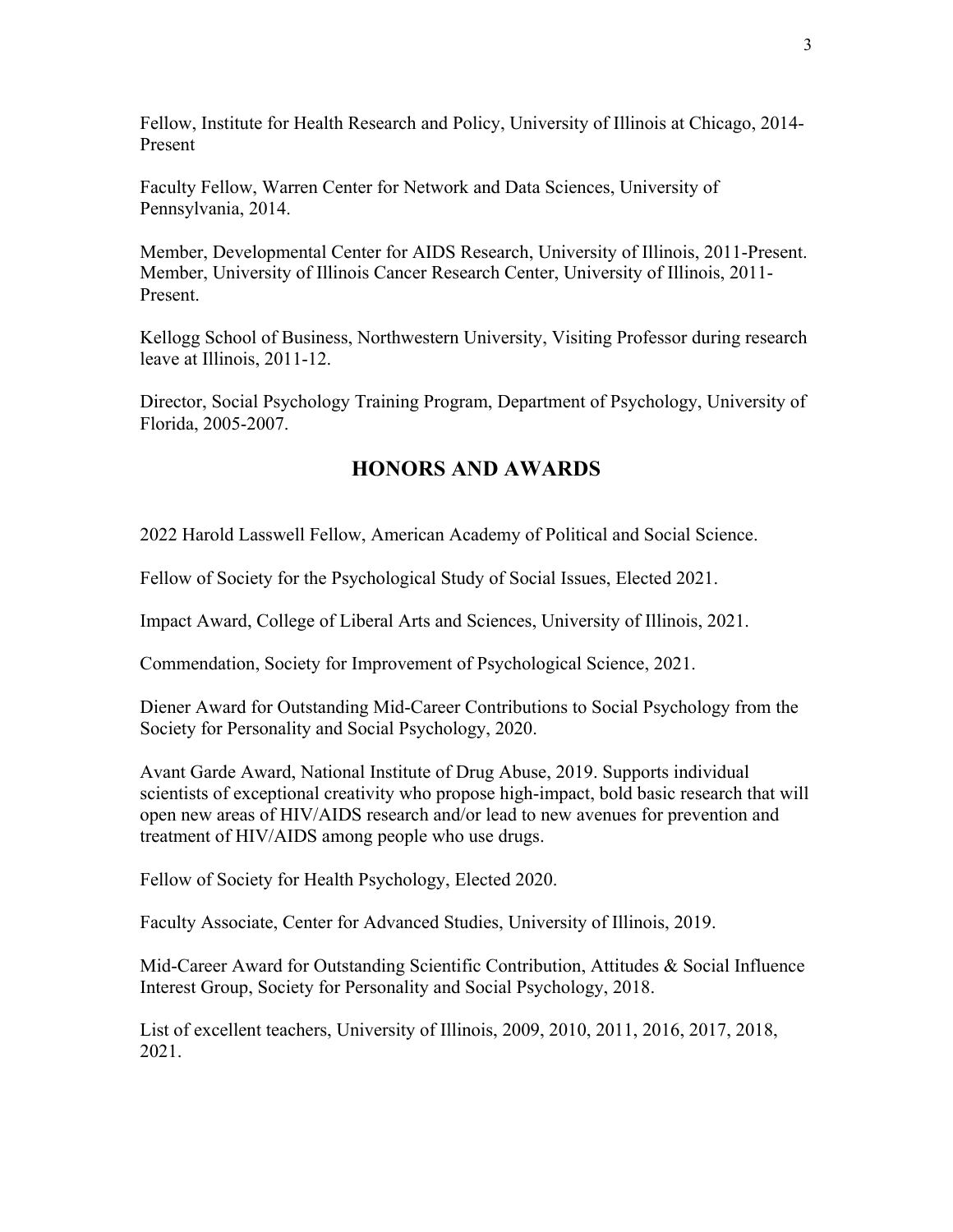Fellow, Institute for Health Research and Policy, University of Illinois at Chicago, 2014- Present

Faculty Fellow, Warren Center for Network and Data Sciences, University of Pennsylvania, 2014.

Member, Developmental Center for AIDS Research, University of Illinois, 2011-Present. Member, University of Illinois Cancer Research Center, University of Illinois, 2011- Present.

Kellogg School of Business, Northwestern University, Visiting Professor during research leave at Illinois, 2011-12.

Director, Social Psychology Training Program, Department of Psychology, University of Florida, 2005-2007.

### **HONORS AND AWARDS**

2022 Harold Lasswell Fellow, American Academy of Political and Social Science.

Fellow of Society for the Psychological Study of Social Issues, Elected 2021.

Impact Award, College of Liberal Arts and Sciences, University of Illinois, 2021.

Commendation, Society for Improvement of Psychological Science, 2021.

Diener Award for Outstanding Mid-Career Contributions to Social Psychology from the Society for Personality and Social Psychology, 2020.

Avant Garde Award, National Institute of Drug Abuse, 2019. Supports individual scientists of exceptional creativity who propose high-impact, bold basic research that will open new areas of HIV/AIDS research and/or lead to new avenues for prevention and treatment of HIV/AIDS among people who use drugs.

Fellow of Society for Health Psychology, Elected 2020.

Faculty Associate, Center for Advanced Studies, University of Illinois, 2019.

Mid-Career Award for Outstanding Scientific Contribution, Attitudes & Social Influence Interest Group, Society for Personality and Social Psychology, 2018.

List of excellent teachers, University of Illinois, 2009, 2010, 2011, 2016, 2017, 2018, 2021.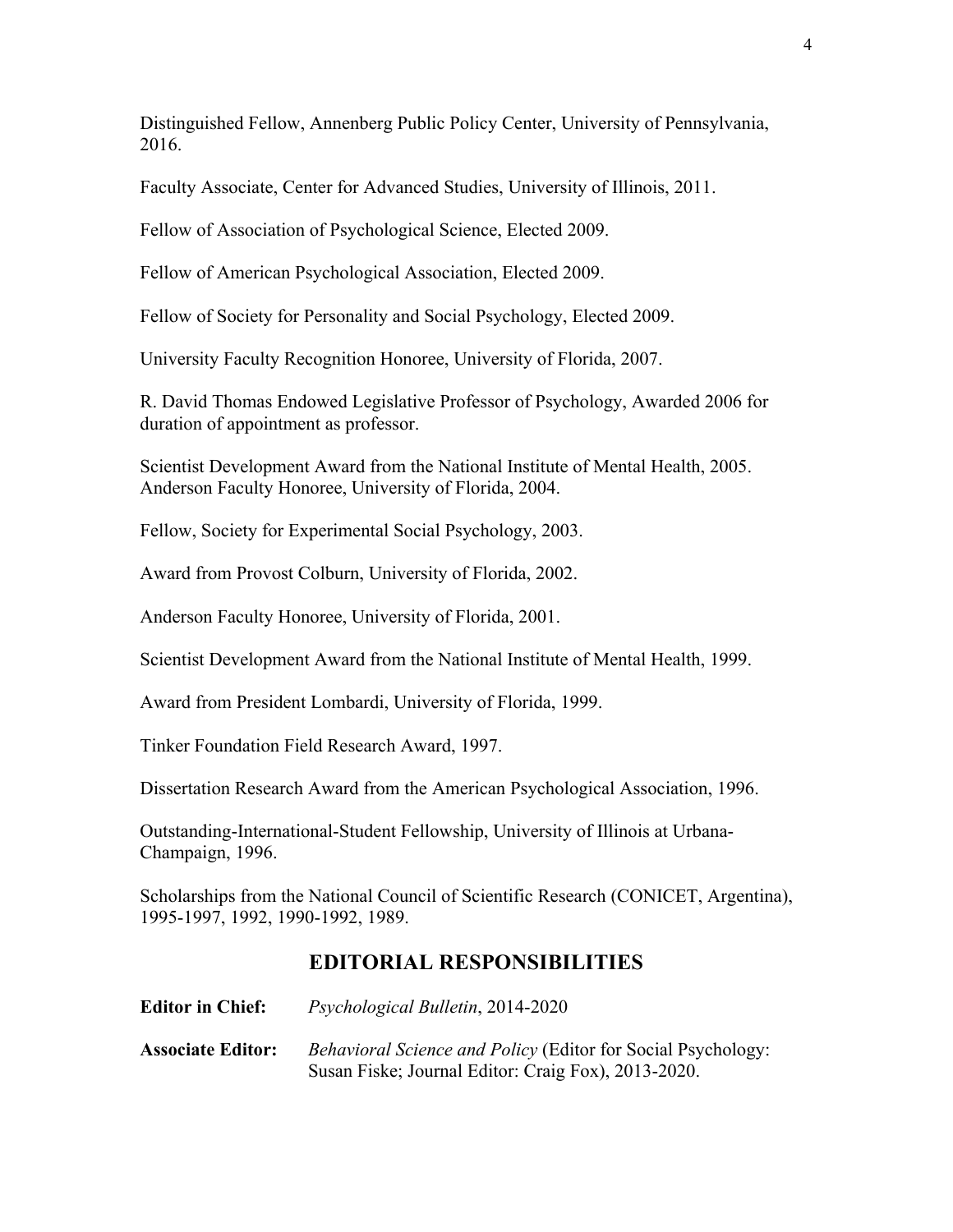Distinguished Fellow, Annenberg Public Policy Center, University of Pennsylvania, 2016.

Faculty Associate, Center for Advanced Studies, University of Illinois, 2011.

Fellow of Association of Psychological Science, Elected 2009.

Fellow of American Psychological Association, Elected 2009.

Fellow of Society for Personality and Social Psychology, Elected 2009.

University Faculty Recognition Honoree, University of Florida, 2007.

R. David Thomas Endowed Legislative Professor of Psychology, Awarded 2006 for duration of appointment as professor.

Scientist Development Award from the National Institute of Mental Health, 2005. Anderson Faculty Honoree, University of Florida, 2004.

Fellow, Society for Experimental Social Psychology, 2003.

Award from Provost Colburn, University of Florida, 2002.

Anderson Faculty Honoree, University of Florida, 2001.

Scientist Development Award from the National Institute of Mental Health, 1999.

Award from President Lombardi, University of Florida, 1999.

Tinker Foundation Field Research Award, 1997.

Dissertation Research Award from the American Psychological Association, 1996.

Outstanding-International-Student Fellowship, University of Illinois at Urbana-Champaign, 1996.

Scholarships from the National Council of Scientific Research (CONICET, Argentina), 1995-1997, 1992, 1990-1992, 1989.

#### **EDITORIAL RESPONSIBILITIES**

**Editor in Chief:** *Psychological Bulletin*, 2014-2020

**Associate Editor:** *Behavioral Science and Policy* (Editor for Social Psychology: Susan Fiske; Journal Editor: Craig Fox), 2013-2020.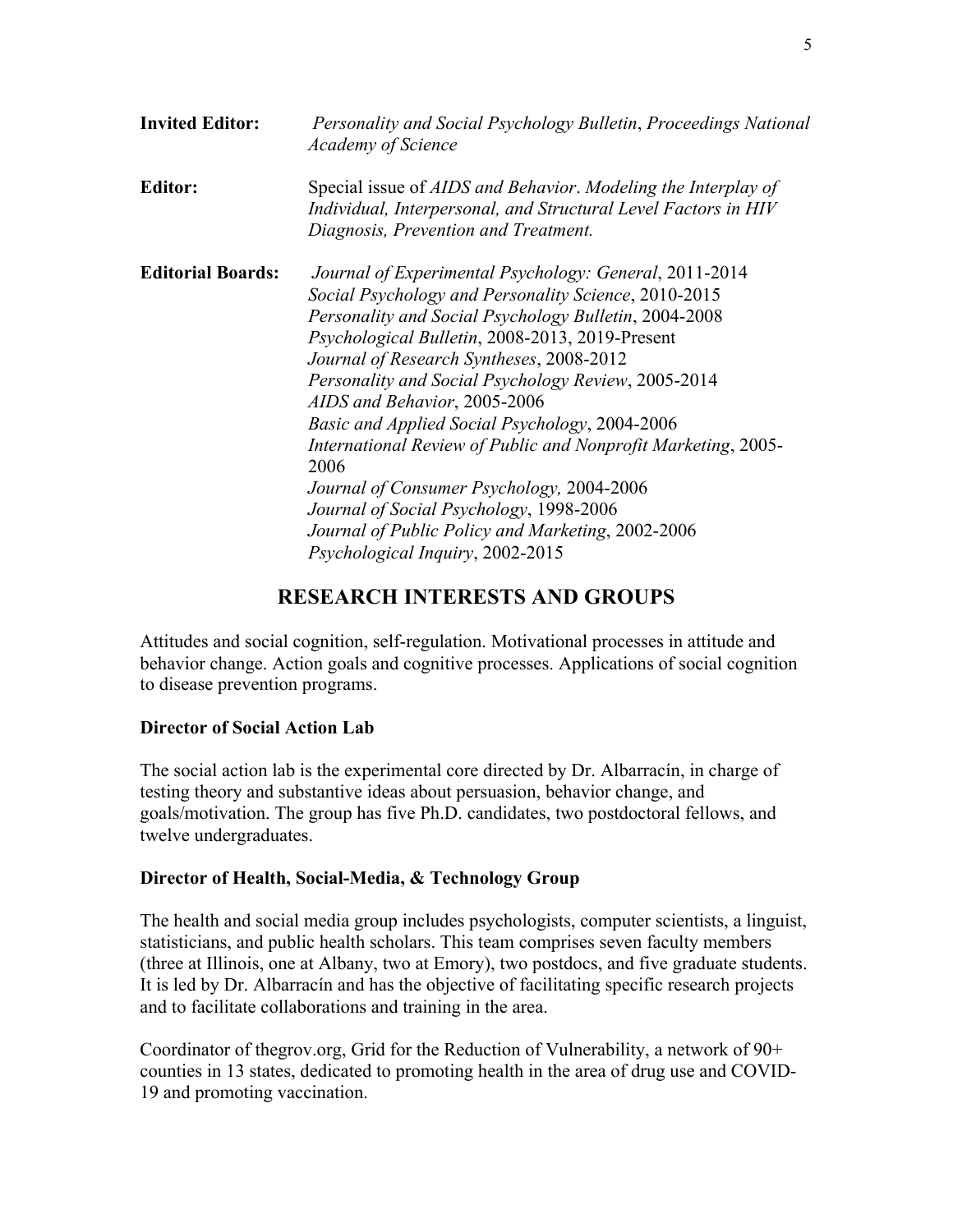| <b>Invited Editor:</b>   | Personality and Social Psychology Bulletin, Proceedings National<br><b>Academy of Science</b>                                                                                                                                                                                                                                                                                                                                                                                                                                                                                                                                                                             |
|--------------------------|---------------------------------------------------------------------------------------------------------------------------------------------------------------------------------------------------------------------------------------------------------------------------------------------------------------------------------------------------------------------------------------------------------------------------------------------------------------------------------------------------------------------------------------------------------------------------------------------------------------------------------------------------------------------------|
| <b>Editor:</b>           | Special issue of AIDS and Behavior. Modeling the Interplay of<br>Individual, Interpersonal, and Structural Level Factors in HIV<br>Diagnosis, Prevention and Treatment.                                                                                                                                                                                                                                                                                                                                                                                                                                                                                                   |
| <b>Editorial Boards:</b> | Journal of Experimental Psychology: General, 2011-2014<br>Social Psychology and Personality Science, 2010-2015<br>Personality and Social Psychology Bulletin, 2004-2008<br>Psychological Bulletin, 2008-2013, 2019-Present<br>Journal of Research Syntheses, 2008-2012<br>Personality and Social Psychology Review, 2005-2014<br>AIDS and Behavior, 2005-2006<br>Basic and Applied Social Psychology, 2004-2006<br>International Review of Public and Nonprofit Marketing, 2005-<br>2006<br>Journal of Consumer Psychology, 2004-2006<br>Journal of Social Psychology, 1998-2006<br>Journal of Public Policy and Marketing, 2002-2006<br>Psychological Inquiry, 2002-2015 |

# **RESEARCH INTERESTS AND GROUPS**

Attitudes and social cognition, self-regulation. Motivational processes in attitude and behavior change. Action goals and cognitive processes. Applications of social cognition to disease prevention programs.

#### **Director of Social Action Lab**

The social action lab is the experimental core directed by Dr. Albarracín, in charge of testing theory and substantive ideas about persuasion, behavior change, and goals/motivation. The group has five Ph.D. candidates, two postdoctoral fellows, and twelve undergraduates.

#### **Director of Health, Social-Media, & Technology Group**

The health and social media group includes psychologists, computer scientists, a linguist, statisticians, and public health scholars. This team comprises seven faculty members (three at Illinois, one at Albany, two at Emory), two postdocs, and five graduate students. It is led by Dr. Albarracín and has the objective of facilitating specific research projects and to facilitate collaborations and training in the area.

Coordinator of the grov.org, Grid for the Reduction of Vulnerability, a network of  $90<sup>+</sup>$ counties in 13 states, dedicated to promoting health in the area of drug use and COVID-19 and promoting vaccination.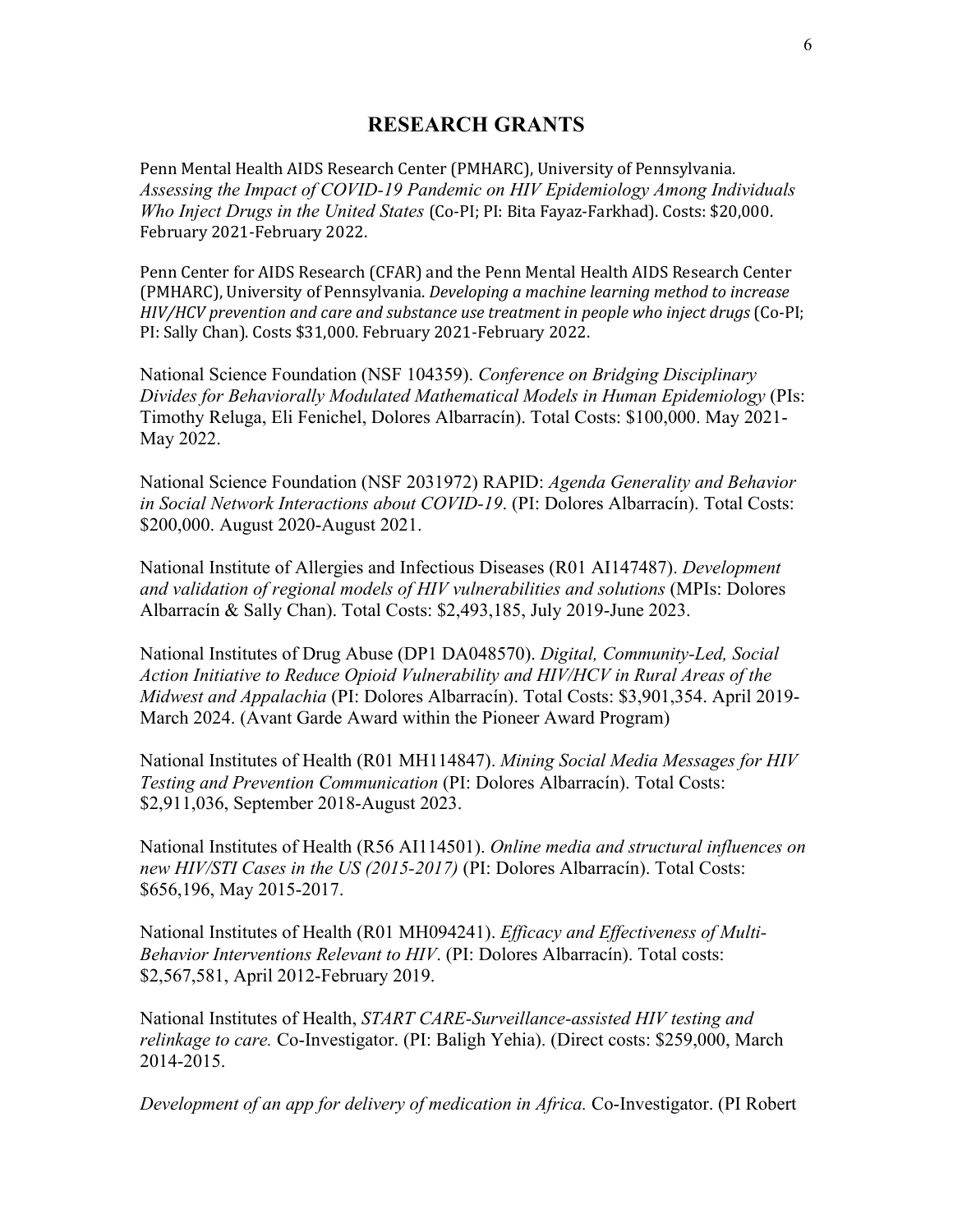#### **RESEARCH GRANTS**

Penn Mental Health AIDS Research Center (PMHARC), University of Pennsylvania. *Assessing the Impact of COVID-19 Pandemic on HIV Epidemiology Among Individuals Who Inject Drugs in the United States* (Co-PI; PI: Bita Fayaz-Farkhad). Costs: \$20,000. February 2021-February 2022.

Penn Center for AIDS Research (CFAR) and the Penn Mental Health AIDS Research Center (PMHARC), University of Pennsylvania. *Developing a machine learning method to increase HIV/HCV prevention and care and substance use treatment in people who inject drugs* (Co-PI; PI: Sally Chan). Costs \$31,000. February 2021-February 2022.

National Science Foundation (NSF 104359). *Conference on Bridging Disciplinary Divides for Behaviorally Modulated Mathematical Models in Human Epidemiology* (PIs: Timothy Reluga, Eli Fenichel, Dolores Albarracín). Total Costs: \$100,000. May 2021- May 2022.

National Science Foundation (NSF 2031972) RAPID: *Agenda Generality and Behavior in Social Network Interactions about COVID-19*. (PI: Dolores Albarracín). Total Costs: \$200,000. August 2020-August 2021.

National Institute of Allergies and Infectious Diseases (R01 AI147487). *Development and validation of regional models of HIV vulnerabilities and solutions* (MPIs: Dolores Albarracín & Sally Chan). Total Costs: \$2,493,185, July 2019-June 2023.

National Institutes of Drug Abuse (DP1 DA048570). *Digital, Community-Led, Social Action Initiative to Reduce Opioid Vulnerability and HIV/HCV in Rural Areas of the Midwest and Appalachia* (PI: Dolores Albarracín). Total Costs: \$3,901,354. April 2019- March 2024. (Avant Garde Award within the Pioneer Award Program)

National Institutes of Health (R01 MH114847). *Mining Social Media Messages for HIV Testing and Prevention Communication* (PI: Dolores Albarracín). Total Costs: \$2,911,036, September 2018-August 2023.

National Institutes of Health (R56 AI114501). *Online media and structural influences on new HIV/STI Cases in the US (2015-2017)* (PI: Dolores Albarracín). Total Costs: \$656,196, May 2015-2017.

National Institutes of Health (R01 MH094241). *Efficacy and Effectiveness of Multi-Behavior Interventions Relevant to HIV*. (PI: Dolores Albarracín). Total costs: \$2,567,581, April 2012-February 2019.

National Institutes of Health, *START CARE-Surveillance-assisted HIV testing and relinkage to care.* Co-Investigator. (PI: Baligh Yehia). (Direct costs: \$259,000, March 2014-2015.

*Development of an app for delivery of medication in Africa.* Co-Investigator. (PI Robert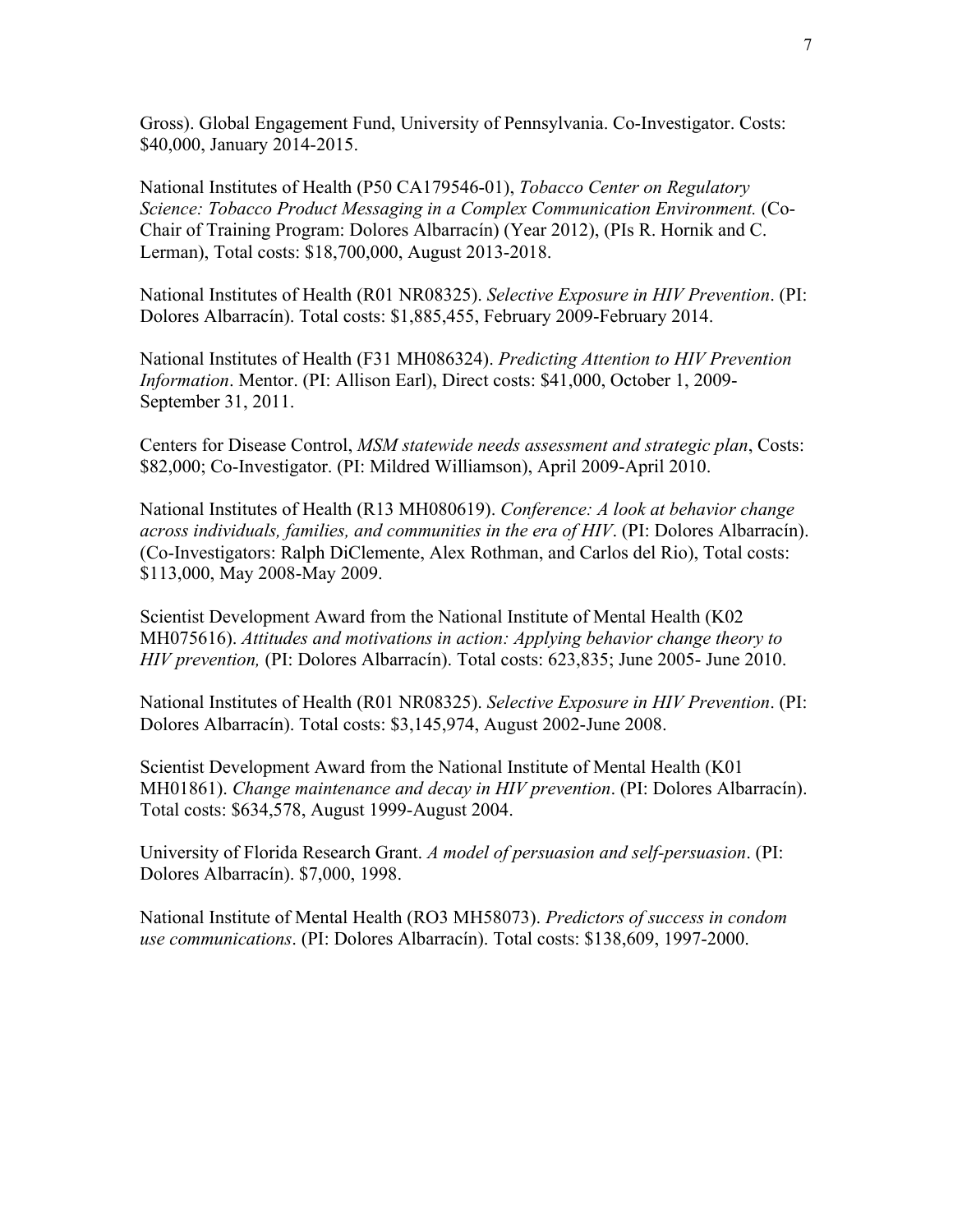Gross). Global Engagement Fund, University of Pennsylvania. Co-Investigator. Costs: \$40,000, January 2014-2015.

National Institutes of Health (P50 CA179546-01), *Tobacco Center on Regulatory Science: Tobacco Product Messaging in a Complex Communication Environment.* (Co-Chair of Training Program: Dolores Albarracín) (Year 2012), (PIs R. Hornik and C. Lerman), Total costs: \$18,700,000, August 2013-2018.

National Institutes of Health (R01 NR08325). *Selective Exposure in HIV Prevention*. (PI: Dolores Albarracín). Total costs: \$1,885,455, February 2009-February 2014.

National Institutes of Health (F31 MH086324). *Predicting Attention to HIV Prevention Information*. Mentor. (PI: Allison Earl), Direct costs: \$41,000, October 1, 2009- September 31, 2011.

Centers for Disease Control, *MSM statewide needs assessment and strategic plan*, Costs: \$82,000; Co-Investigator. (PI: Mildred Williamson), April 2009-April 2010.

National Institutes of Health (R13 MH080619). *Conference: A look at behavior change across individuals, families, and communities in the era of HIV*. (PI: Dolores Albarracín). (Co-Investigators: Ralph DiClemente, Alex Rothman, and Carlos del Rio), Total costs: \$113,000, May 2008-May 2009.

Scientist Development Award from the National Institute of Mental Health (K02 MH075616). *Attitudes and motivations in action: Applying behavior change theory to HIV prevention,* (PI: Dolores Albarracín). Total costs: 623,835; June 2005- June 2010.

National Institutes of Health (R01 NR08325). *Selective Exposure in HIV Prevention*. (PI: Dolores Albarracín). Total costs: \$3,145,974, August 2002-June 2008.

Scientist Development Award from the National Institute of Mental Health (K01 MH01861). *Change maintenance and decay in HIV prevention*. (PI: Dolores Albarracín). Total costs: \$634,578, August 1999-August 2004.

University of Florida Research Grant. *A model of persuasion and self-persuasion*. (PI: Dolores Albarracín). \$7,000, 1998.

National Institute of Mental Health (RO3 MH58073). *Predictors of success in condom use communications*. (PI: Dolores Albarracín). Total costs: \$138,609, 1997-2000.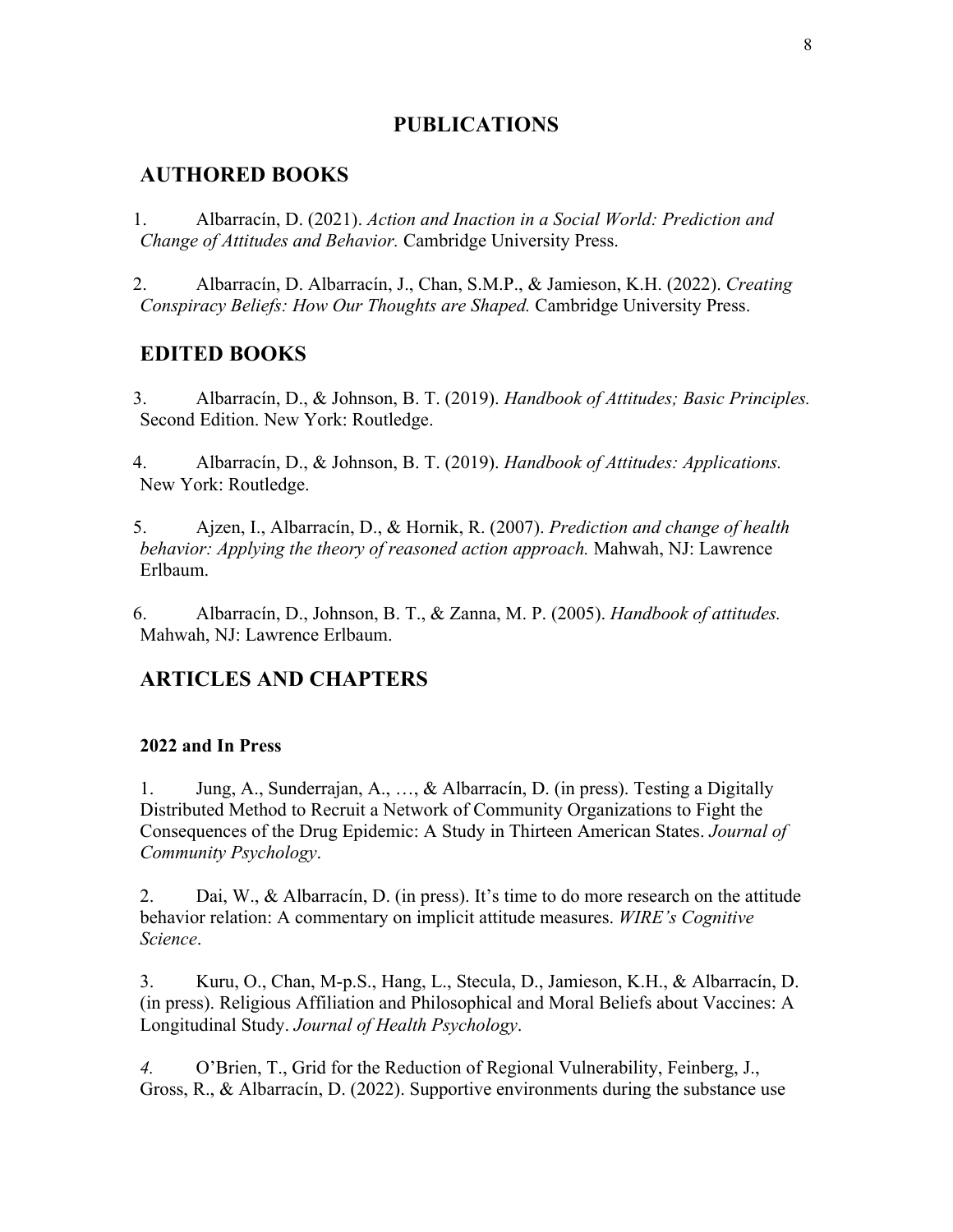### **PUBLICATIONS**

# **AUTHORED BOOKS**

- 1. Albarracín, D. (2021). *Action and Inaction in a Social World: Prediction and Change of Attitudes and Behavior.* Cambridge University Press.
- 2. Albarracín, D. Albarracín, J., Chan, S.M.P., & Jamieson, K.H. (2022). *Creating Conspiracy Beliefs: How Our Thoughts are Shaped.* Cambridge University Press.

# **EDITED BOOKS**

- 3. Albarracín, D., & Johnson, B. T. (2019). *Handbook of Attitudes; Basic Principles.* Second Edition. New York: Routledge.
- 4. Albarracín, D., & Johnson, B. T. (2019). *Handbook of Attitudes: Applications.* New York: Routledge.
- 5. Ajzen, I., Albarracín, D., & Hornik, R. (2007). *Prediction and change of health behavior: Applying the theory of reasoned action approach.* Mahwah, NJ: Lawrence Erlbaum.
- 6. Albarracín, D., Johnson, B. T., & Zanna, M. P. (2005). *Handbook of attitudes.* Mahwah, NJ: Lawrence Erlbaum.

# **ARTICLES AND CHAPTERS**

#### **2022 and In Press**

1. Jung, A., Sunderrajan, A., …, & Albarracín, D. (in press). Testing a Digitally Distributed Method to Recruit a Network of Community Organizations to Fight the Consequences of the Drug Epidemic: A Study in Thirteen American States. *Journal of Community Psychology*.

2. Dai, W., & Albarracín, D. (in press). It's time to do more research on the attitude behavior relation: A commentary on implicit attitude measures. *WIRE's Cognitive Science*.

3. Kuru, O., Chan, M-p.S., Hang, L., Stecula, D., Jamieson, K.H., & Albarracín, D. (in press). Religious Affiliation and Philosophical and Moral Beliefs about Vaccines: A Longitudinal Study. *Journal of Health Psychology*.

*4.* O'Brien, T., Grid for the Reduction of Regional Vulnerability, Feinberg, J., Gross, R., & Albarracín, D. (2022). Supportive environments during the substance use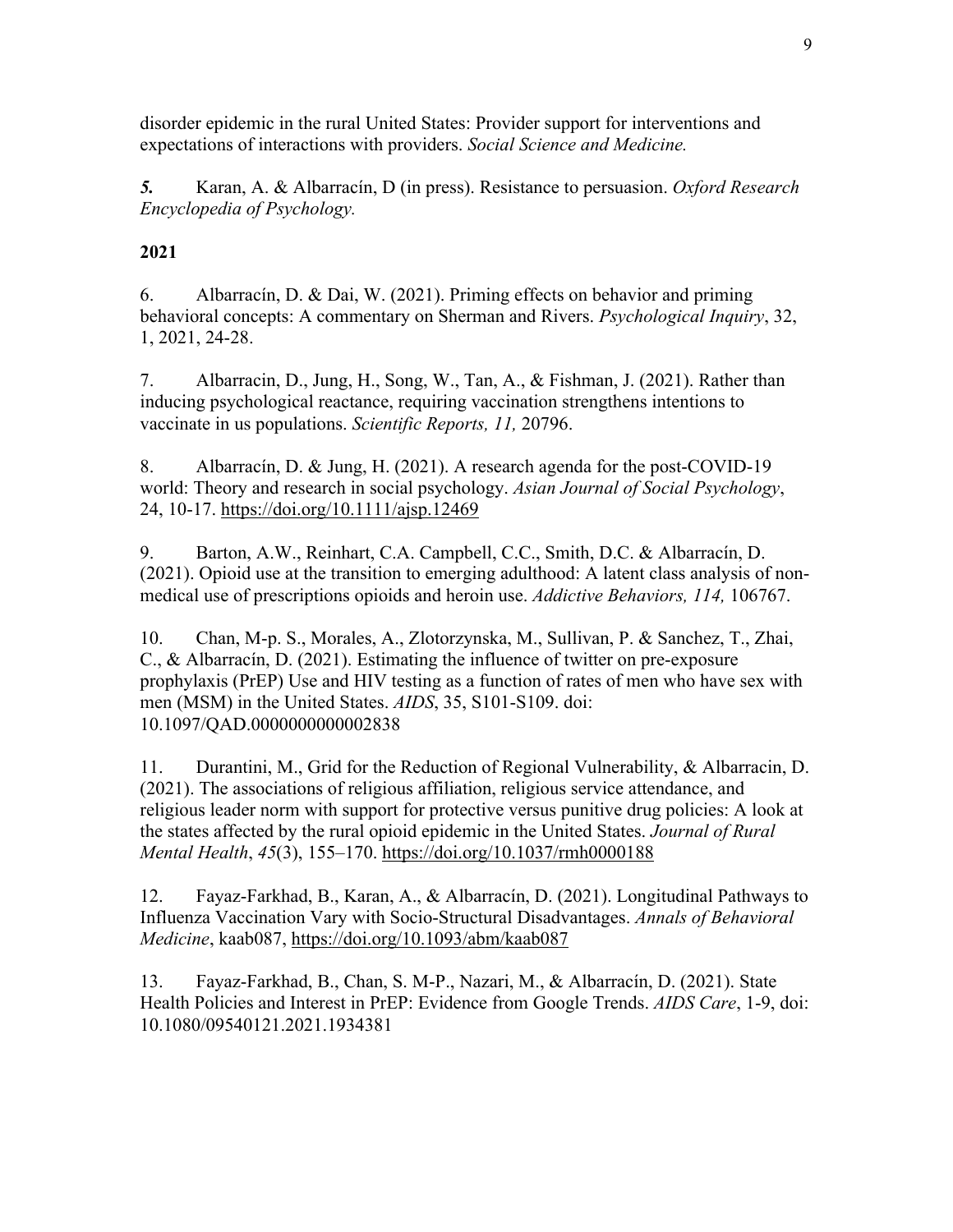disorder epidemic in the rural United States: Provider support for interventions and expectations of interactions with providers. *Social Science and Medicine.*

*5.* Karan, A. & Albarracín, D (in press). Resistance to persuasion. *Oxford Research Encyclopedia of Psychology.*

### **2021**

6. Albarracín, D. & Dai, W. (2021). Priming effects on behavior and priming behavioral concepts: A commentary on Sherman and Rivers. *Psychological Inquiry*, 32, 1, 2021, 24-28.

7. Albarracin, D., Jung, H., Song, W., Tan, A., & Fishman, J. (2021). Rather than inducing psychological reactance, requiring vaccination strengthens intentions to vaccinate in us populations. *Scientific Reports, 11,* 20796.

8. Albarracín, D. & Jung, H. (2021). A research agenda for the post-COVID-19 world: Theory and research in social psychology. *Asian Journal of Social Psychology*, 24, 10-17. https://doi.org/10.1111/ajsp.12469

9. Barton, A.W., Reinhart, C.A. Campbell, C.C., Smith, D.C. & Albarracín, D. (2021). Opioid use at the transition to emerging adulthood: A latent class analysis of nonmedical use of prescriptions opioids and heroin use. *Addictive Behaviors, 114,* 106767.

10. Chan, M-p. S., Morales, A., Zlotorzynska, M., Sullivan, P. & Sanchez, T., Zhai, C., & Albarracín, D. (2021). Estimating the influence of twitter on pre-exposure prophylaxis (PrEP) Use and HIV testing as a function of rates of men who have sex with men (MSM) in the United States. *AIDS*, 35, S101-S109. doi: 10.1097/QAD.0000000000002838

11. Durantini, M., Grid for the Reduction of Regional Vulnerability, & Albarracin, D. (2021). The associations of religious affiliation, religious service attendance, and religious leader norm with support for protective versus punitive drug policies: A look at the states affected by the rural opioid epidemic in the United States. *Journal of Rural Mental Health*, *45*(3), 155–170. https://doi.org/10.1037/rmh0000188

12. Fayaz-Farkhad, B., Karan, A., & Albarracín, D. (2021). Longitudinal Pathways to Influenza Vaccination Vary with Socio-Structural Disadvantages. *Annals of Behavioral Medicine*, kaab087, https://doi.org/10.1093/abm/kaab087

13. Fayaz-Farkhad, B., Chan, S. M-P., Nazari, M., & Albarracín, D. (2021). State Health Policies and Interest in PrEP: Evidence from Google Trends. *AIDS Care*, 1-9, doi: 10.1080/09540121.2021.1934381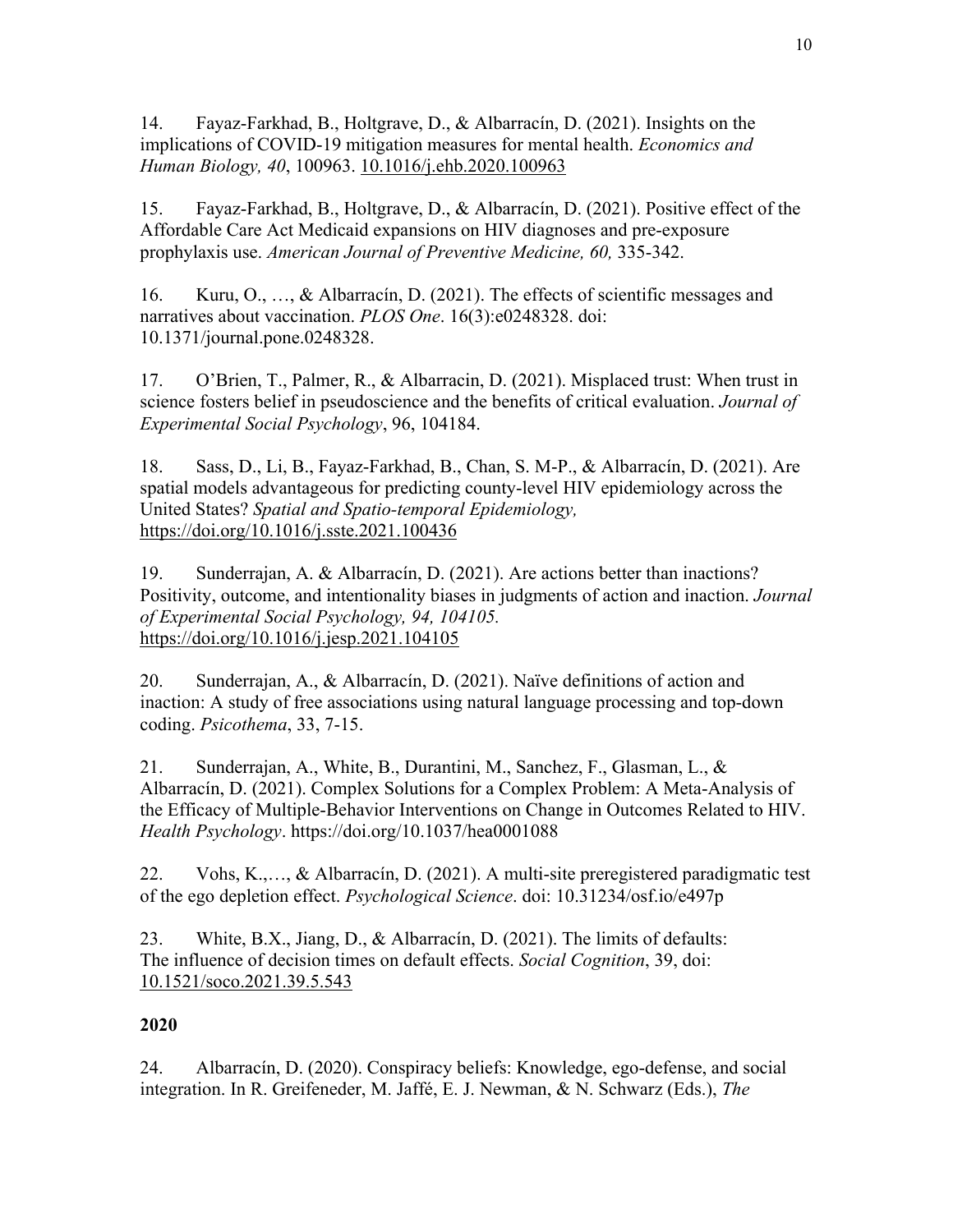14. Fayaz-Farkhad, B., Holtgrave, D., & Albarracín, D. (2021). Insights on the implications of COVID-19 mitigation measures for mental health. *Economics and Human Biology, 40*, 100963. 10.1016/j.ehb.2020.100963

15. Fayaz-Farkhad, B., Holtgrave, D., & Albarracín, D. (2021). Positive effect of the Affordable Care Act Medicaid expansions on HIV diagnoses and pre-exposure prophylaxis use. *American Journal of Preventive Medicine, 60,* 335-342.

16. Kuru, O., …, & Albarracín, D. (2021). The effects of scientific messages and narratives about vaccination. *PLOS One*. 16(3):e0248328. doi: 10.1371/journal.pone.0248328.

17. O'Brien, T., Palmer, R., & Albarracin, D. (2021). Misplaced trust: When trust in science fosters belief in pseudoscience and the benefits of critical evaluation. *Journal of Experimental Social Psychology*, 96, 104184.

18. Sass, D., Li, B., Fayaz-Farkhad, B., Chan, S. M-P., & Albarracín, D. (2021). Are spatial models advantageous for predicting county-level HIV epidemiology across the United States? *Spatial and Spatio-temporal Epidemiology,*  https://doi.org/10.1016/j.sste.2021.100436

19. Sunderrajan, A. & Albarracín, D. (2021). Are actions better than inactions? Positivity, outcome, and intentionality biases in judgments of action and inaction. *Journal of Experimental Social Psychology, 94, 104105.*  https://doi.org/10.1016/j.jesp.2021.104105

20. Sunderrajan, A., & Albarracín, D. (2021). Naïve definitions of action and inaction: A study of free associations using natural language processing and top-down coding. *Psicothema*, 33, 7-15.

21. Sunderrajan, A., White, B., Durantini, M., Sanchez, F., Glasman, L., & Albarracín, D. (2021). Complex Solutions for a Complex Problem: A Meta-Analysis of the Efficacy of Multiple-Behavior Interventions on Change in Outcomes Related to HIV. *Health Psychology*. https://doi.org/10.1037/hea0001088

22. Vohs, K.,…, & Albarracín, D. (2021). A multi-site preregistered paradigmatic test of the ego depletion effect. *Psychological Science*. doi: 10.31234/osf.io/e497p

23. White, B.X., Jiang, D., & Albarracín, D. (2021). The limits of defaults: The influence of decision times on default effects. *Social Cognition*, 39, doi: 10.1521/soco.2021.39.5.543

#### **2020**

24. Albarracín, D. (2020). Conspiracy beliefs: Knowledge, ego-defense, and social integration. In R. Greifeneder, M. Jaffé, E. J. Newman, & N. Schwarz (Eds.), *The*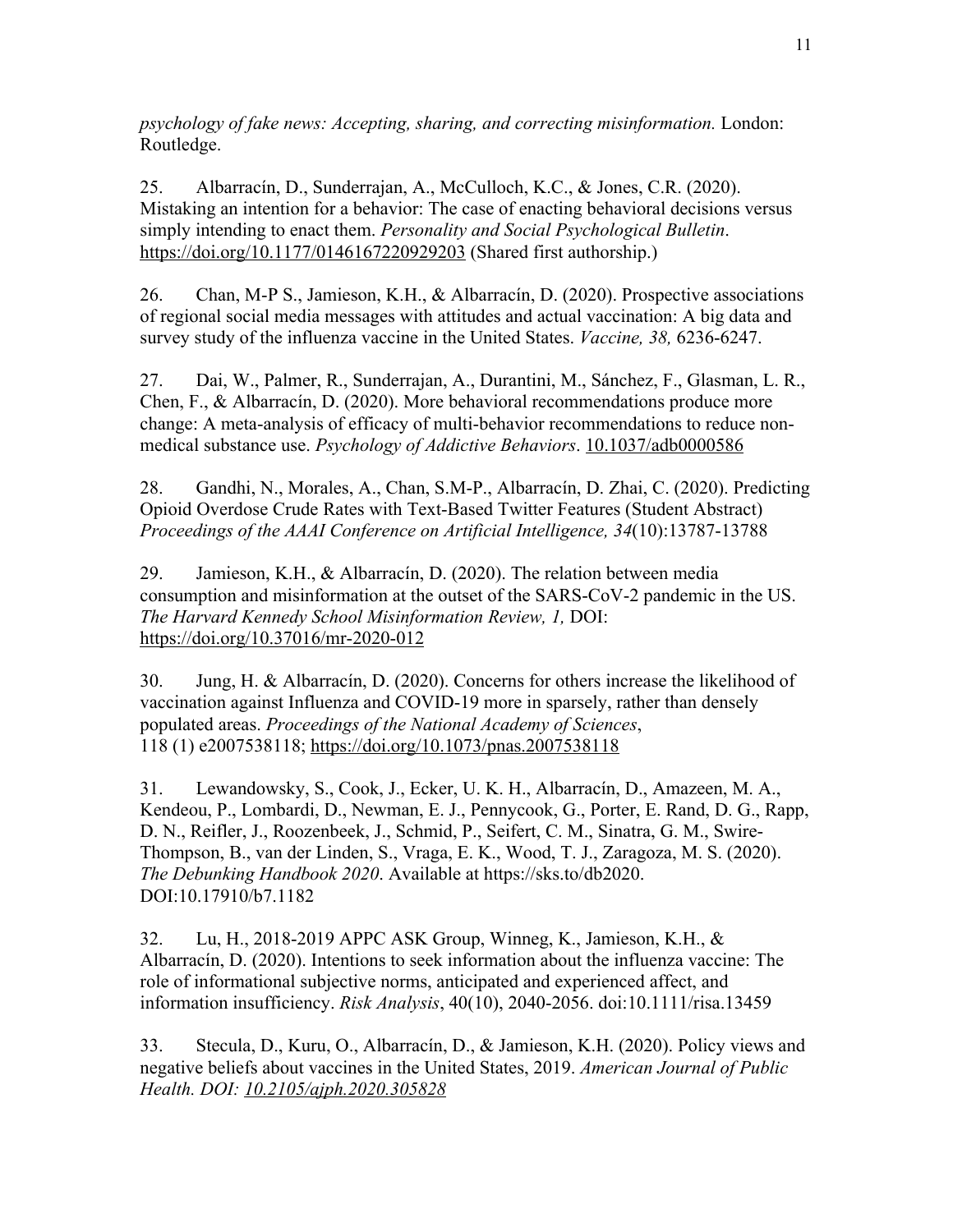*psychology of fake news: Accepting, sharing, and correcting misinformation.* London: Routledge.

25. Albarracín, D., Sunderrajan, A., McCulloch, K.C., & Jones, C.R. (2020). Mistaking an intention for a behavior: The case of enacting behavioral decisions versus simply intending to enact them. *Personality and Social Psychological Bulletin*. https://doi.org/10.1177/0146167220929203 (Shared first authorship.)

26. Chan, M-P S., Jamieson, K.H., & Albarracín, D. (2020). Prospective associations of regional social media messages with attitudes and actual vaccination: A big data and survey study of the influenza vaccine in the United States. *Vaccine, 38,* 6236-6247.

27. Dai, W., Palmer, R., Sunderrajan, A., Durantini, M., Sánchez, F., Glasman, L. R., Chen, F., & Albarracín, D. (2020). More behavioral recommendations produce more change: A meta-analysis of efficacy of multi-behavior recommendations to reduce nonmedical substance use. *Psychology of Addictive Behaviors*. 10.1037/adb0000586

28. Gandhi, N., Morales, A., Chan, S.M-P., Albarracín, D. Zhai, C. (2020). Predicting Opioid Overdose Crude Rates with Text-Based Twitter Features (Student Abstract) *Proceedings of the AAAI Conference on Artificial Intelligence, 34*(10):13787-13788

29. Jamieson, K.H., & Albarracín, D. (2020). The relation between media consumption and misinformation at the outset of the SARS-CoV-2 pandemic in the US. *The Harvard Kennedy School Misinformation Review, 1,* DOI: https://doi.org/10.37016/mr-2020-012

30. Jung, H. & Albarracín, D. (2020). Concerns for others increase the likelihood of vaccination against Influenza and COVID-19 more in sparsely, rather than densely populated areas. *Proceedings of the National Academy of Sciences*, 118 (1) e2007538118; https://doi.org/10.1073/pnas.2007538118

31. Lewandowsky, S., Cook, J., Ecker, U. K. H., Albarracín, D., Amazeen, M. A., Kendeou, P., Lombardi, D., Newman, E. J., Pennycook, G., Porter, E. Rand, D. G., Rapp, D. N., Reifler, J., Roozenbeek, J., Schmid, P., Seifert, C. M., Sinatra, G. M., Swire-Thompson, B., van der Linden, S., Vraga, E. K., Wood, T. J., Zaragoza, M. S. (2020). *The Debunking Handbook 2020*. Available at https://sks.to/db2020. DOI:10.17910/b7.1182

32. Lu, H., 2018-2019 APPC ASK Group, Winneg, K., Jamieson, K.H., & Albarracín, D. (2020). Intentions to seek information about the influenza vaccine: The role of informational subjective norms, anticipated and experienced affect, and information insufficiency. *Risk Analysis*, 40(10), 2040-2056. doi:10.1111/risa.13459

33. Stecula, D., Kuru, O., Albarracín, D., & Jamieson, K.H. (2020). Policy views and negative beliefs about vaccines in the United States, 2019. *American Journal of Public Health. DOI: 10.2105/ajph.2020.305828*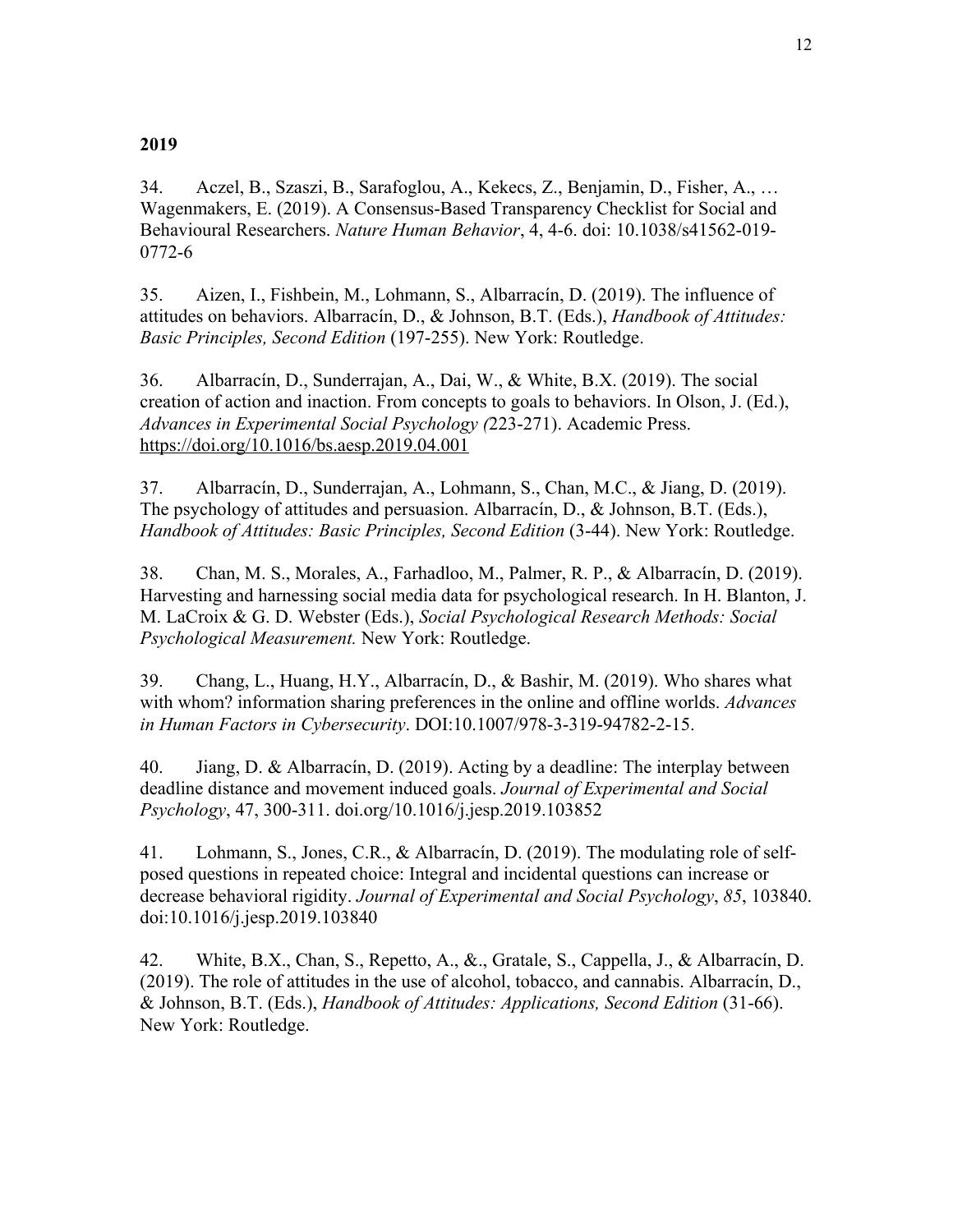#### **2019**

34. Aczel, B., Szaszi, B., Sarafoglou, A., Kekecs, Z., Benjamin, D., Fisher, A., … Wagenmakers, E. (2019). A Consensus-Based Transparency Checklist for Social and Behavioural Researchers. *Nature Human Behavior*, 4, 4-6. doi: 10.1038/s41562-019- 0772-6

35. Aizen, I., Fishbein, M., Lohmann, S., Albarracín, D. (2019). The influence of attitudes on behaviors. Albarracín, D., & Johnson, B.T. (Eds.), *Handbook of Attitudes: Basic Principles, Second Edition* (197-255). New York: Routledge.

36. Albarracín, D., Sunderrajan, A., Dai, W., & White, B.X. (2019). The social creation of action and inaction. From concepts to goals to behaviors. In Olson, J. (Ed.), *Advances in Experimental Social Psychology (*223-271). Academic Press. https://doi.org/10.1016/bs.aesp.2019.04.001

37. Albarracín, D., Sunderrajan, A., Lohmann, S., Chan, M.C., & Jiang, D. (2019). The psychology of attitudes and persuasion. Albarracín, D., & Johnson, B.T. (Eds.), *Handbook of Attitudes: Basic Principles, Second Edition* (3-44). New York: Routledge.

38. Chan, M. S., Morales, A., Farhadloo, M., Palmer, R. P., & Albarracín, D. (2019). Harvesting and harnessing social media data for psychological research. In H. Blanton, J. M. LaCroix & G. D. Webster (Eds.), *Social Psychological Research Methods: Social Psychological Measurement.* New York: Routledge.

39. Chang, L., Huang, H.Y., Albarracín, D., & Bashir, M. (2019). Who shares what with whom? information sharing preferences in the online and offline worlds. *Advances in Human Factors in Cybersecurity*. DOI:10.1007/978-3-319-94782-2-15.

40. Jiang, D. & Albarracín, D. (2019). Acting by a deadline: The interplay between deadline distance and movement induced goals. *Journal of Experimental and Social Psychology*, 47, 300-311. doi.org/10.1016/j.jesp.2019.103852

41. Lohmann, S., Jones, C.R., & Albarracín, D. (2019). The modulating role of selfposed questions in repeated choice: Integral and incidental questions can increase or decrease behavioral rigidity. *Journal of Experimental and Social Psychology*, *85*, 103840. doi:10.1016/j.jesp.2019.103840

42. White, B.X., Chan, S., Repetto, A., &., Gratale, S., Cappella, J., & Albarracín, D. (2019). The role of attitudes in the use of alcohol, tobacco, and cannabis. Albarracín, D., & Johnson, B.T. (Eds.), *Handbook of Attitudes: Applications, Second Edition* (31-66). New York: Routledge.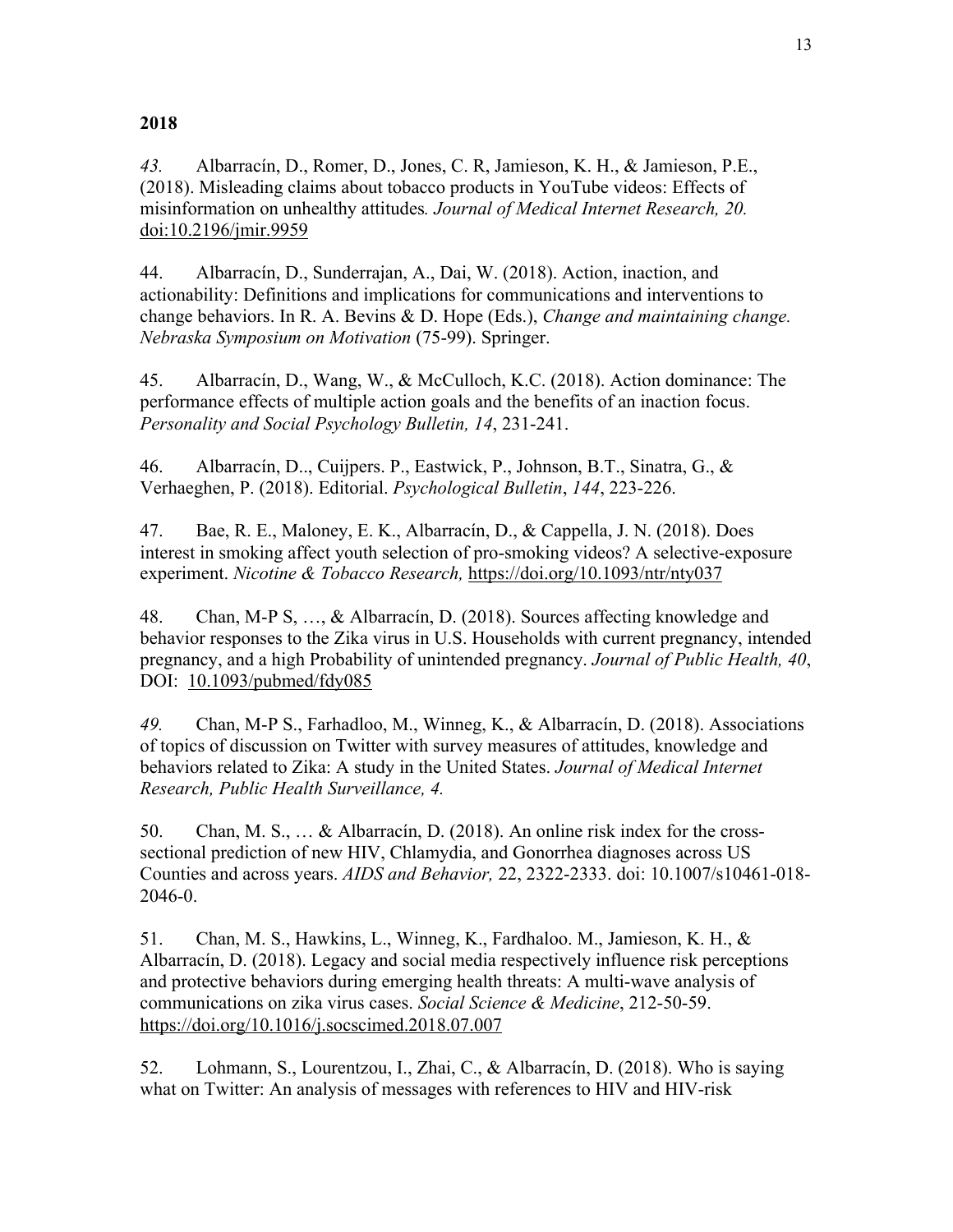#### **2018**

*43.* Albarracín, D., Romer, D., Jones, C. R, Jamieson, K. H., & Jamieson, P.E., (2018). Misleading claims about tobacco products in YouTube videos: Effects of misinformation on unhealthy attitudes*. Journal of Medical Internet Research, 20.*  doi:10.2196/jmir.9959

44. Albarracín, D., Sunderrajan, A., Dai, W. (2018). Action, inaction, and actionability: Definitions and implications for communications and interventions to change behaviors. In R. A. Bevins & D. Hope (Eds.), *Change and maintaining change. Nebraska Symposium on Motivation* (75-99). Springer.

45. Albarracín, D., Wang, W., & McCulloch, K.C. (2018). Action dominance: The performance effects of multiple action goals and the benefits of an inaction focus. *Personality and Social Psychology Bulletin, 14*, 231-241.

46. Albarracín, D.., Cuijpers. P., Eastwick, P., Johnson, B.T., Sinatra, G., & Verhaeghen, P. (2018). Editorial. *Psychological Bulletin*, *144*, 223-226.

47. Bae, R. E., Maloney, E. K., Albarracín, D., & Cappella, J. N. (2018). Does interest in smoking affect youth selection of pro-smoking videos? A selective-exposure experiment. *Nicotine & Tobacco Research,* https://doi.org/10.1093/ntr/nty037

48. Chan, M-P S, …, & Albarracín, D. (2018). Sources affecting knowledge and behavior responses to the Zika virus in U.S. Households with current pregnancy, intended pregnancy, and a high Probability of unintended pregnancy. *Journal of Public Health, 40*, DOI: 10.1093/pubmed/fdy085

*49.* Chan, M-P S., Farhadloo, M., Winneg, K., & Albarracín, D. (2018). Associations of topics of discussion on Twitter with survey measures of attitudes, knowledge and behaviors related to Zika: A study in the United States. *Journal of Medical Internet Research, Public Health Surveillance, 4.*

50. Chan, M. S., … & Albarracín, D. (2018). An online risk index for the crosssectional prediction of new HIV, Chlamydia, and Gonorrhea diagnoses across US Counties and across years. *AIDS and Behavior,* 22, 2322-2333. doi: 10.1007/s10461-018- 2046-0.

51. Chan, M. S., Hawkins, L., Winneg, K., Fardhaloo. M., Jamieson, K. H., & Albarracín, D. (2018). Legacy and social media respectively influence risk perceptions and protective behaviors during emerging health threats: A multi-wave analysis of communications on zika virus cases. *Social Science & Medicine*, 212-50-59. https://doi.org/10.1016/j.socscimed.2018.07.007

52. Lohmann, S., Lourentzou, I., Zhai, C., & Albarracín, D. (2018). Who is saying what on Twitter: An analysis of messages with references to HIV and HIV-risk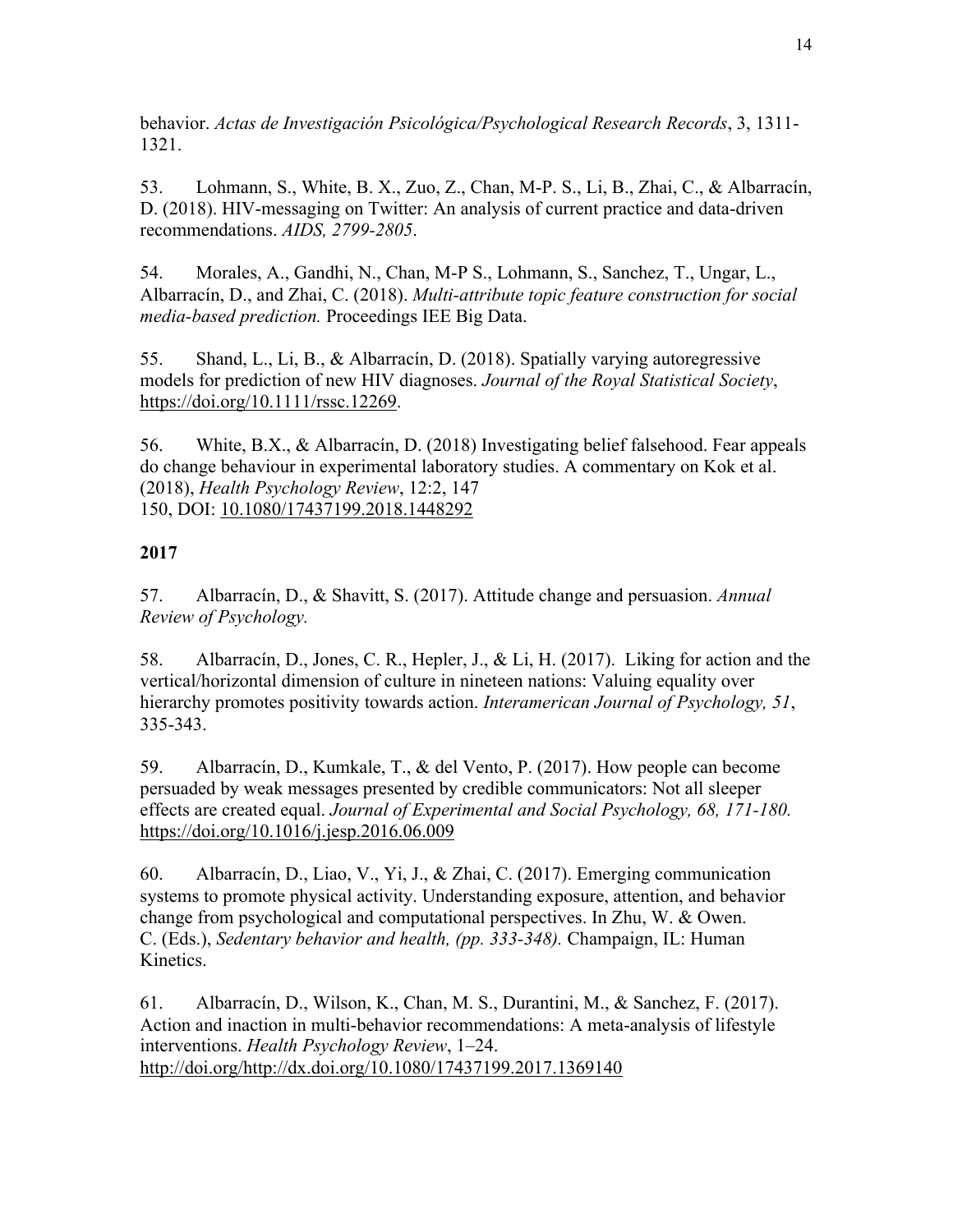behavior. *Actas de Investigación Psicológica/Psychological Research Records*, 3, 1311- 1321.

53. Lohmann, S., White, B. X., Zuo, Z., Chan, M-P. S., Li, B., Zhai, C., & Albarracín, D. (2018). HIV-messaging on Twitter: An analysis of current practice and data-driven recommendations. *AIDS, 2799-2805*.

54. Morales, A., Gandhi, N., Chan, M-P S., Lohmann, S., Sanchez, T., Ungar, L., Albarracín, D., and Zhai, C. (2018). *Multi-attribute topic feature construction for social media-based prediction.* Proceedings IEE Big Data.

55. Shand, L., Li, B., & Albarracín, D. (2018). Spatially varying autoregressive models for prediction of new HIV diagnoses. *Journal of the Royal Statistical Society*, https://doi.org/10.1111/rssc.12269.

56. White, B.X., & Albarracín, D. (2018) Investigating belief falsehood. Fear appeals do change behaviour in experimental laboratory studies. A commentary on Kok et al. (2018), *Health Psychology Review*, 12:2, 147 150, DOI: 10.1080/17437199.2018.1448292

#### **2017**

57. Albarracín, D., & Shavitt, S. (2017). Attitude change and persuasion. *Annual Review of Psychology.*

58. Albarracín, D., Jones, C. R., Hepler, J., & Li, H. (2017). Liking for action and the vertical/horizontal dimension of culture in nineteen nations: Valuing equality over hierarchy promotes positivity towards action. *Interamerican Journal of Psychology, 51*, 335-343.

59. Albarracín, D., Kumkale, T., & del Vento, P. (2017). How people can become persuaded by weak messages presented by credible communicators: Not all sleeper effects are created equal. *Journal of Experimental and Social Psychology, 68, 171-180.*  https://doi.org/10.1016/j.jesp.2016.06.009

60. Albarracín, D., Liao, V., Yi, J., & Zhai, C. (2017). Emerging communication systems to promote physical activity. Understanding exposure, attention, and behavior change from psychological and computational perspectives. In Zhu, W. & Owen. C. (Eds.), *Sedentary behavior and health, (pp. 333-348).* Champaign, IL: Human Kinetics.

61. Albarracín, D., Wilson, K., Chan, M. S., Durantini, M., & Sanchez, F. (2017). Action and inaction in multi-behavior recommendations: A meta-analysis of lifestyle interventions. *Health Psychology Review*, 1–24. http://doi.org/http://dx.doi.org/10.1080/17437199.2017.1369140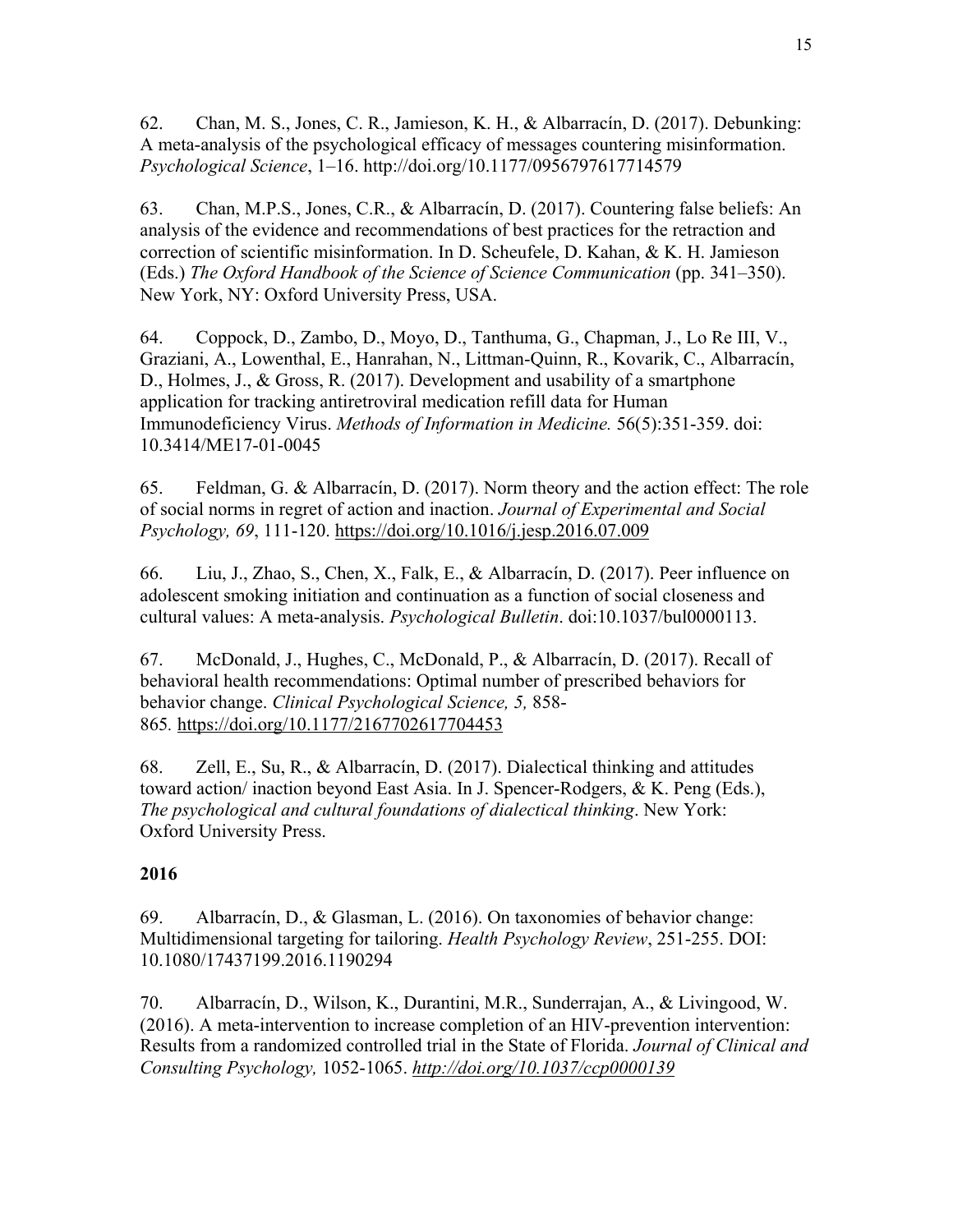62. Chan, M. S., Jones, C. R., Jamieson, K. H., & Albarracín, D. (2017). Debunking: A meta-analysis of the psychological efficacy of messages countering misinformation. *Psychological Science*, 1–16. http://doi.org/10.1177/0956797617714579

63. Chan, M.P.S., Jones, C.R., & Albarracín, D. (2017). Countering false beliefs: An analysis of the evidence and recommendations of best practices for the retraction and correction of scientific misinformation. In D. Scheufele, D. Kahan, & K. H. Jamieson (Eds.) *The Oxford Handbook of the Science of Science Communication* (pp. 341–350). New York, NY: Oxford University Press, USA.

64. Coppock, D., Zambo, D., Moyo, D., Tanthuma, G., Chapman, J., Lo Re III, V., Graziani, A., Lowenthal, E., Hanrahan, N., Littman-Quinn, R., Kovarik, C., Albarracín, D., Holmes, J., & Gross, R. (2017). Development and usability of a smartphone application for tracking antiretroviral medication refill data for Human Immunodeficiency Virus. *Methods of Information in Medicine.* 56(5):351-359. doi: 10.3414/ME17-01-0045

65. Feldman, G. & Albarracín, D. (2017). Norm theory and the action effect: The role of social norms in regret of action and inaction. *Journal of Experimental and Social Psychology, 69*, 111-120. https://doi.org/10.1016/j.jesp.2016.07.009

66. Liu, J., Zhao, S., Chen, X., Falk, E., & Albarracín, D. (2017). Peer influence on adolescent smoking initiation and continuation as a function of social closeness and cultural values: A meta-analysis. *Psychological Bulletin*. doi:10.1037/bul0000113.

67. McDonald, J., Hughes, C., McDonald, P., & Albarracín, D. (2017). Recall of behavioral health recommendations: Optimal number of prescribed behaviors for behavior change. *Clinical Psychological Science, 5,* 858- 865*.* https://doi.org/10.1177/2167702617704453

68. Zell, E., Su, R., & Albarracín, D. (2017). Dialectical thinking and attitudes toward action/ inaction beyond East Asia. In J. Spencer-Rodgers, & K. Peng (Eds.), *The psychological and cultural foundations of dialectical thinking*. New York: Oxford University Press.

#### **2016**

69. Albarracín, D., & Glasman, L. (2016). On taxonomies of behavior change: Multidimensional targeting for tailoring. *Health Psychology Review*, 251-255. DOI: 10.1080/17437199.2016.1190294

70. Albarracín, D., Wilson, K., Durantini, M.R., Sunderrajan, A., & Livingood, W. (2016). A meta-intervention to increase completion of an HIV-prevention intervention: Results from a randomized controlled trial in the State of Florida. *Journal of Clinical and Consulting Psychology,* 1052-1065. *http://doi.org/10.1037/ccp0000139*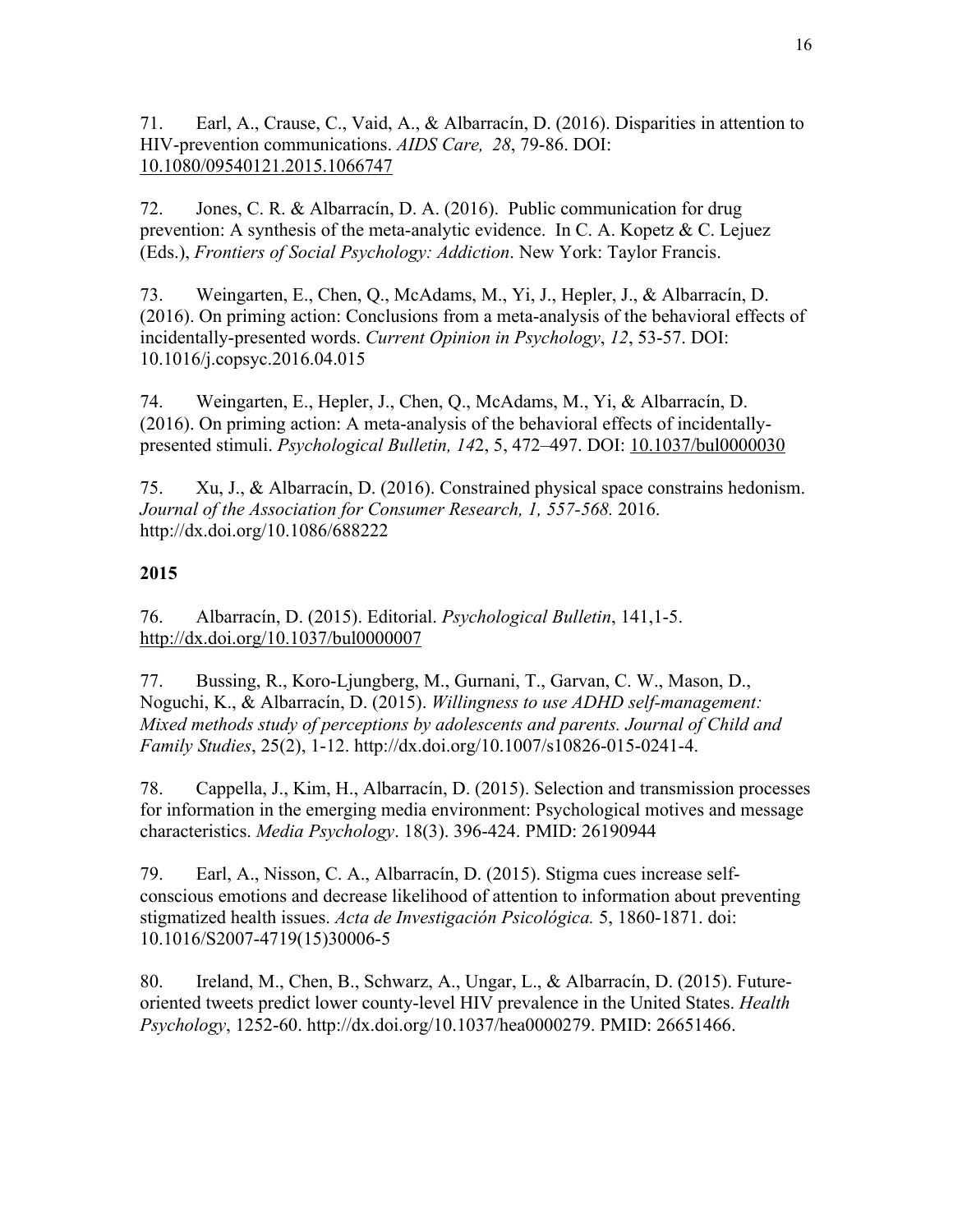71. Earl, A., Crause, C., Vaid, A., & Albarracín, D. (2016). Disparities in attention to HIV-prevention communications. *AIDS Care, 28*, 79-86. DOI: 10.1080/09540121.2015.1066747

72. Jones, C. R. & Albarracín, D. A. (2016). Public communication for drug prevention: A synthesis of the meta-analytic evidence. In C. A. Kopetz & C. Lejuez (Eds.), *Frontiers of Social Psychology: Addiction*. New York: Taylor Francis.

73. Weingarten, E., Chen, Q., McAdams, M., Yi, J., Hepler, J., & Albarracín, D. (2016). On priming action: Conclusions from a meta-analysis of the behavioral effects of incidentally-presented words. *Current Opinion in Psychology*, *12*, 53-57. DOI: 10.1016/j.copsyc.2016.04.015

74. Weingarten, E., Hepler, J., Chen, Q., McAdams, M., Yi, & Albarracín, D. (2016). On priming action: A meta-analysis of the behavioral effects of incidentallypresented stimuli. *Psychological Bulletin, 14*2, 5, 472–497. DOI: 10.1037/bul0000030

75. Xu, J., & Albarracín, D. (2016). Constrained physical space constrains hedonism. *Journal of the Association for Consumer Research, 1, 557-568.* 2016. http://dx.doi.org/10.1086/688222

#### **2015**

76. Albarracín, D. (2015). Editorial. *Psychological Bulletin*, 141,1-5. http://dx.doi.org/10.1037/bul0000007

77. Bussing, R., Koro-Ljungberg, M., Gurnani, T., Garvan, C. W., Mason, D., Noguchi, K., & Albarracín, D. (2015). *Willingness to use ADHD self-management: Mixed methods study of perceptions by adolescents and parents. Journal of Child and Family Studies*, 25(2), 1-12. http://dx.doi.org/10.1007/s10826-015-0241-4.

78. Cappella, J., Kim, H., Albarracín, D. (2015). Selection and transmission processes for information in the emerging media environment: Psychological motives and message characteristics. *Media Psychology*. 18(3). 396-424. PMID: 26190944

79. Earl, A., Nisson, C. A., Albarracín, D. (2015). Stigma cues increase selfconscious emotions and decrease likelihood of attention to information about preventing stigmatized health issues. *Acta de Investigación Psicológica.* 5, 1860-1871. doi: 10.1016/S2007-4719(15)30006-5

80. Ireland, M., Chen, B., Schwarz, A., Ungar, L., & Albarracín, D. (2015). Futureoriented tweets predict lower county-level HIV prevalence in the United States. *Health Psychology*, 1252-60. http://dx.doi.org/10.1037/hea0000279. PMID: 26651466.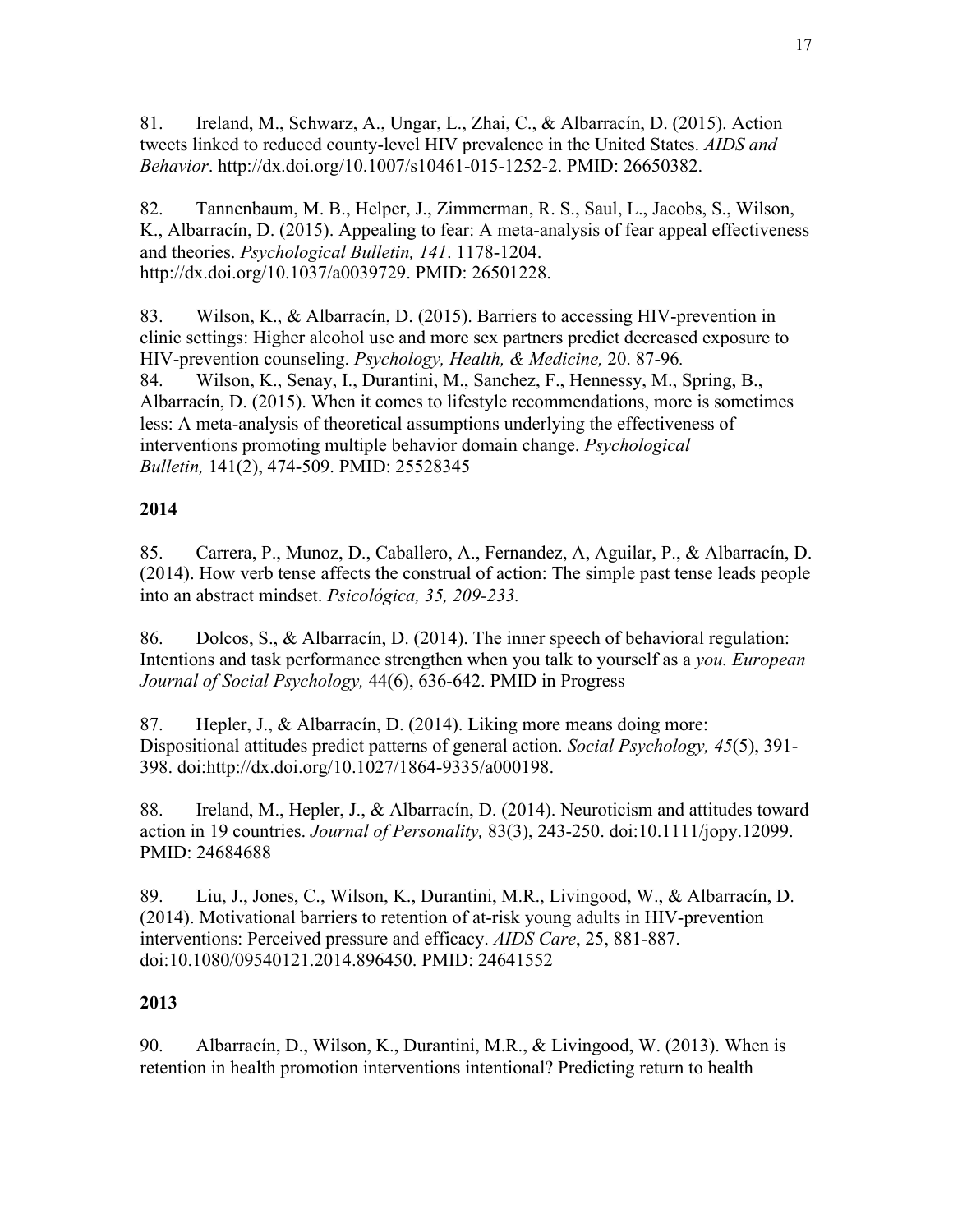81. Ireland, M., Schwarz, A., Ungar, L., Zhai, C., & Albarracín, D. (2015). Action tweets linked to reduced county-level HIV prevalence in the United States. *AIDS and Behavior*. http://dx.doi.org/10.1007/s10461-015-1252-2. PMID: 26650382.

82. Tannenbaum, M. B., Helper, J., Zimmerman, R. S., Saul, L., Jacobs, S., Wilson, K., Albarracín, D. (2015). Appealing to fear: A meta-analysis of fear appeal effectiveness and theories. *Psychological Bulletin, 141*. 1178-1204. http://dx.doi.org/10.1037/a0039729. PMID: 26501228.

83. Wilson, K., & Albarracín, D. (2015). Barriers to accessing HIV-prevention in clinic settings: Higher alcohol use and more sex partners predict decreased exposure to HIV-prevention counseling. *Psychology, Health, & Medicine,* 20. 87-96*.* 84. Wilson, K., Senay, I., Durantini, M., Sanchez, F., Hennessy, M., Spring, B., Albarracín, D. (2015). When it comes to lifestyle recommendations, more is sometimes less: A meta-analysis of theoretical assumptions underlying the effectiveness of interventions promoting multiple behavior domain change. *Psychological Bulletin,* 141(2), 474-509. PMID: 25528345

#### **2014**

85. Carrera, P., Munoz, D., Caballero, A., Fernandez, A, Aguilar, P., & Albarracín, D. (2014). How verb tense affects the construal of action: The simple past tense leads people into an abstract mindset. *Psicológica, 35, 209-233.* 

86. Dolcos, S., & Albarracín, D. (2014). The inner speech of behavioral regulation: Intentions and task performance strengthen when you talk to yourself as a *you. European Journal of Social Psychology,* 44(6), 636-642. PMID in Progress

87. Hepler, J., & Albarracín, D. (2014). Liking more means doing more: Dispositional attitudes predict patterns of general action. *Social Psychology, 45*(5), 391- 398. doi:http://dx.doi.org/10.1027/1864-9335/a000198.

88. Ireland, M., Hepler, J., & Albarracín, D. (2014). Neuroticism and attitudes toward action in 19 countries. *Journal of Personality,* 83(3), 243-250. doi:10.1111/jopy.12099. PMID: 24684688

89. Liu, J., Jones, C., Wilson, K., Durantini, M.R., Livingood, W., & Albarracín, D. (2014). Motivational barriers to retention of at-risk young adults in HIV-prevention interventions: Perceived pressure and efficacy. *AIDS Care*, 25, 881-887. doi:10.1080/09540121.2014.896450. PMID: 24641552

#### **2013**

90. Albarracín, D., Wilson, K., Durantini, M.R., & Livingood, W. (2013). When is retention in health promotion interventions intentional? Predicting return to health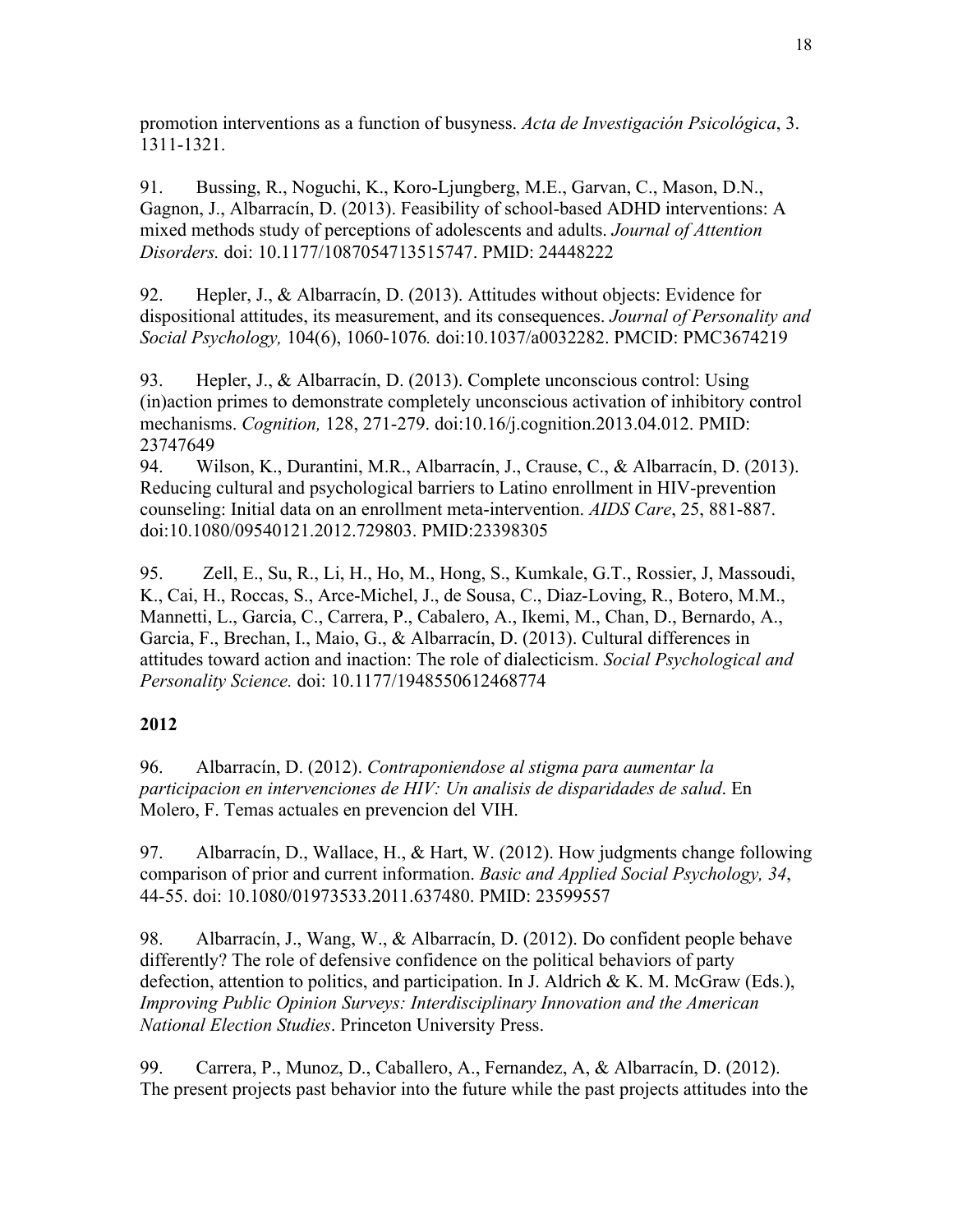promotion interventions as a function of busyness. *Acta de Investigación Psicológica*, 3. 1311-1321.

91. Bussing, R., Noguchi, K., Koro-Ljungberg, M.E., Garvan, C., Mason, D.N., Gagnon, J., Albarracín, D. (2013). Feasibility of school-based ADHD interventions: A mixed methods study of perceptions of adolescents and adults. *Journal of Attention Disorders.* doi: 10.1177/1087054713515747. PMID: 24448222

92. Hepler, J., & Albarracín, D. (2013). Attitudes without objects: Evidence for dispositional attitudes, its measurement, and its consequences. *Journal of Personality and Social Psychology,* 104(6), 1060-1076*.* doi:10.1037/a0032282. PMCID: PMC3674219

93. Hepler, J., & Albarracín, D. (2013). Complete unconscious control: Using (in)action primes to demonstrate completely unconscious activation of inhibitory control mechanisms. *Cognition,* 128, 271-279. doi:10.16/j.cognition.2013.04.012. PMID: 23747649

94. Wilson, K., Durantini, M.R., Albarracín, J., Crause, C., & Albarracín, D. (2013). Reducing cultural and psychological barriers to Latino enrollment in HIV-prevention counseling: Initial data on an enrollment meta-intervention. *AIDS Care*, 25, 881-887. doi:10.1080/09540121.2012.729803. PMID:23398305

95. Zell, E., Su, R., Li, H., Ho, M., Hong, S., Kumkale, G.T., Rossier, J, Massoudi, K., Cai, H., Roccas, S., Arce-Michel, J., de Sousa, C., Diaz-Loving, R., Botero, M.M., Mannetti, L., Garcia, C., Carrera, P., Cabalero, A., Ikemi, M., Chan, D., Bernardo, A., Garcia, F., Brechan, I., Maio, G., & Albarracín, D. (2013). Cultural differences in attitudes toward action and inaction: The role of dialecticism. *Social Psychological and Personality Science.* doi: 10.1177/1948550612468774

### **2012**

96. Albarracín, D. (2012). *Contraponiendose al stigma para aumentar la participacion en intervenciones de HIV: Un analisis de disparidades de salud*. En Molero, F. Temas actuales en prevencion del VIH.

97. Albarracín, D., Wallace, H., & Hart, W. (2012). How judgments change following comparison of prior and current information. *Basic and Applied Social Psychology, 34*, 44-55. doi: 10.1080/01973533.2011.637480. PMID: 23599557

98. Albarracín, J., Wang, W., & Albarracín, D. (2012). Do confident people behave differently? The role of defensive confidence on the political behaviors of party defection, attention to politics, and participation. In J. Aldrich & K. M. McGraw (Eds.), *Improving Public Opinion Surveys: Interdisciplinary Innovation and the American National Election Studies*. Princeton University Press.

99. Carrera, P., Munoz, D., Caballero, A., Fernandez, A, & Albarracín, D. (2012). The present projects past behavior into the future while the past projects attitudes into the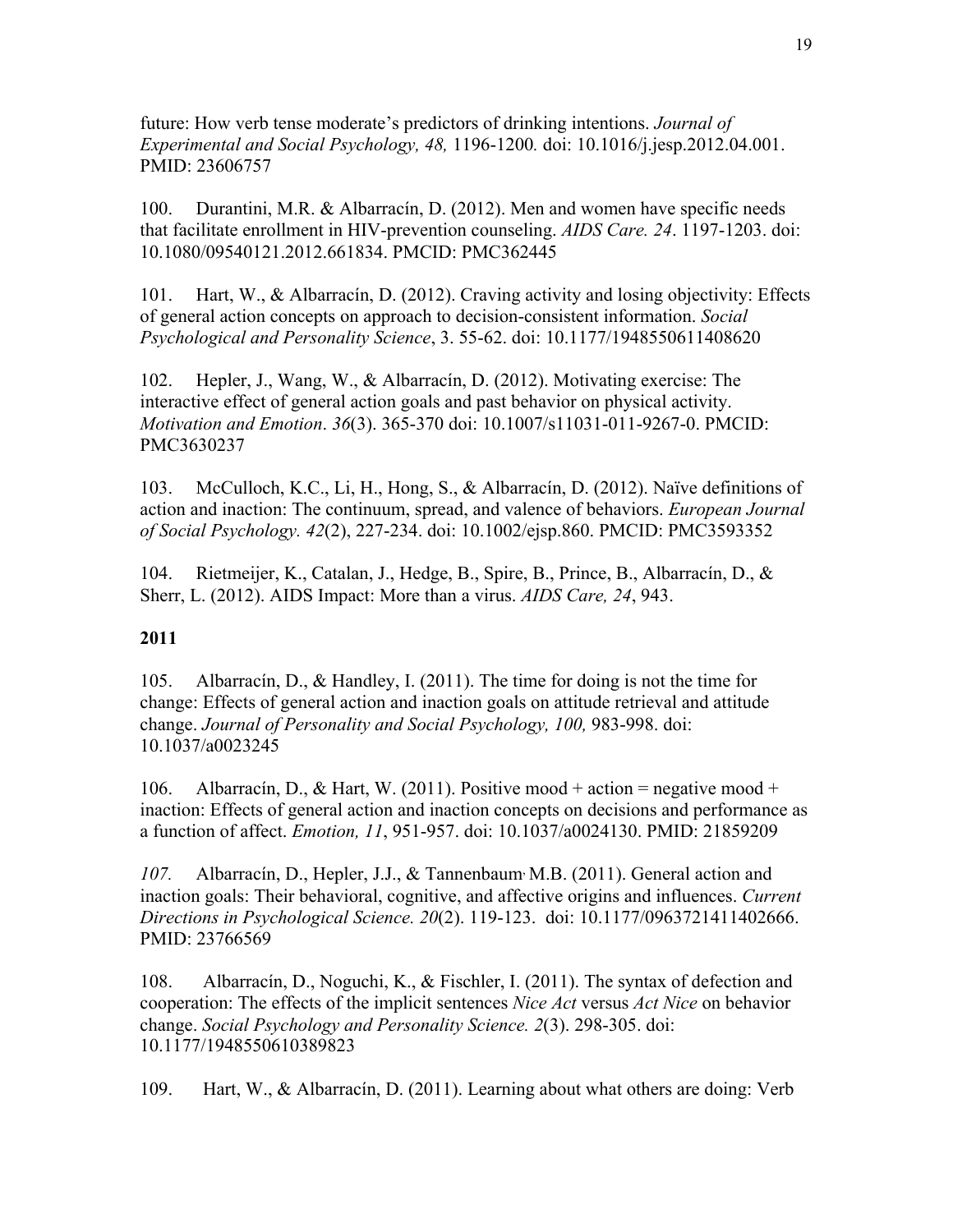future: How verb tense moderate's predictors of drinking intentions. *Journal of Experimental and Social Psychology, 48,* 1196-1200*.* doi: 10.1016/j.jesp.2012.04.001. PMID: 23606757

100. Durantini, M.R. & Albarracín, D. (2012). Men and women have specific needs that facilitate enrollment in HIV-prevention counseling. *AIDS Care. 24*. 1197-1203. doi: 10.1080/09540121.2012.661834. PMCID: PMC362445

101. Hart, W., & Albarracín, D. (2012). Craving activity and losing objectivity: Effects of general action concepts on approach to decision-consistent information. *Social Psychological and Personality Science*, 3. 55-62. doi: 10.1177/1948550611408620

102. Hepler, J., Wang, W., & Albarracín, D. (2012). Motivating exercise: The interactive effect of general action goals and past behavior on physical activity. *Motivation and Emotion*. *36*(3). 365-370 doi: 10.1007/s11031-011-9267-0. PMCID: PMC3630237

103. McCulloch, K.C., Li, H., Hong, S., & Albarracín, D. (2012). Naïve definitions of action and inaction: The continuum, spread, and valence of behaviors. *European Journal of Social Psychology. 42*(2), 227-234. doi: 10.1002/ejsp.860. PMCID: PMC3593352

104. Rietmeijer, K., Catalan, J., Hedge, B., Spire, B., Prince, B., Albarracín, D., & Sherr, L. (2012). AIDS Impact: More than a virus. *AIDS Care, 24*, 943.

#### **2011**

105. Albarracín, D., & Handley, I. (2011). The time for doing is not the time for change: Effects of general action and inaction goals on attitude retrieval and attitude change. *Journal of Personality and Social Psychology, 100, 983-998. doi:* 10.1037/a0023245

106. Albarracín, D., & Hart, W. (2011). Positive mood + action = negative mood + inaction: Effects of general action and inaction concepts on decisions and performance as a function of affect. *Emotion, 11*, 951-957. doi: 10.1037/a0024130. PMID: 21859209

*107.* Albarracín, D., Hepler, J.J., & Tannenbaum, M.B. (2011). General action and inaction goals: Their behavioral, cognitive, and affective origins and influences. *Current Directions in Psychological Science. 20*(2). 119-123. doi: 10.1177/0963721411402666. PMID: 23766569

108. Albarracín, D., Noguchi, K., & Fischler, I. (2011). The syntax of defection and cooperation: The effects of the implicit sentences *Nice Act* versus *Act Nice* on behavior change. *Social Psychology and Personality Science. 2*(3). 298-305. doi: 10.1177/1948550610389823

109. Hart, W., & Albarracín, D. (2011). Learning about what others are doing: Verb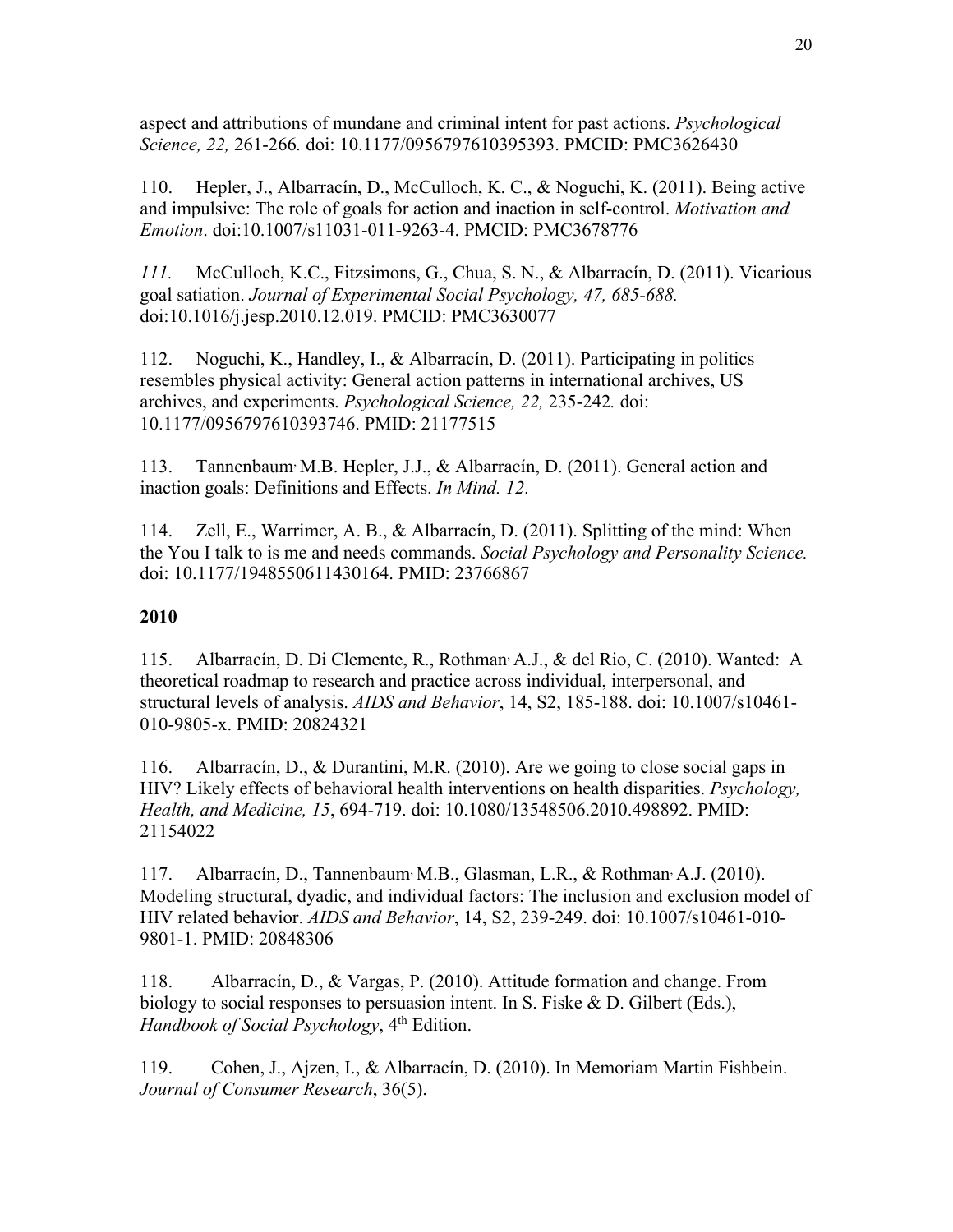aspect and attributions of mundane and criminal intent for past actions. *Psychological Science, 22,* 261-266*.* doi: 10.1177/0956797610395393. PMCID: PMC3626430

110. Hepler, J., Albarracín, D., McCulloch, K. C., & Noguchi, K. (2011). Being active and impulsive: The role of goals for action and inaction in self-control. *Motivation and Emotion*. doi:10.1007/s11031-011-9263-4. PMCID: PMC3678776

*111.* McCulloch, K.C., Fitzsimons, G., Chua, S. N., & Albarracín, D. (2011). Vicarious goal satiation. *Journal of Experimental Social Psychology, 47, 685-688.*  doi:10.1016/j.jesp.2010.12.019. PMCID: PMC3630077

112. Noguchi, K., Handley, I., & Albarracín, D. (2011). Participating in politics resembles physical activity: General action patterns in international archives, US archives, and experiments. *Psychological Science, 22,* 235-242*.* doi: 10.1177/0956797610393746. PMID: 21177515

113. Tannenbaum, M.B. Hepler, J.J., & Albarracín, D. (2011). General action and inaction goals: Definitions and Effects. *In Mind. 12*.

114. Zell, E., Warrimer, A. B., & Albarracín, D. (2011). Splitting of the mind: When the You I talk to is me and needs commands. *Social Psychology and Personality Science.*  doi: 10.1177/1948550611430164. PMID: 23766867

#### **2010**

115. Albarracín, D. Di Clemente, R., Rothman, A.J., & del Rio, C. (2010). Wanted: A theoretical roadmap to research and practice across individual, interpersonal, and structural levels of analysis. *AIDS and Behavior*, 14, S2, 185-188. doi: 10.1007/s10461- 010-9805-x. PMID: 20824321

116. Albarracín, D., & Durantini, M.R. (2010). Are we going to close social gaps in HIV? Likely effects of behavioral health interventions on health disparities. *Psychology, Health, and Medicine, 15*, 694-719. doi: 10.1080/13548506.2010.498892. PMID: 21154022

117. Albarracín, D., Tannenbaum, M.B., Glasman, L.R., & Rothman, A.J. (2010). Modeling structural, dyadic, and individual factors: The inclusion and exclusion model of HIV related behavior. *AIDS and Behavior*, 14, S2, 239-249. doi: 10.1007/s10461-010- 9801-1. PMID: 20848306

118. Albarracín, D., & Vargas, P. (2010). Attitude formation and change. From biology to social responses to persuasion intent. In S. Fiske & D. Gilbert (Eds.), *Handbook of Social Psychology*, 4<sup>th</sup> Edition.

119. Cohen, J., Ajzen, I., & Albarracín, D. (2010). In Memoriam Martin Fishbein. *Journal of Consumer Research*, 36(5).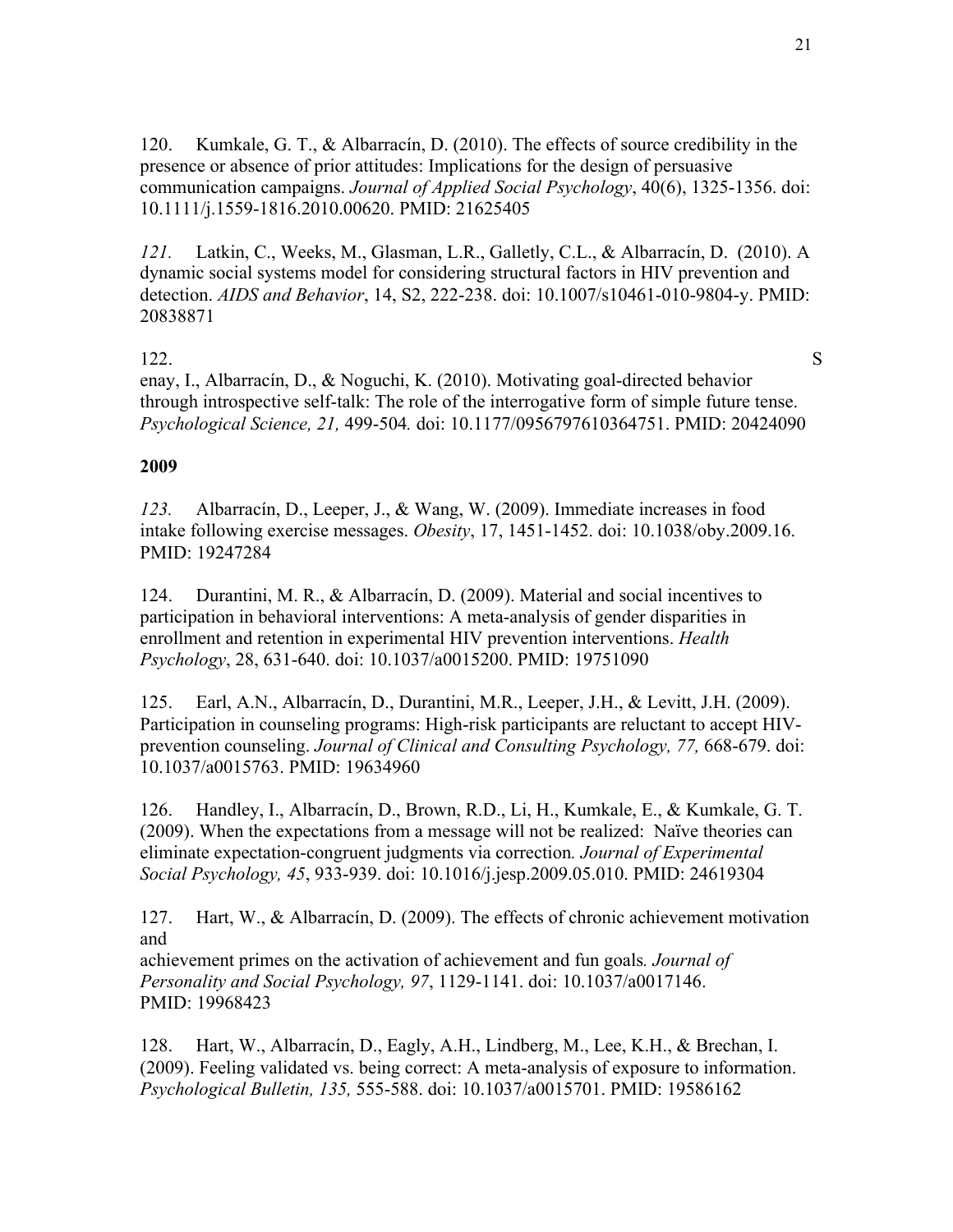120. Kumkale, G. T., & Albarracín, D. (2010). The effects of source credibility in the presence or absence of prior attitudes: Implications for the design of persuasive communication campaigns. *Journal of Applied Social Psychology*, 40(6), 1325-1356. doi: 10.1111/j.1559-1816.2010.00620. PMID: 21625405

*121.* Latkin, C., Weeks, M., Glasman, L.R., Galletly, C.L., & Albarracín, D. (2010). A dynamic social systems model for considering structural factors in HIV prevention and detection. *AIDS and Behavior*, 14, S2, 222-238. doi: 10.1007/s10461-010-9804-y. PMID: 20838871

122. S

enay, I., Albarracín, D., & Noguchi, K. (2010). Motivating goal-directed behavior through introspective self-talk: The role of the interrogative form of simple future tense. *Psychological Science, 21,* 499-504*.* doi: 10.1177/0956797610364751. PMID: 20424090

#### **2009**

*123.* Albarracín, D., Leeper, J., & Wang, W. (2009). Immediate increases in food intake following exercise messages. *Obesity*, 17, 1451-1452. doi: 10.1038/oby.2009.16. PMID: 19247284

124. Durantini, M. R., & Albarracín, D. (2009). Material and social incentives to participation in behavioral interventions: A meta-analysis of gender disparities in enrollment and retention in experimental HIV prevention interventions. *Health Psychology*, 28, 631-640. doi: 10.1037/a0015200. PMID: 19751090

125. Earl, A.N., Albarracín, D., Durantini, M.R., Leeper, J.H., & Levitt, J.H. (2009). Participation in counseling programs: High-risk participants are reluctant to accept HIVprevention counseling. *Journal of Clinical and Consulting Psychology, 77,* 668-679. doi: 10.1037/a0015763. PMID: 19634960

126. Handley, I., Albarracín, D., Brown, R.D., Li, H., Kumkale, E., & Kumkale, G. T. (2009). When the expectations from a message will not be realized: Naïve theories can eliminate expectation-congruent judgments via correction*. Journal of Experimental Social Psychology, 45*, 933-939. doi: 10.1016/j.jesp.2009.05.010. PMID: 24619304

127. Hart, W., & Albarracín, D. (2009). The effects of chronic achievement motivation and

achievement primes on the activation of achievement and fun goals*. Journal of Personality and Social Psychology, 97*, 1129-1141. doi: 10.1037/a0017146. PMID: 19968423

128. Hart, W., Albarracín, D., Eagly, A.H., Lindberg, M., Lee, K.H., & Brechan, I. (2009). Feeling validated vs. being correct: A meta-analysis of exposure to information. *Psychological Bulletin, 135,* 555-588. doi: 10.1037/a0015701. PMID: 19586162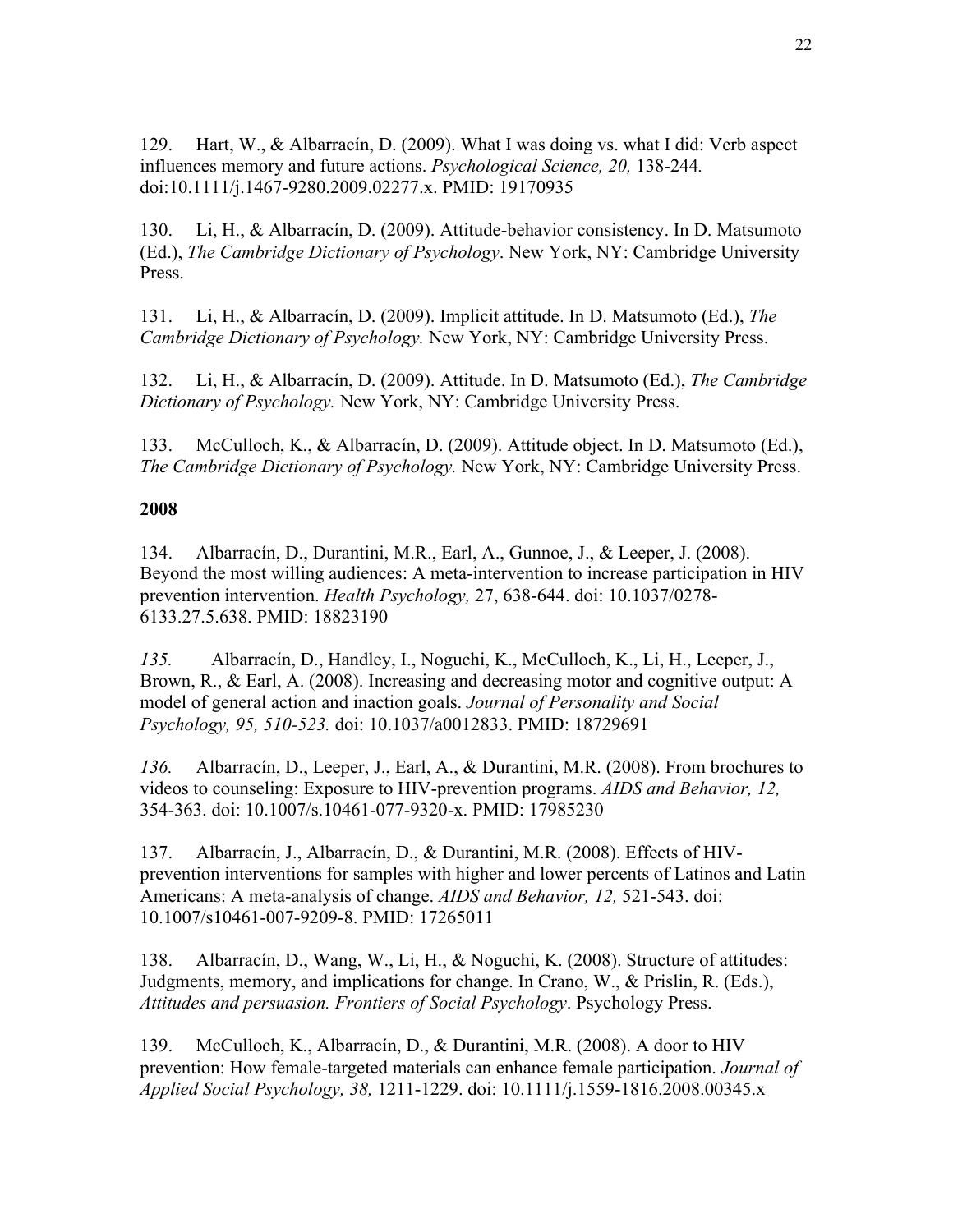129. Hart, W., & Albarracín, D. (2009). What I was doing vs. what I did: Verb aspect influences memory and future actions. *Psychological Science, 20,* 138-244*.*  doi:10.1111/j.1467-9280.2009.02277.x. PMID: 19170935

130. Li, H., & Albarracín, D. (2009). Attitude-behavior consistency. In D. Matsumoto (Ed.), *The Cambridge Dictionary of Psychology*. New York, NY: Cambridge University Press.

131. Li, H., & Albarracín, D. (2009). Implicit attitude. In D. Matsumoto (Ed.), *The Cambridge Dictionary of Psychology.* New York, NY: Cambridge University Press.

132. Li, H., & Albarracín, D. (2009). Attitude. In D. Matsumoto (Ed.), *The Cambridge Dictionary of Psychology.* New York, NY: Cambridge University Press.

133. McCulloch, K., & Albarracín, D. (2009). Attitude object. In D. Matsumoto (Ed.), *The Cambridge Dictionary of Psychology.* New York, NY: Cambridge University Press.

#### **2008**

134. Albarracín, D., Durantini, M.R., Earl, A., Gunnoe, J., & Leeper, J. (2008). Beyond the most willing audiences: A meta-intervention to increase participation in HIV prevention intervention. *Health Psychology,* 27, 638-644. doi: 10.1037/0278- 6133.27.5.638. PMID: 18823190

*135.* Albarracín, D., Handley, I., Noguchi, K., McCulloch, K., Li, H., Leeper, J., Brown, R., & Earl, A. (2008). Increasing and decreasing motor and cognitive output: A model of general action and inaction goals. *Journal of Personality and Social Psychology, 95, 510-523.* doi: 10.1037/a0012833. PMID: 18729691

*136.* Albarracín, D., Leeper, J., Earl, A., & Durantini, M.R. (2008). From brochures to videos to counseling: Exposure to HIV-prevention programs. *AIDS and Behavior, 12,*  354-363. doi: 10.1007/s.10461-077-9320-x. PMID: 17985230

137. Albarracín, J., Albarracín, D., & Durantini, M.R. (2008). Effects of HIVprevention interventions for samples with higher and lower percents of Latinos and Latin Americans: A meta-analysis of change. *AIDS and Behavior, 12,* 521-543. doi: 10.1007/s10461-007-9209-8. PMID: 17265011

138. Albarracín, D., Wang, W., Li, H., & Noguchi, K. (2008). Structure of attitudes: Judgments, memory, and implications for change. In Crano, W., & Prislin, R. (Eds.), *Attitudes and persuasion. Frontiers of Social Psychology*. Psychology Press.

139. McCulloch, K., Albarracín, D., & Durantini, M.R. (2008). A door to HIV prevention: How female-targeted materials can enhance female participation. *Journal of Applied Social Psychology, 38,* 1211-1229. doi: 10.1111/j.1559-1816.2008.00345.x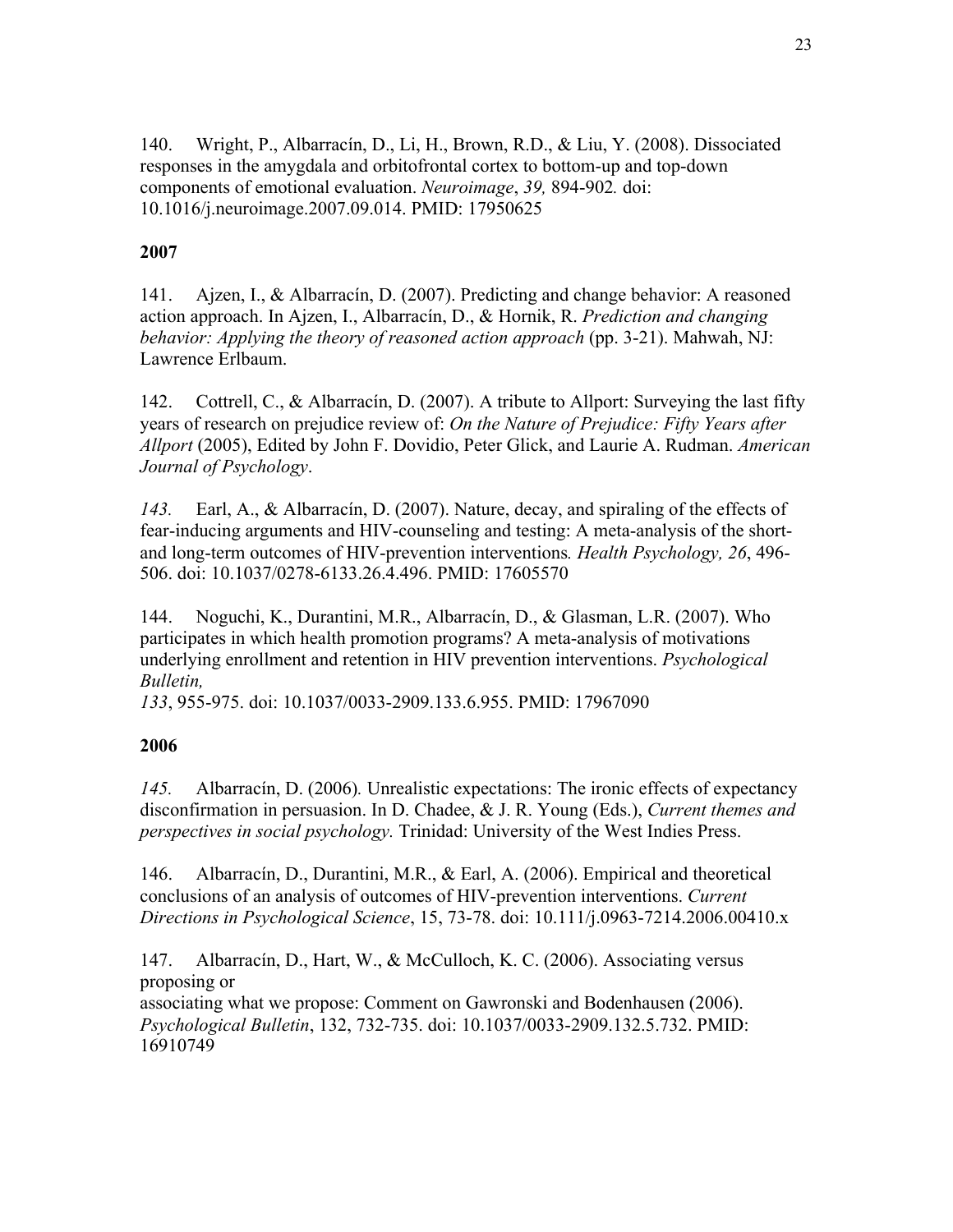140. Wright, P., Albarracín, D., Li, H., Brown, R.D., & Liu, Y. (2008). Dissociated responses in the amygdala and orbitofrontal cortex to bottom-up and top-down components of emotional evaluation. *Neuroimage*, *39,* 894-902*.* doi: 10.1016/j.neuroimage.2007.09.014. PMID: 17950625

#### **2007**

141. Ajzen, I., & Albarracín, D. (2007). Predicting and change behavior: A reasoned action approach. In Ajzen, I., Albarracín, D., & Hornik, R. *Prediction and changing behavior: Applying the theory of reasoned action approach* (pp. 3-21). Mahwah, NJ: Lawrence Erlbaum.

142. Cottrell, C., & Albarracín, D. (2007). A tribute to Allport: Surveying the last fifty years of research on prejudice review of: *On the Nature of Prejudice: Fifty Years after Allport* (2005), Edited by John F. Dovidio, Peter Glick, and Laurie A. Rudman. *American Journal of Psychology*.

*143.* Earl, A., & Albarracín, D. (2007). Nature, decay, and spiraling of the effects of fear-inducing arguments and HIV-counseling and testing: A meta-analysis of the shortand long-term outcomes of HIV-prevention interventions*. Health Psychology, 26*, 496- 506. doi: 10.1037/0278-6133.26.4.496. PMID: 17605570

144. Noguchi, K., Durantini, M.R., Albarracín, D., & Glasman, L.R. (2007). Who participates in which health promotion programs? A meta-analysis of motivations underlying enrollment and retention in HIV prevention interventions. *Psychological Bulletin,*

*133*, 955-975. doi: 10.1037/0033-2909.133.6.955. PMID: 17967090

#### **2006**

*145.* Albarracín, D. (2006)*.* Unrealistic expectations: The ironic effects of expectancy disconfirmation in persuasion. In D. Chadee, & J. R. Young (Eds.), *Current themes and perspectives in social psychology.* Trinidad: University of the West Indies Press.

146. Albarracín, D., Durantini, M.R., & Earl, A. (2006). Empirical and theoretical conclusions of an analysis of outcomes of HIV-prevention interventions. *Current Directions in Psychological Science*, 15, 73-78. doi: 10.111/j.0963-7214.2006.00410.x

147. Albarracín, D., Hart, W., & McCulloch, K. C. (2006). Associating versus proposing or

associating what we propose: Comment on Gawronski and Bodenhausen (2006). *Psychological Bulletin*, 132, 732-735. doi: 10.1037/0033-2909.132.5.732. PMID: 16910749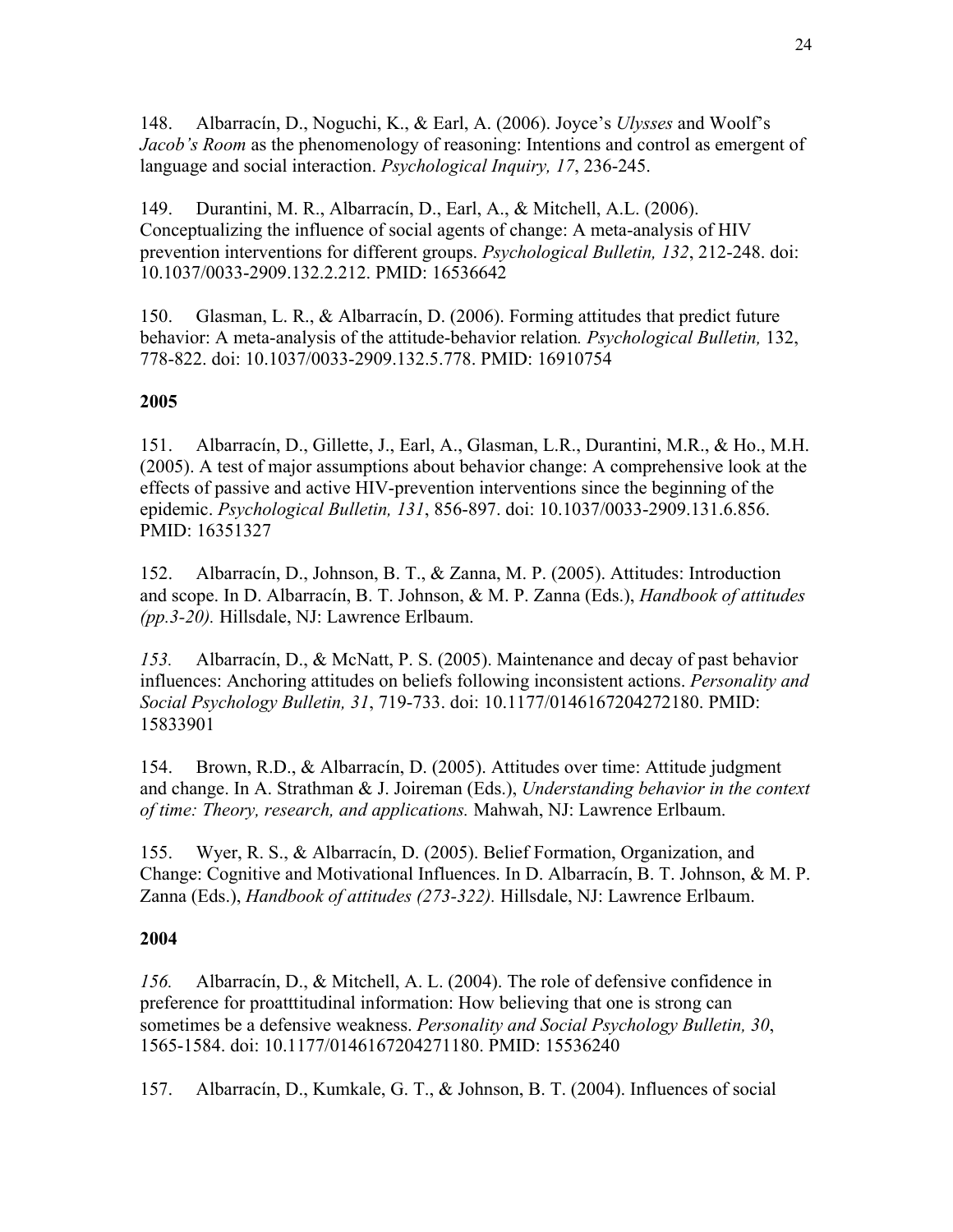148. Albarracín, D., Noguchi, K., & Earl, A. (2006). Joyce's *Ulysses* and Woolf's *Jacob's Room* as the phenomenology of reasoning: Intentions and control as emergent of language and social interaction. *Psychological Inquiry, 17*, 236-245.

149. Durantini, M. R., Albarracín, D., Earl, A., & Mitchell, A.L. (2006). Conceptualizing the influence of social agents of change: A meta-analysis of HIV prevention interventions for different groups. *Psychological Bulletin, 132*, 212-248. doi: 10.1037/0033-2909.132.2.212. PMID: 16536642

150. Glasman, L. R., & Albarracín, D. (2006). Forming attitudes that predict future behavior: A meta-analysis of the attitude-behavior relation*. Psychological Bulletin,* 132, 778-822. doi: 10.1037/0033-2909.132.5.778. PMID: 16910754

#### **2005**

151. Albarracín, D., Gillette, J., Earl, A., Glasman, L.R., Durantini, M.R., & Ho., M.H. (2005). A test of major assumptions about behavior change: A comprehensive look at the effects of passive and active HIV-prevention interventions since the beginning of the epidemic. *Psychological Bulletin, 131*, 856-897. doi: 10.1037/0033-2909.131.6.856. PMID: 16351327

152. Albarracín, D., Johnson, B. T., & Zanna, M. P. (2005). Attitudes: Introduction and scope. In D. Albarracín, B. T. Johnson, & M. P. Zanna (Eds.), *Handbook of attitudes (pp.3-20).* Hillsdale, NJ: Lawrence Erlbaum.

*153.* Albarracín, D., & McNatt, P. S. (2005). Maintenance and decay of past behavior influences: Anchoring attitudes on beliefs following inconsistent actions. *Personality and Social Psychology Bulletin, 31*, 719-733. doi: 10.1177/0146167204272180. PMID: 15833901

154. Brown, R.D., & Albarracín, D. (2005). Attitudes over time: Attitude judgment and change. In A. Strathman & J. Joireman (Eds.), *Understanding behavior in the context of time: Theory, research, and applications.* Mahwah, NJ: Lawrence Erlbaum.

155. Wyer, R. S., & Albarracín, D. (2005). Belief Formation, Organization, and Change: Cognitive and Motivational Influences. In D. Albarracín, B. T. Johnson, & M. P. Zanna (Eds.), *Handbook of attitudes (273-322).* Hillsdale, NJ: Lawrence Erlbaum.

#### **2004**

*156.* Albarracín, D., & Mitchell, A. L. (2004). The role of defensive confidence in preference for proatttitudinal information: How believing that one is strong can sometimes be a defensive weakness. *Personality and Social Psychology Bulletin, 30*, 1565-1584. doi: 10.1177/0146167204271180. PMID: 15536240

157. Albarracín, D., Kumkale, G. T., & Johnson, B. T. (2004). Influences of social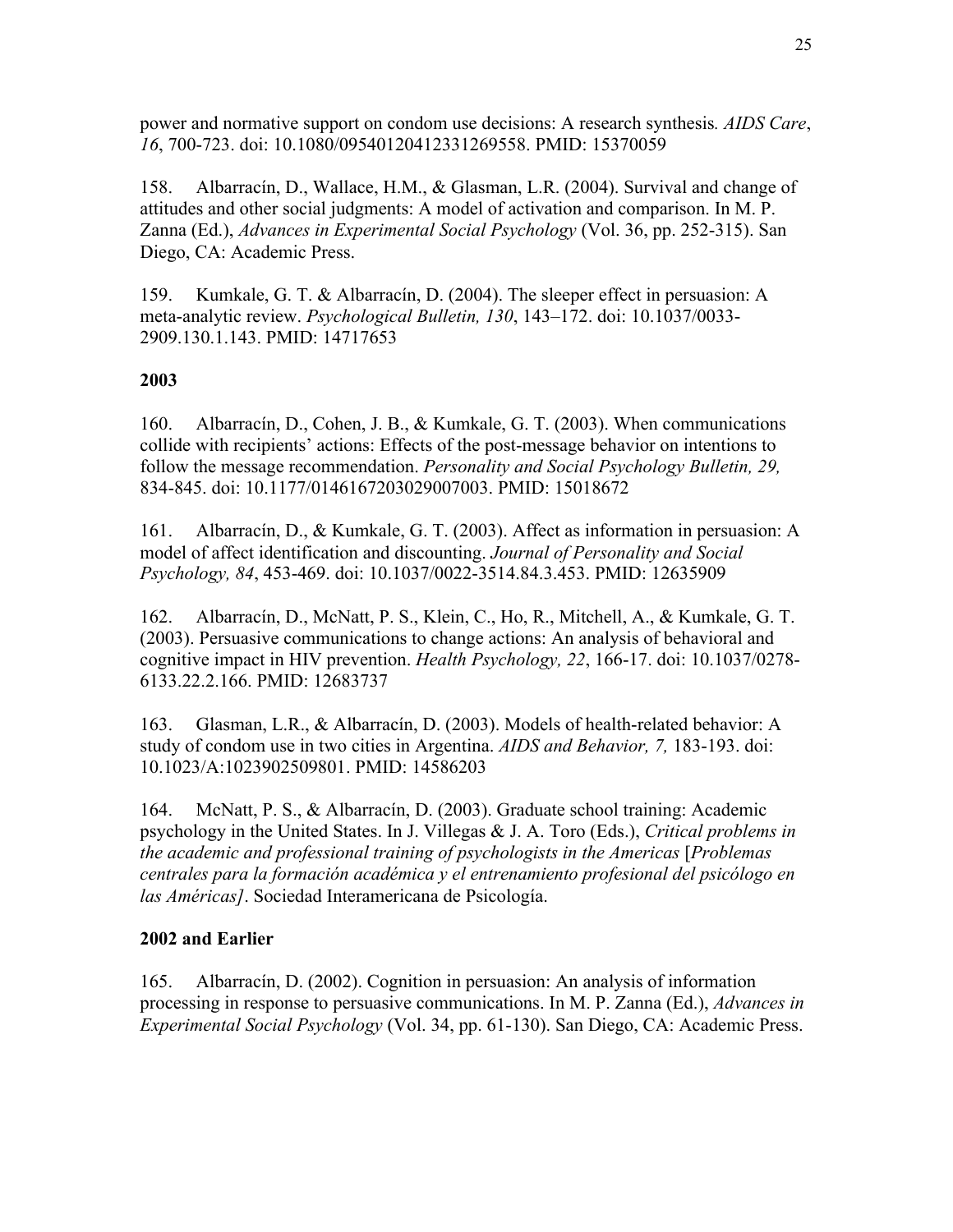power and normative support on condom use decisions: A research synthesis*. AIDS Care*, *16*, 700-723. doi: 10.1080/09540120412331269558. PMID: 15370059

158. Albarracín, D., Wallace, H.M., & Glasman, L.R. (2004). Survival and change of attitudes and other social judgments: A model of activation and comparison. In M. P. Zanna (Ed.), *Advances in Experimental Social Psychology* (Vol. 36, pp. 252-315). San Diego, CA: Academic Press.

159. Kumkale, G. T. & Albarracín, D. (2004). The sleeper effect in persuasion: A meta-analytic review. *Psychological Bulletin, 130*, 143–172. doi: 10.1037/0033- 2909.130.1.143. PMID: 14717653

#### **2003**

160. Albarracín, D., Cohen, J. B., & Kumkale, G. T. (2003). When communications collide with recipients' actions: Effects of the post-message behavior on intentions to follow the message recommendation. *Personality and Social Psychology Bulletin, 29,*  834-845. doi: 10.1177/0146167203029007003. PMID: 15018672

161. Albarracín, D., & Kumkale, G. T. (2003). Affect as information in persuasion: A model of affect identification and discounting. *Journal of Personality and Social Psychology, 84*, 453-469. doi: 10.1037/0022-3514.84.3.453. PMID: 12635909

162. Albarracín, D., McNatt, P. S., Klein, C., Ho, R., Mitchell, A., & Kumkale, G. T. (2003). Persuasive communications to change actions: An analysis of behavioral and cognitive impact in HIV prevention. *Health Psychology, 22*, 166-17. doi: 10.1037/0278- 6133.22.2.166. PMID: 12683737

163. Glasman, L.R., & Albarracín, D. (2003). Models of health-related behavior: A study of condom use in two cities in Argentina. *AIDS and Behavior, 7,* 183-193. doi: 10.1023/A:1023902509801. PMID: 14586203

164. McNatt, P. S., & Albarracín, D. (2003). Graduate school training: Academic psychology in the United States. In J. Villegas & J. A. Toro (Eds.), *Critical problems in the academic and professional training of psychologists in the Americas* [*Problemas centrales para la formación académica y el entrenamiento profesional del psicólogo en las Américas]*. Sociedad Interamericana de Psicología.

#### **2002 and Earlier**

165. Albarracín, D. (2002). Cognition in persuasion: An analysis of information processing in response to persuasive communications. In M. P. Zanna (Ed.), *Advances in Experimental Social Psychology* (Vol. 34, pp. 61-130). San Diego, CA: Academic Press.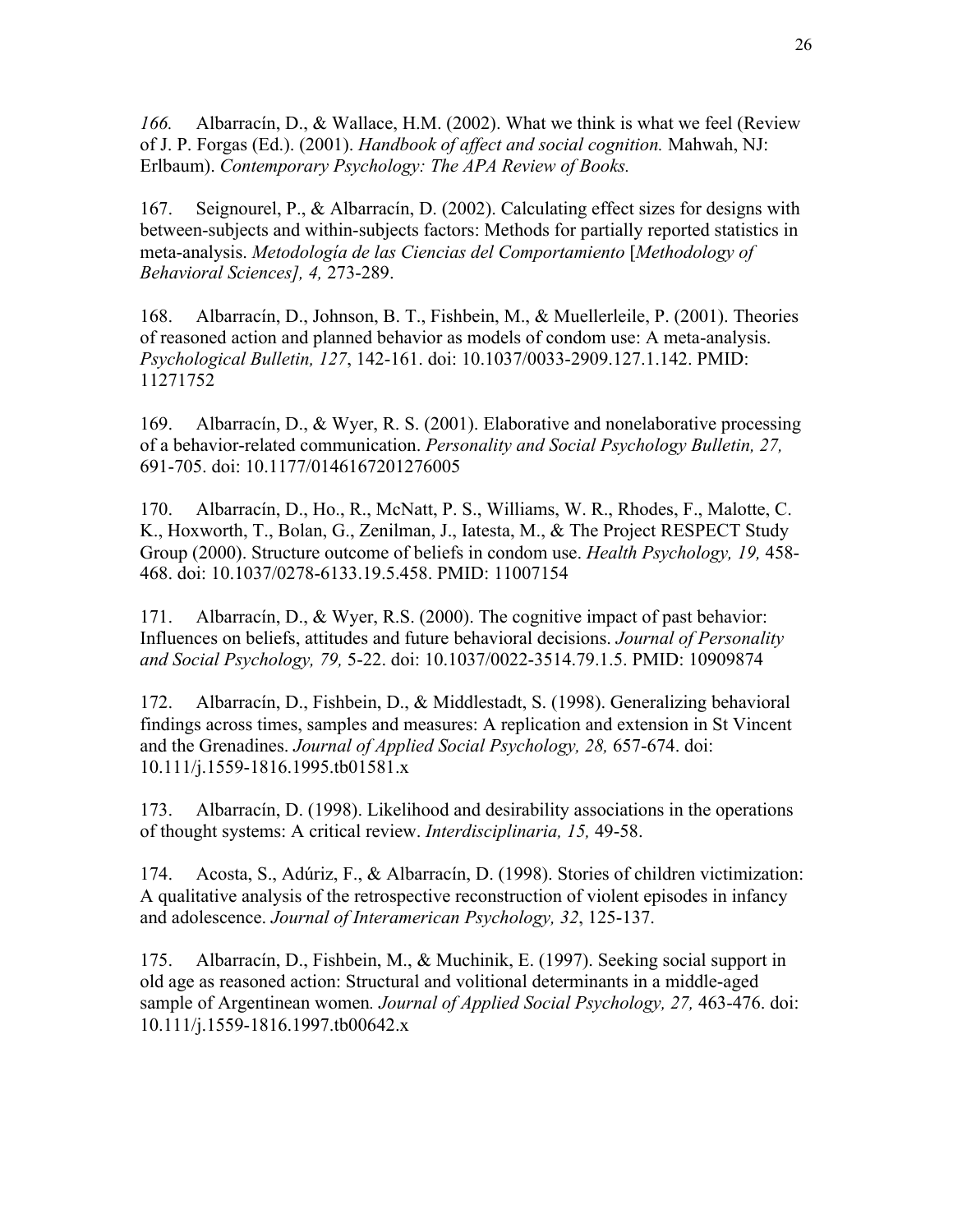*166.* Albarracín, D., & Wallace, H.M. (2002). What we think is what we feel (Review of J. P. Forgas (Ed.). (2001). *Handbook of affect and social cognition.* Mahwah, NJ: Erlbaum). *Contemporary Psychology: The APA Review of Books.*

167. Seignourel, P., & Albarracín, D. (2002). Calculating effect sizes for designs with between-subjects and within-subjects factors: Methods for partially reported statistics in meta-analysis. *Metodología de las Ciencias del Comportamiento* [*Methodology of Behavioral Sciences], 4,* 273-289.

168. Albarracín, D., Johnson, B. T., Fishbein, M., & Muellerleile, P. (2001). Theories of reasoned action and planned behavior as models of condom use: A meta-analysis. *Psychological Bulletin, 127*, 142-161. doi: 10.1037/0033-2909.127.1.142. PMID: 11271752

169. Albarracín, D., & Wyer, R. S. (2001). Elaborative and nonelaborative processing of a behavior-related communication. *Personality and Social Psychology Bulletin, 27,* 691-705. doi: 10.1177/0146167201276005

170. Albarracín, D., Ho., R., McNatt, P. S., Williams, W. R., Rhodes, F., Malotte, C. K., Hoxworth, T., Bolan, G., Zenilman, J., Iatesta, M., & The Project RESPECT Study Group (2000). Structure outcome of beliefs in condom use. *Health Psychology, 19,* 458- 468. doi: 10.1037/0278-6133.19.5.458. PMID: 11007154

171. Albarracín, D., & Wyer, R.S. (2000). The cognitive impact of past behavior: Influences on beliefs, attitudes and future behavioral decisions. *Journal of Personality and Social Psychology, 79,* 5-22. doi: 10.1037/0022-3514.79.1.5. PMID: 10909874

172. Albarracín, D., Fishbein, D., & Middlestadt, S. (1998). Generalizing behavioral findings across times, samples and measures: A replication and extension in St Vincent and the Grenadines. *Journal of Applied Social Psychology, 28,* 657-674. doi: 10.111/j.1559-1816.1995.tb01581.x

173. Albarracín, D. (1998). Likelihood and desirability associations in the operations of thought systems: A critical review. *Interdisciplinaria, 15,* 49-58.

174. Acosta, S., Adúriz, F., & Albarracín, D. (1998). Stories of children victimization: A qualitative analysis of the retrospective reconstruction of violent episodes in infancy and adolescence. *Journal of Interamerican Psychology, 32*, 125-137.

175. Albarracín, D., Fishbein, M., & Muchinik, E. (1997). Seeking social support in old age as reasoned action: Structural and volitional determinants in a middle-aged sample of Argentinean women*. Journal of Applied Social Psychology, 27,* 463-476. doi: 10.111/j.1559-1816.1997.tb00642.x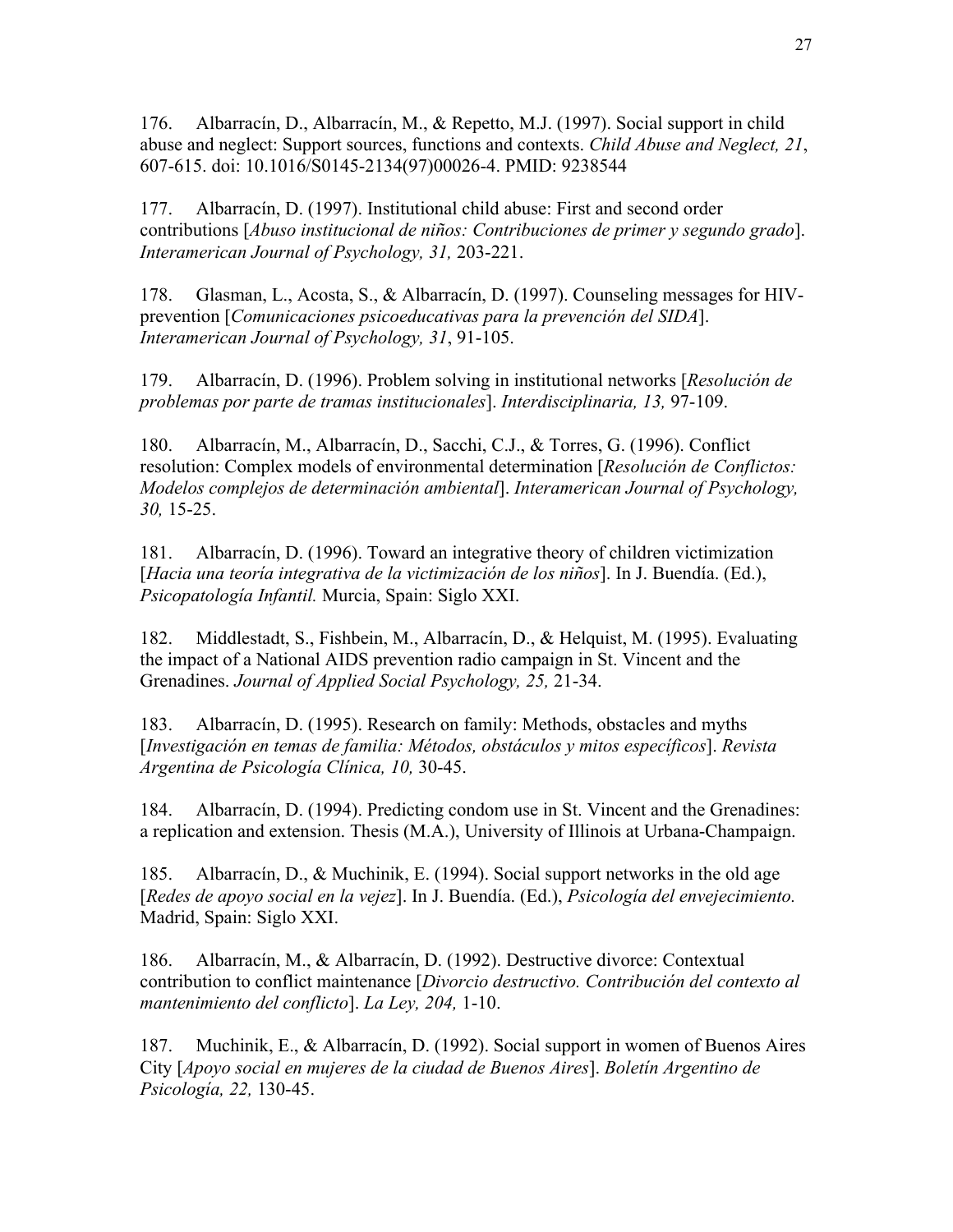176. Albarracín, D., Albarracín, M., & Repetto, M.J. (1997). Social support in child abuse and neglect: Support sources, functions and contexts. *Child Abuse and Neglect, 21*, 607-615. doi: 10.1016/S0145-2134(97)00026-4. PMID: 9238544

177. Albarracín, D. (1997). Institutional child abuse: First and second order contributions [*Abuso institucional de niños: Contribuciones de primer y segundo grado*]. *Interamerican Journal of Psychology, 31,* 203-221.

178. Glasman, L., Acosta, S., & Albarracín, D. (1997). Counseling messages for HIVprevention [*Comunicaciones psicoeducativas para la prevención del SIDA*]. *Interamerican Journal of Psychology, 31*, 91-105.

179. Albarracín, D. (1996). Problem solving in institutional networks [*Resolución de problemas por parte de tramas institucionales*]. *Interdisciplinaria, 13,* 97-109.

180. Albarracín, M., Albarracín, D., Sacchi, C.J., & Torres, G. (1996). Conflict resolution: Complex models of environmental determination [*Resolución de Conflictos: Modelos complejos de determinación ambiental*]. *Interamerican Journal of Psychology, 30,* 15-25.

181. Albarracín, D. (1996). Toward an integrative theory of children victimization [*Hacia una teoría integrativa de la victimización de los niños*]. In J. Buendía. (Ed.), *Psicopatología Infantil.* Murcia, Spain: Siglo XXI.

182. Middlestadt, S., Fishbein, M., Albarracín, D., & Helquist, M. (1995). Evaluating the impact of a National AIDS prevention radio campaign in St. Vincent and the Grenadines. *Journal of Applied Social Psychology, 25,* 21-34.

183. Albarracín, D. (1995). Research on family: Methods, obstacles and myths [*Investigación en temas de familia: Métodos, obstáculos y mitos específicos*]. *Revista Argentina de Psicología Clínica, 10,* 30-45.

184. Albarracín, D. (1994). Predicting condom use in St. Vincent and the Grenadines: a replication and extension. Thesis (M.A.), University of Illinois at Urbana-Champaign.

185. Albarracín, D., & Muchinik, E. (1994). Social support networks in the old age [*Redes de apoyo social en la vejez*]. In J. Buendía. (Ed.), *Psicología del envejecimiento.* Madrid, Spain: Siglo XXI.

186. Albarracín, M., & Albarracín, D. (1992). Destructive divorce: Contextual contribution to conflict maintenance [*Divorcio destructivo. Contribución del contexto al mantenimiento del conflicto*]. *La Ley, 204,* 1-10.

187. Muchinik, E., & Albarracín, D. (1992). Social support in women of Buenos Aires City [*Apoyo social en mujeres de la ciudad de Buenos Aires*]. *Boletín Argentino de Psicología, 22,* 130-45.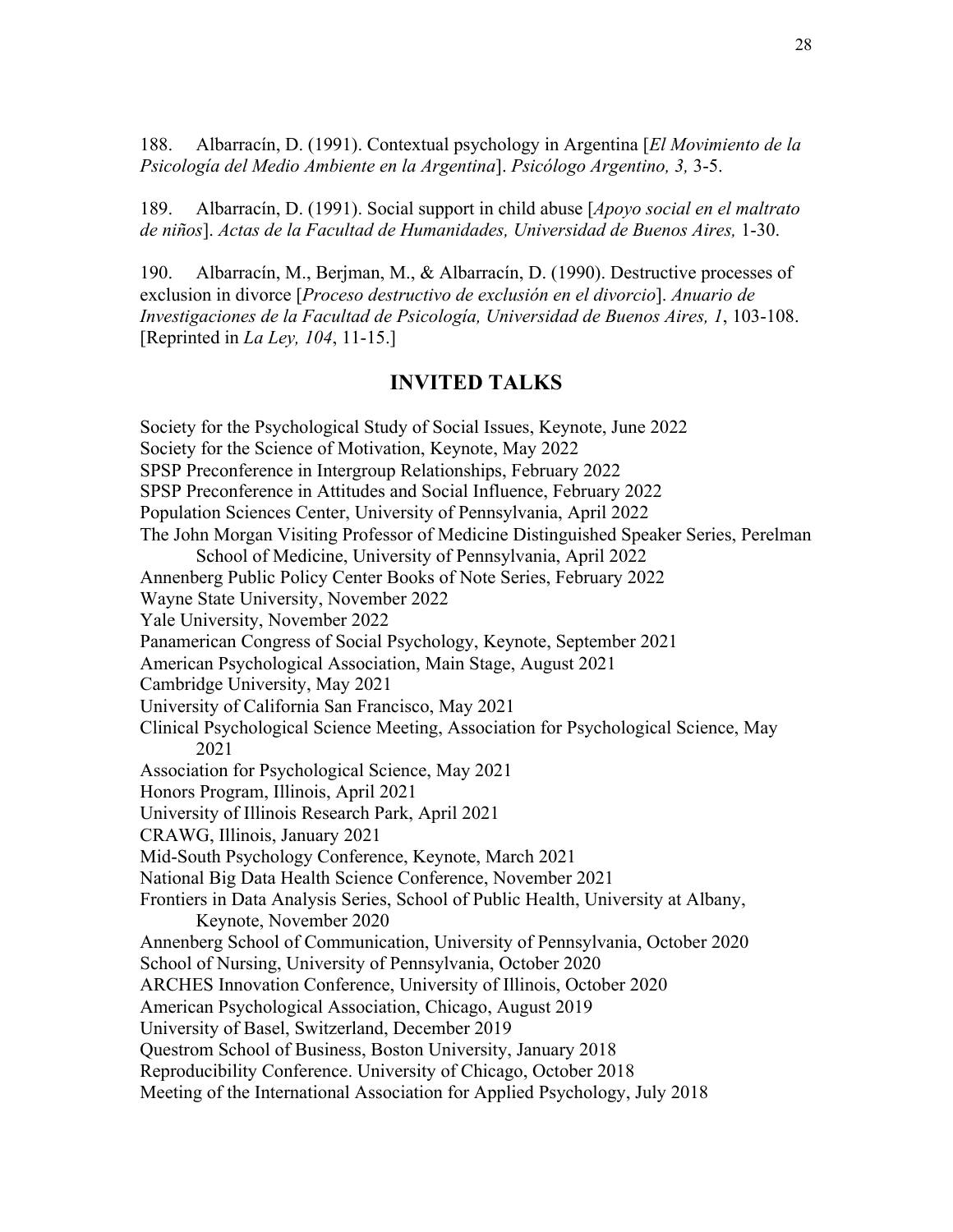188. Albarracín, D. (1991). Contextual psychology in Argentina [*El Movimiento de la Psicología del Medio Ambiente en la Argentina*]. *Psicólogo Argentino, 3,* 3-5.

189. Albarracín, D. (1991). Social support in child abuse [*Apoyo social en el maltrato de niños*]. *Actas de la Facultad de Humanidades, Universidad de Buenos Aires,* 1-30.

190. Albarracín, M., Berjman, M., & Albarracín, D. (1990). Destructive processes of exclusion in divorce [*Proceso destructivo de exclusión en el divorcio*]. *Anuario de Investigaciones de la Facultad de Psicología, Universidad de Buenos Aires, 1*, 103-108. [Reprinted in *La Ley, 104*, 11-15.]

#### **INVITED TALKS**

Society for the Psychological Study of Social Issues, Keynote, June 2022 Society for the Science of Motivation, Keynote, May 2022 SPSP Preconference in Intergroup Relationships, February 2022 SPSP Preconference in Attitudes and Social Influence, February 2022 Population Sciences Center, University of Pennsylvania, April 2022 The John Morgan Visiting Professor of Medicine Distinguished Speaker Series, Perelman School of Medicine, University of Pennsylvania, April 2022 Annenberg Public Policy Center Books of Note Series, February 2022 Wayne State University, November 2022 Yale University, November 2022 Panamerican Congress of Social Psychology, Keynote, September 2021 American Psychological Association, Main Stage, August 2021 Cambridge University, May 2021 University of California San Francisco, May 2021 Clinical Psychological Science Meeting, Association for Psychological Science, May 2021 Association for Psychological Science, May 2021 Honors Program, Illinois, April 2021 University of Illinois Research Park, April 2021 CRAWG, Illinois, January 2021 Mid-South Psychology Conference, Keynote, March 2021 National Big Data Health Science Conference, November 2021 Frontiers in Data Analysis Series, School of Public Health, University at Albany, Keynote, November 2020 Annenberg School of Communication, University of Pennsylvania, October 2020 School of Nursing, University of Pennsylvania, October 2020 ARCHES Innovation Conference, University of Illinois, October 2020 American Psychological Association, Chicago, August 2019 University of Basel, Switzerland, December 2019 Questrom School of Business, Boston University, January 2018 Reproducibility Conference. University of Chicago, October 2018 Meeting of the International Association for Applied Psychology, July 2018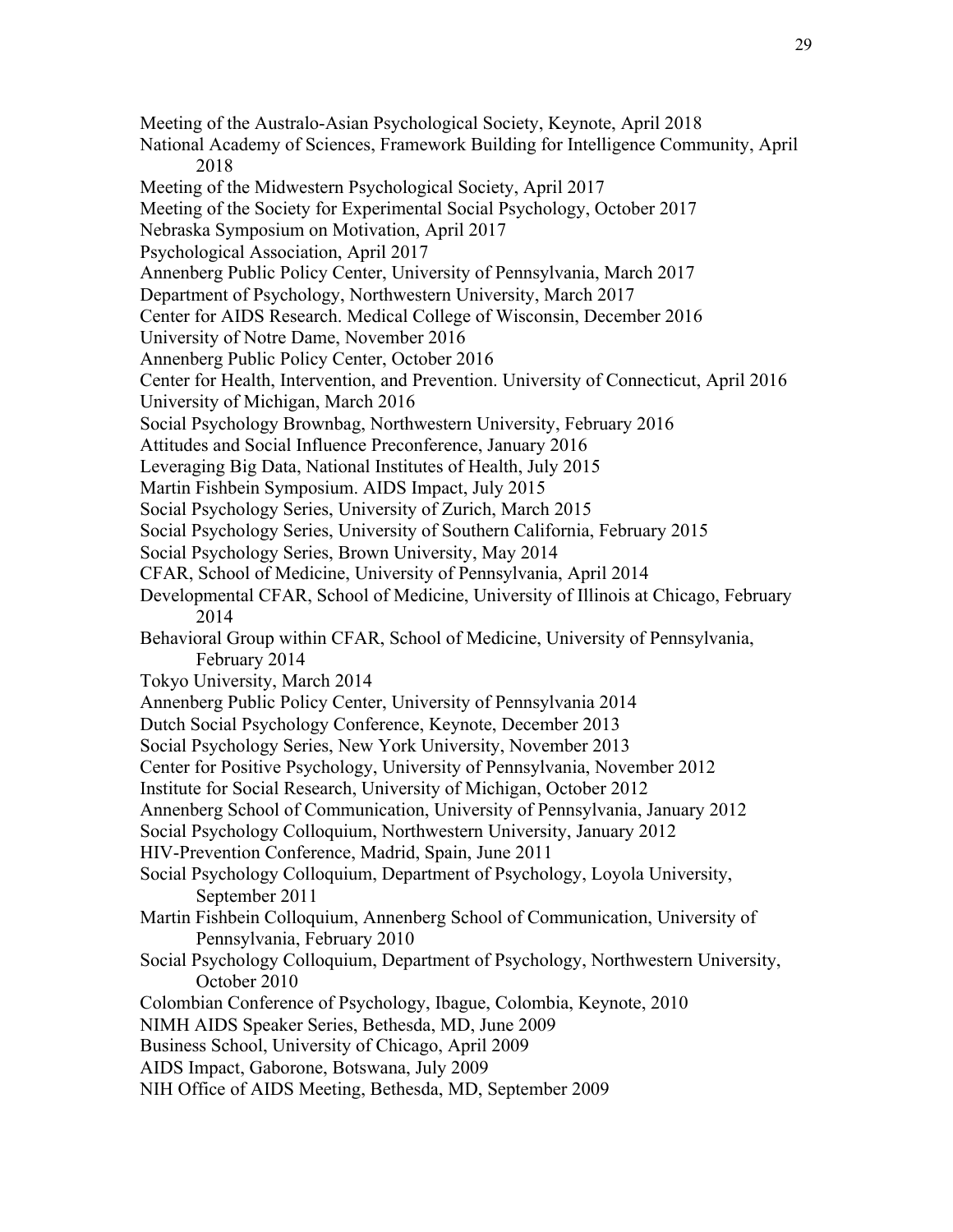Meeting of the Australo-Asian Psychological Society, Keynote, April 2018 National Academy of Sciences, Framework Building for Intelligence Community, April 2018 Meeting of the Midwestern Psychological Society, April 2017 Meeting of the Society for Experimental Social Psychology, October 2017 Nebraska Symposium on Motivation, April 2017 Psychological Association, April 2017 Annenberg Public Policy Center, University of Pennsylvania, March 2017 Department of Psychology, Northwestern University, March 2017 Center for AIDS Research. Medical College of Wisconsin, December 2016 University of Notre Dame, November 2016 Annenberg Public Policy Center, October 2016 Center for Health, Intervention, and Prevention. University of Connecticut, April 2016 University of Michigan, March 2016 Social Psychology Brownbag, Northwestern University, February 2016 Attitudes and Social Influence Preconference, January 2016 Leveraging Big Data, National Institutes of Health, July 2015 Martin Fishbein Symposium. AIDS Impact, July 2015 Social Psychology Series, University of Zurich, March 2015 Social Psychology Series, University of Southern California, February 2015 Social Psychology Series, Brown University, May 2014 CFAR, School of Medicine, University of Pennsylvania, April 2014 Developmental CFAR, School of Medicine, University of Illinois at Chicago, February 2014 Behavioral Group within CFAR, School of Medicine, University of Pennsylvania, February 2014 Tokyo University, March 2014 Annenberg Public Policy Center, University of Pennsylvania 2014 Dutch Social Psychology Conference, Keynote, December 2013 Social Psychology Series, New York University, November 2013 Center for Positive Psychology, University of Pennsylvania, November 2012 Institute for Social Research, University of Michigan, October 2012 Annenberg School of Communication, University of Pennsylvania, January 2012 Social Psychology Colloquium, Northwestern University, January 2012 HIV-Prevention Conference, Madrid, Spain, June 2011 Social Psychology Colloquium, Department of Psychology, Loyola University, September 2011 Martin Fishbein Colloquium, Annenberg School of Communication, University of Pennsylvania, February 2010 Social Psychology Colloquium, Department of Psychology, Northwestern University, October 2010 Colombian Conference of Psychology, Ibague, Colombia, Keynote, 2010 NIMH AIDS Speaker Series, Bethesda, MD, June 2009 Business School, University of Chicago, April 2009 AIDS Impact, Gaborone, Botswana, July 2009 NIH Office of AIDS Meeting, Bethesda, MD, September 2009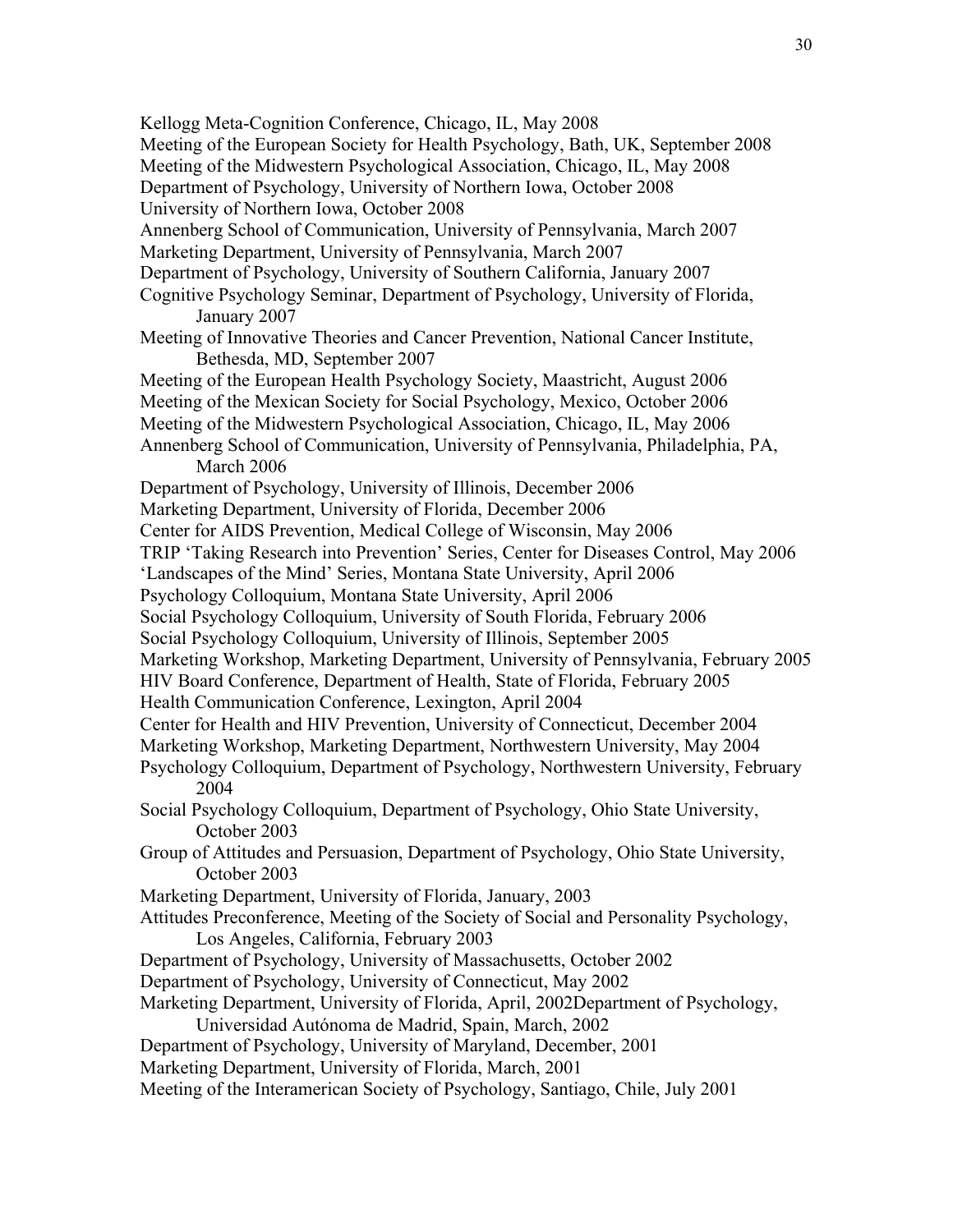Kellogg Meta-Cognition Conference, Chicago, IL, May 2008 Meeting of the European Society for Health Psychology, Bath, UK, September 2008 Meeting of the Midwestern Psychological Association, Chicago, IL, May 2008 Department of Psychology, University of Northern Iowa, October 2008 University of Northern Iowa, October 2008 Annenberg School of Communication, University of Pennsylvania, March 2007 Marketing Department, University of Pennsylvania, March 2007 Department of Psychology, University of Southern California, January 2007 Cognitive Psychology Seminar, Department of Psychology, University of Florida, January 2007 Meeting of Innovative Theories and Cancer Prevention, National Cancer Institute, Bethesda, MD, September 2007 Meeting of the European Health Psychology Society, Maastricht, August 2006 Meeting of the Mexican Society for Social Psychology, Mexico, October 2006 Meeting of the Midwestern Psychological Association, Chicago, IL, May 2006 Annenberg School of Communication, University of Pennsylvania, Philadelphia, PA, March 2006 Department of Psychology, University of Illinois, December 2006 Marketing Department, University of Florida, December 2006 Center for AIDS Prevention, Medical College of Wisconsin, May 2006 TRIP 'Taking Research into Prevention' Series, Center for Diseases Control, May 2006 'Landscapes of the Mind' Series, Montana State University, April 2006 Psychology Colloquium, Montana State University, April 2006 Social Psychology Colloquium, University of South Florida, February 2006 Social Psychology Colloquium, University of Illinois, September 2005 Marketing Workshop, Marketing Department, University of Pennsylvania, February 2005 HIV Board Conference, Department of Health, State of Florida, February 2005 Health Communication Conference, Lexington, April 2004 Center for Health and HIV Prevention, University of Connecticut, December 2004 Marketing Workshop, Marketing Department, Northwestern University, May 2004 Psychology Colloquium, Department of Psychology, Northwestern University, February 2004 Social Psychology Colloquium, Department of Psychology, Ohio State University, October 2003 Group of Attitudes and Persuasion, Department of Psychology, Ohio State University, October 2003 Marketing Department, University of Florida, January, 2003 Attitudes Preconference, Meeting of the Society of Social and Personality Psychology, Los Angeles, California, February 2003 Department of Psychology, University of Massachusetts, October 2002 Department of Psychology, University of Connecticut, May 2002 Marketing Department, University of Florida, April, 2002Department of Psychology, Universidad Autónoma de Madrid, Spain, March, 2002 Department of Psychology, University of Maryland, December, 2001 Marketing Department, University of Florida, March, 2001 Meeting of the Interamerican Society of Psychology, Santiago, Chile, July 2001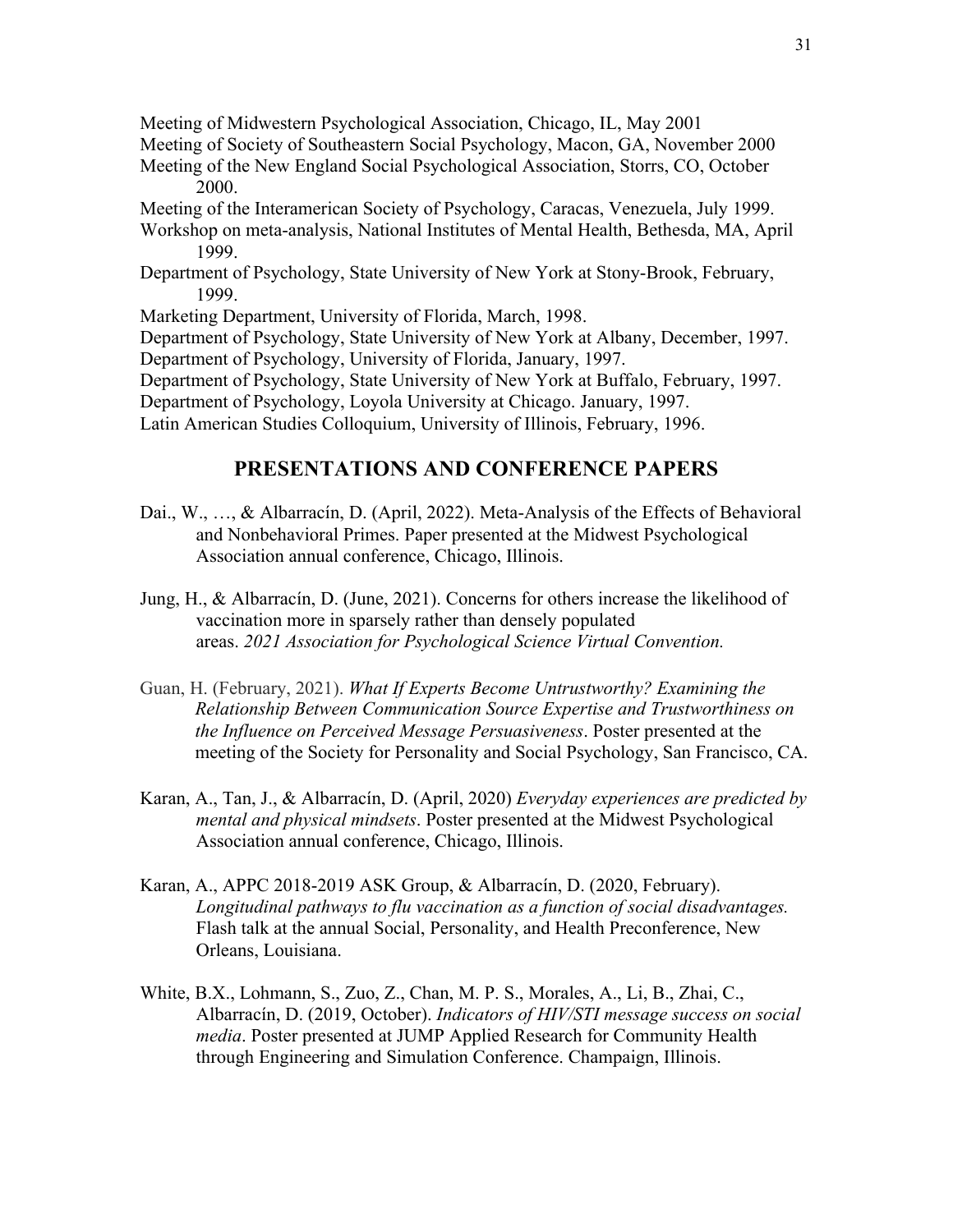Meeting of Midwestern Psychological Association, Chicago, IL, May 2001 Meeting of Society of Southeastern Social Psychology, Macon, GA, November 2000 Meeting of the New England Social Psychological Association, Storrs, CO, October 2000. Meeting of the Interamerican Society of Psychology, Caracas, Venezuela, July 1999.

- Workshop on meta-analysis, National Institutes of Mental Health, Bethesda, MA, April 1999.
- Department of Psychology, State University of New York at Stony-Brook, February, 1999.

Marketing Department, University of Florida, March, 1998.

Department of Psychology, State University of New York at Albany, December, 1997. Department of Psychology, University of Florida, January, 1997.

Department of Psychology, State University of New York at Buffalo, February, 1997.

Department of Psychology, Loyola University at Chicago. January, 1997.

Latin American Studies Colloquium, University of Illinois, February, 1996.

### **PRESENTATIONS AND CONFERENCE PAPERS**

- Dai., W., …, & Albarracín, D. (April, 2022). Meta-Analysis of the Effects of Behavioral and Nonbehavioral Primes. Paper presented at the Midwest Psychological Association annual conference, Chicago, Illinois.
- Jung, H., & Albarracín, D. (June, 2021). Concerns for others increase the likelihood of vaccination more in sparsely rather than densely populated areas. *2021 Association for Psychological Science Virtual Convention.*
- Guan, H. (February, 2021). *What If Experts Become Untrustworthy? Examining the Relationship Between Communication Source Expertise and Trustworthiness on the Influence on Perceived Message Persuasiveness*. Poster presented at the meeting of the Society for Personality and Social Psychology, San Francisco, CA.
- Karan, A., Tan, J., & Albarracín, D. (April, 2020) *Everyday experiences are predicted by mental and physical mindsets*. Poster presented at the Midwest Psychological Association annual conference, Chicago, Illinois.
- Karan, A., APPC 2018-2019 ASK Group, & Albarracín, D. (2020, February). *Longitudinal pathways to flu vaccination as a function of social disadvantages.*  Flash talk at the annual Social, Personality, and Health Preconference, New Orleans, Louisiana.
- White, B.X., Lohmann, S., Zuo, Z., Chan, M. P. S., Morales, A., Li, B., Zhai, C., Albarracín, D. (2019, October). *Indicators of HIV/STI message success on social media*. Poster presented at JUMP Applied Research for Community Health through Engineering and Simulation Conference. Champaign, Illinois.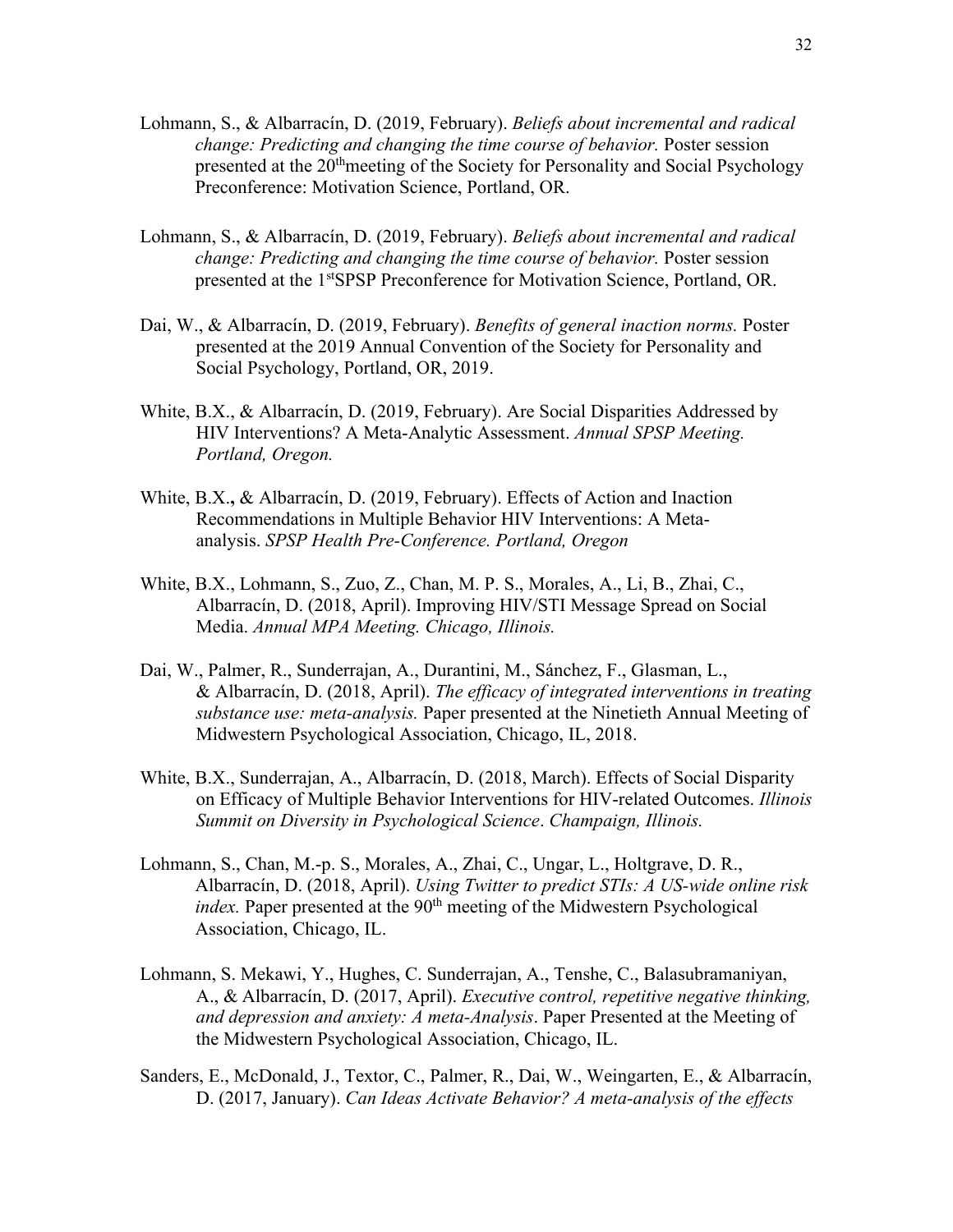- Lohmann, S., & Albarracín, D. (2019, February). *Beliefs about incremental and radical change: Predicting and changing the time course of behavior.* Poster session presented at the 20thmeeting of the Society for Personality and Social Psychology Preconference: Motivation Science, Portland, OR.
- Lohmann, S., & Albarracín, D. (2019, February). *Beliefs about incremental and radical change: Predicting and changing the time course of behavior.* Poster session presented at the 1<sup>st</sup>SPSP Preconference for Motivation Science, Portland, OR.
- Dai, W., & Albarracín, D. (2019, February). *Benefits of general inaction norms.* Poster presented at the 2019 Annual Convention of the Society for Personality and Social Psychology, Portland, OR, 2019.
- White, B.X., & Albarracín, D. (2019, February). Are Social Disparities Addressed by HIV Interventions? A Meta-Analytic Assessment. *Annual SPSP Meeting. Portland, Oregon.*
- White, B.X.**,** & Albarracín, D. (2019, February). Effects of Action and Inaction Recommendations in Multiple Behavior HIV Interventions: A Metaanalysis. *SPSP Health Pre-Conference. Portland, Oregon*
- White, B.X., Lohmann, S., Zuo, Z., Chan, M. P. S., Morales, A., Li, B., Zhai, C., Albarracín, D. (2018, April). Improving HIV/STI Message Spread on Social Media. *Annual MPA Meeting. Chicago, Illinois.*
- Dai, W., Palmer, R., Sunderrajan, A., Durantini, M., Sánchez, F., Glasman, L., & Albarracín, D. (2018, April). *The efficacy of integrated interventions in treating substance use: meta-analysis.* Paper presented at the Ninetieth Annual Meeting of Midwestern Psychological Association, Chicago, IL, 2018.
- White, B.X., Sunderrajan, A., Albarracín, D. (2018, March). Effects of Social Disparity on Efficacy of Multiple Behavior Interventions for HIV-related Outcomes. *Illinois Summit on Diversity in Psychological Science*. *Champaign, Illinois.*
- Lohmann, S., Chan, M.-p. S., Morales, A., Zhai, C., Ungar, L., Holtgrave, D. R., Albarracín, D. (2018, April). *Using Twitter to predict STIs: A US-wide online risk index.* Paper presented at the 90<sup>th</sup> meeting of the Midwestern Psychological Association, Chicago, IL.
- Lohmann, S. Mekawi, Y., Hughes, C. Sunderrajan, A., Tenshe, C., Balasubramaniyan, A., & Albarracín, D. (2017, April). *Executive control, repetitive negative thinking, and depression and anxiety: A meta-Analysis*. Paper Presented at the Meeting of the Midwestern Psychological Association, Chicago, IL.
- Sanders, E., McDonald, J., Textor, C., Palmer, R., Dai, W., Weingarten, E., & Albarracín, D. (2017, January). *Can Ideas Activate Behavior? A meta-analysis of the effects*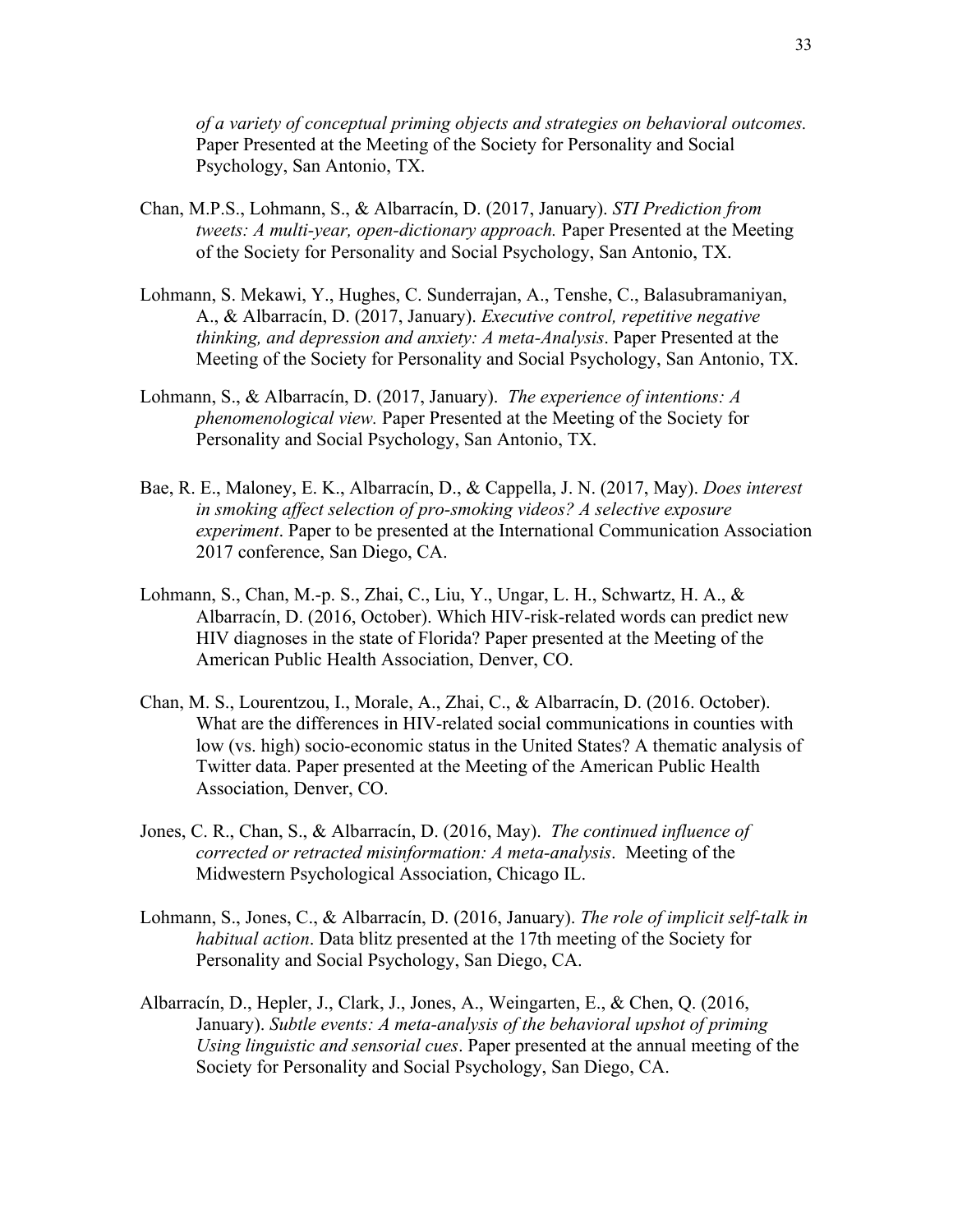*of a variety of conceptual priming objects and strategies on behavioral outcomes.*  Paper Presented at the Meeting of the Society for Personality and Social Psychology, San Antonio, TX.

- Chan, M.P.S., Lohmann, S., & Albarracín, D. (2017, January). *STI Prediction from tweets: A multi-year, open-dictionary approach.* Paper Presented at the Meeting of the Society for Personality and Social Psychology, San Antonio, TX.
- Lohmann, S. Mekawi, Y., Hughes, C. Sunderrajan, A., Tenshe, C., Balasubramaniyan, A., & Albarracín, D. (2017, January). *Executive control, repetitive negative thinking, and depression and anxiety: A meta-Analysis*. Paper Presented at the Meeting of the Society for Personality and Social Psychology, San Antonio, TX.
- Lohmann, S., & Albarracín, D. (2017, January). *The experience of intentions: A phenomenological view.* Paper Presented at the Meeting of the Society for Personality and Social Psychology, San Antonio, TX.
- Bae, R. E., Maloney, E. K., Albarracín, D., & Cappella, J. N. (2017, May). *Does interest in smoking affect selection of pro-smoking videos? A selective exposure experiment*. Paper to be presented at the International Communication Association 2017 conference, San Diego, CA.
- Lohmann, S., Chan, M.-p. S., Zhai, C., Liu, Y., Ungar, L. H., Schwartz, H. A., & Albarracín, D. (2016, October). Which HIV-risk-related words can predict new HIV diagnoses in the state of Florida? Paper presented at the Meeting of the American Public Health Association, Denver, CO.
- Chan, M. S., Lourentzou, I., Morale, A., Zhai, C., & Albarracín, D. (2016. October). What are the differences in HIV-related social communications in counties with low (vs. high) socio-economic status in the United States? A thematic analysis of Twitter data. Paper presented at the Meeting of the American Public Health Association, Denver, CO.
- Jones, C. R., Chan, S., & Albarracín, D. (2016, May). *The continued influence of corrected or retracted misinformation: A meta-analysis*. Meeting of the Midwestern Psychological Association, Chicago IL.
- Lohmann, S., Jones, C., & Albarracín, D. (2016, January). *The role of implicit self-talk in habitual action*. Data blitz presented at the 17th meeting of the Society for Personality and Social Psychology, San Diego, CA.
- Albarracín, D., Hepler, J., Clark, J., Jones, A., Weingarten, E., & Chen, Q. (2016, January). *Subtle events: A meta-analysis of the behavioral upshot of priming Using linguistic and sensorial cues*. Paper presented at the annual meeting of the Society for Personality and Social Psychology, San Diego, CA.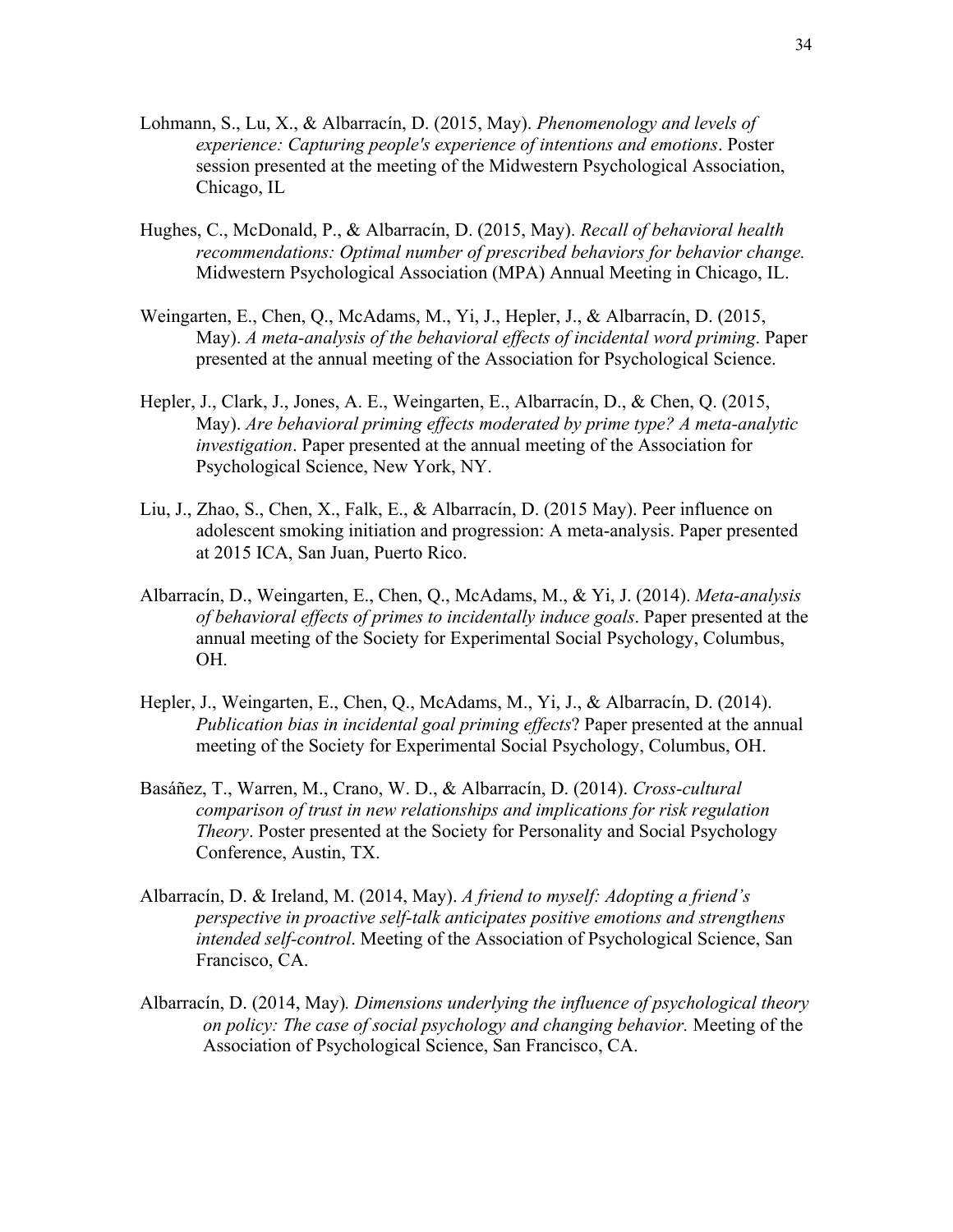- Lohmann, S., Lu, X., & Albarracín, D. (2015, May). *Phenomenology and levels of experience: Capturing people's experience of intentions and emotions*. Poster session presented at the meeting of the Midwestern Psychological Association, Chicago, IL
- Hughes, C., McDonald, P., & Albarracín, D. (2015, May). *Recall of behavioral health recommendations: Optimal number of prescribed behaviors for behavior change.* Midwestern Psychological Association (MPA) Annual Meeting in Chicago, IL.
- Weingarten, E., Chen, Q., McAdams, M., Yi, J., Hepler, J., & Albarracín, D. (2015, May). *A meta-analysis of the behavioral effects of incidental word priming*. Paper presented at the annual meeting of the Association for Psychological Science.
- Hepler, J., Clark, J., Jones, A. E., Weingarten, E., Albarracín, D., & Chen, Q. (2015, May). *Are behavioral priming effects moderated by prime type? A meta-analytic investigation*. Paper presented at the annual meeting of the Association for Psychological Science, New York, NY.
- Liu, J., Zhao, S., Chen, X., Falk, E., & Albarracín, D. (2015 May). Peer influence on adolescent smoking initiation and progression: A meta-analysis. Paper presented at 2015 ICA, San Juan, Puerto Rico.
- Albarracín, D., Weingarten, E., Chen, Q., McAdams, M., & Yi, J. (2014). *Meta-analysis of behavioral effects of primes to incidentally induce goals*. Paper presented at the annual meeting of the Society for Experimental Social Psychology, Columbus, OH.
- Hepler, J., Weingarten, E., Chen, Q., McAdams, M., Yi, J., & Albarracín, D. (2014). *Publication bias in incidental goal priming effects*? Paper presented at the annual meeting of the Society for Experimental Social Psychology, Columbus, OH.
- Basáñez, T., Warren, M., Crano, W. D., & Albarracín, D. (2014). *Cross-cultural comparison of trust in new relationships and implications for risk regulation Theory*. Poster presented at the Society for Personality and Social Psychology Conference, Austin, TX.
- Albarracín, D. & Ireland, M. (2014, May). *A friend to myself: Adopting a friend's perspective in proactive self-talk anticipates positive emotions and strengthens intended self-control*. Meeting of the Association of Psychological Science, San Francisco, CA.
- Albarracín, D. (2014, May)*. Dimensions underlying the influence of psychological theory on policy: The case of social psychology and changing behavior.* Meeting of the Association of Psychological Science, San Francisco, CA.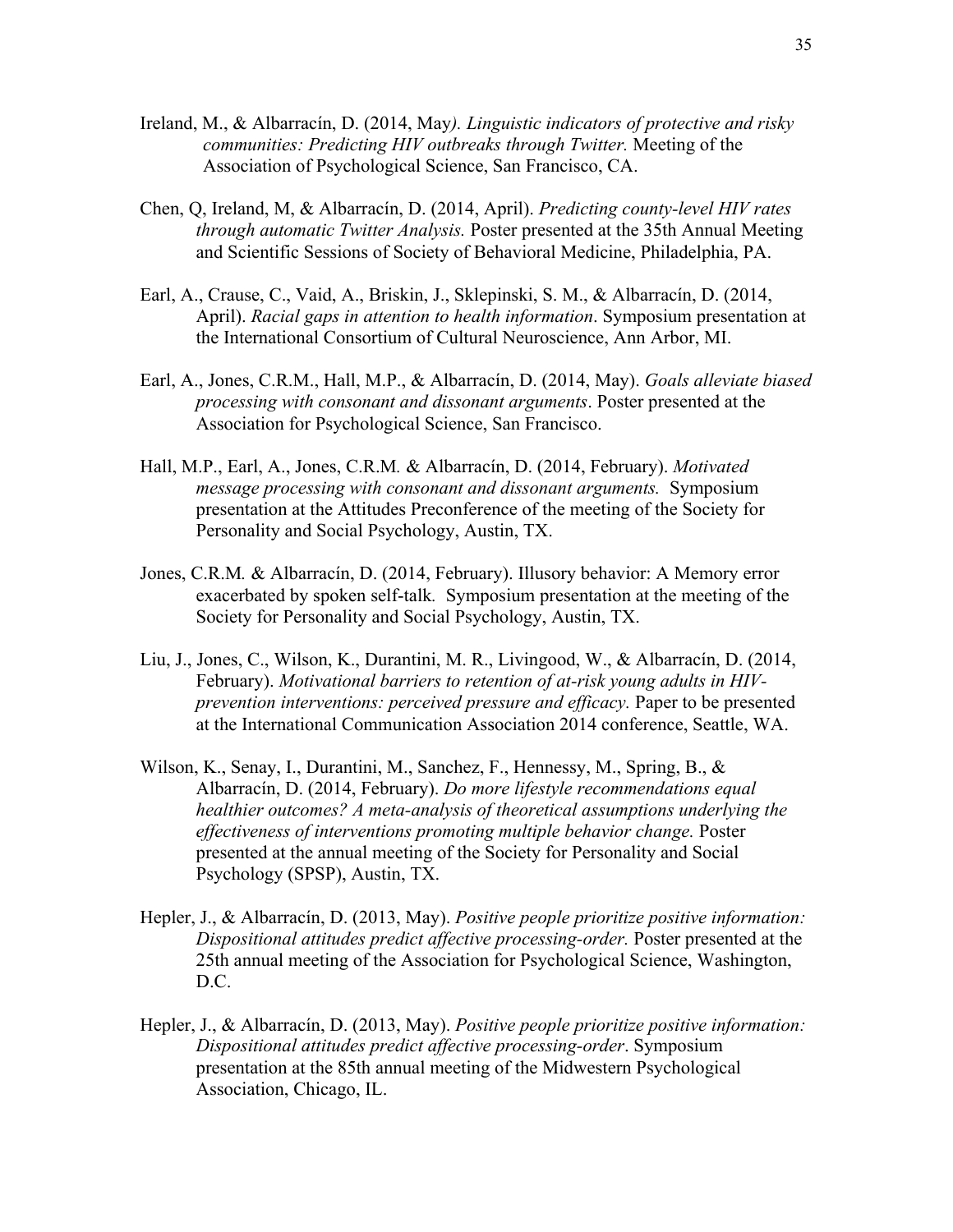- Ireland, M., & Albarracín, D. (2014, May*). Linguistic indicators of protective and risky communities: Predicting HIV outbreaks through Twitter.* Meeting of the Association of Psychological Science, San Francisco, CA.
- Chen, Q, Ireland, M, & Albarracín, D. (2014, April). *Predicting county-level HIV rates through automatic Twitter Analysis.* Poster presented at the 35th Annual Meeting and Scientific Sessions of Society of Behavioral Medicine, Philadelphia, PA.
- Earl, A., Crause, C., Vaid, A., Briskin, J., Sklepinski, S. M., & Albarracín, D. (2014, April). *Racial gaps in attention to health information*. Symposium presentation at the International Consortium of Cultural Neuroscience, Ann Arbor, MI.
- Earl, A., Jones, C.R.M., Hall, M.P., & Albarracín, D. (2014, May). *Goals alleviate biased processing with consonant and dissonant arguments*. Poster presented at the Association for Psychological Science, San Francisco.
- Hall, M.P., Earl, A., Jones, C.R.M*.* & Albarracín, D. (2014, February). *Motivated message processing with consonant and dissonant arguments.* Symposium presentation at the Attitudes Preconference of the meeting of the Society for Personality and Social Psychology, Austin, TX.
- Jones, C.R.M*.* & Albarracín, D. (2014, February). Illusory behavior: A Memory error exacerbated by spoken self-talk*.* Symposium presentation at the meeting of the Society for Personality and Social Psychology, Austin, TX.
- Liu, J., Jones, C., Wilson, K., Durantini, M. R., Livingood, W., & Albarracín, D. (2014, February). *Motivational barriers to retention of at-risk young adults in HIVprevention interventions: perceived pressure and efficacy.* Paper to be presented at the International Communication Association 2014 conference, Seattle, WA.
- Wilson, K., Senay, I., Durantini, M., Sanchez, F., Hennessy, M., Spring, B., & Albarracín, D. (2014, February). *Do more lifestyle recommendations equal healthier outcomes? A meta-analysis of theoretical assumptions underlying the effectiveness of interventions promoting multiple behavior change.* Poster presented at the annual meeting of the Society for Personality and Social Psychology (SPSP), Austin, TX.
- Hepler, J., & Albarracín, D. (2013, May). *Positive people prioritize positive information: Dispositional attitudes predict affective processing-order.* Poster presented at the 25th annual meeting of the Association for Psychological Science, Washington, D.C.
- Hepler, J., & Albarracín, D. (2013, May). *Positive people prioritize positive information: Dispositional attitudes predict affective processing-order*. Symposium presentation at the 85th annual meeting of the Midwestern Psychological Association, Chicago, IL.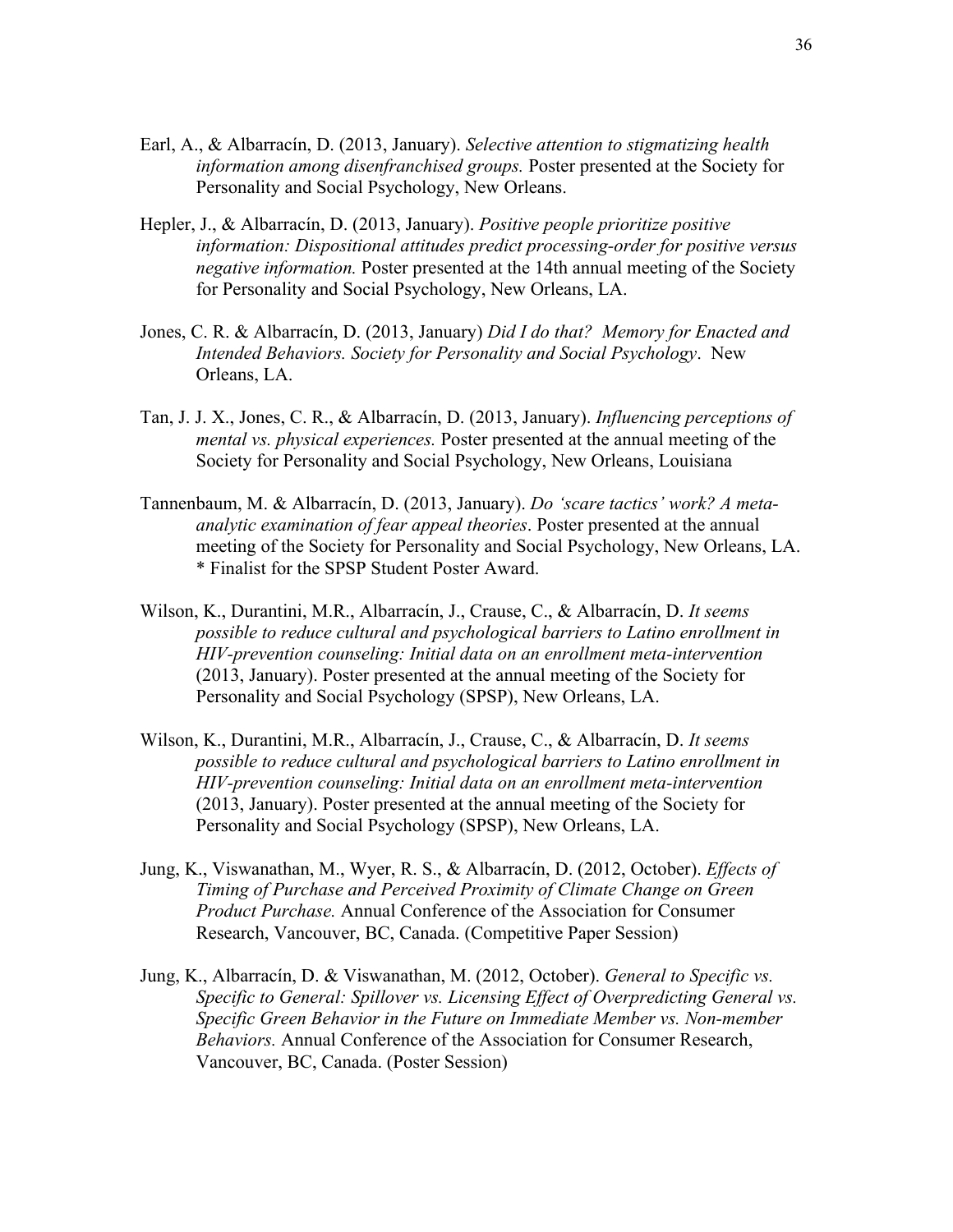- Earl, A., & Albarracín, D. (2013, January). *Selective attention to stigmatizing health information among disenfranchised groups.* Poster presented at the Society for Personality and Social Psychology, New Orleans.
- Hepler, J., & Albarracín, D. (2013, January). *Positive people prioritize positive information: Dispositional attitudes predict processing-order for positive versus negative information.* Poster presented at the 14th annual meeting of the Society for Personality and Social Psychology, New Orleans, LA.
- Jones, C. R. & Albarracín, D. (2013, January) *Did I do that? Memory for Enacted and Intended Behaviors. Society for Personality and Social Psychology*. New Orleans, LA.
- Tan, J. J. X., Jones, C. R., & Albarracín, D. (2013, January). *Influencing perceptions of mental vs. physical experiences.* Poster presented at the annual meeting of the Society for Personality and Social Psychology, New Orleans, Louisiana
- Tannenbaum, M. & Albarracín, D. (2013, January). *Do 'scare tactics' work? A metaanalytic examination of fear appeal theories*. Poster presented at the annual meeting of the Society for Personality and Social Psychology, New Orleans, LA. \* Finalist for the SPSP Student Poster Award.
- Wilson, K., Durantini, M.R., Albarracín, J., Crause, C., & Albarracín, D. *It seems possible to reduce cultural and psychological barriers to Latino enrollment in HIV-prevention counseling: Initial data on an enrollment meta-intervention*  (2013, January). Poster presented at the annual meeting of the Society for Personality and Social Psychology (SPSP), New Orleans, LA.
- Wilson, K., Durantini, M.R., Albarracín, J., Crause, C., & Albarracín, D. *It seems possible to reduce cultural and psychological barriers to Latino enrollment in HIV-prevention counseling: Initial data on an enrollment meta-intervention*  (2013, January). Poster presented at the annual meeting of the Society for Personality and Social Psychology (SPSP), New Orleans, LA.
- Jung, K., Viswanathan, M., Wyer, R. S., & Albarracín, D. (2012, October). *Effects of Timing of Purchase and Perceived Proximity of Climate Change on Green Product Purchase.* Annual Conference of the Association for Consumer Research, Vancouver, BC, Canada. (Competitive Paper Session)
- Jung, K., Albarracín, D. & Viswanathan, M. (2012, October). *General to Specific vs. Specific to General: Spillover vs. Licensing Effect of Overpredicting General vs. Specific Green Behavior in the Future on Immediate Member vs. Non-member Behaviors.* Annual Conference of the Association for Consumer Research, Vancouver, BC, Canada. (Poster Session)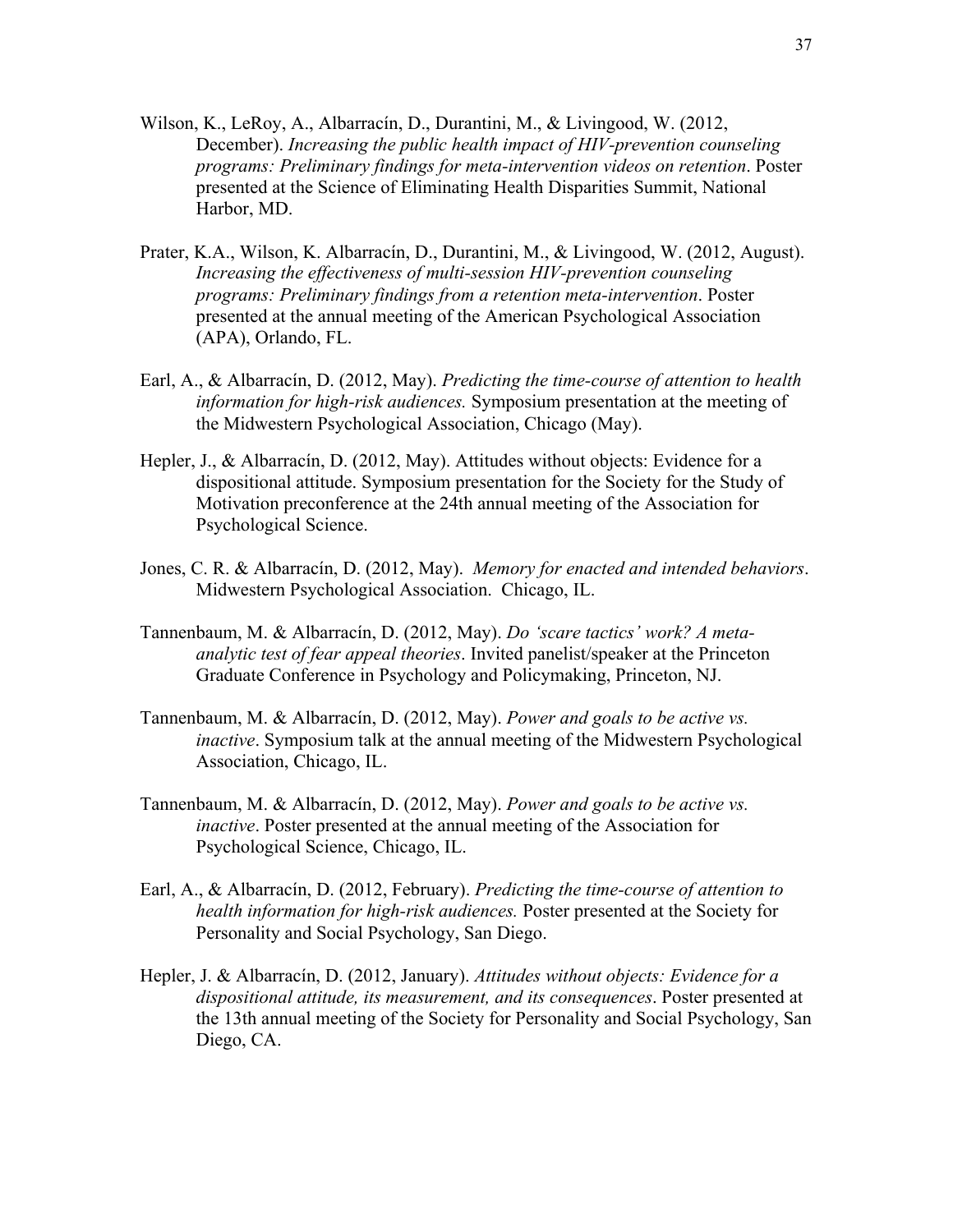- Wilson, K., LeRoy, A., Albarracín, D., Durantini, M., & Livingood, W. (2012, December). *Increasing the public health impact of HIV-prevention counseling programs: Preliminary findings for meta-intervention videos on retention*. Poster presented at the Science of Eliminating Health Disparities Summit, National Harbor, MD.
- Prater, K.A., Wilson, K. Albarracín, D., Durantini, M., & Livingood, W. (2012, August). *Increasing the effectiveness of multi-session HIV-prevention counseling programs: Preliminary findings from a retention meta-intervention*. Poster presented at the annual meeting of the American Psychological Association (APA), Orlando, FL.
- Earl, A., & Albarracín, D. (2012, May). *Predicting the time-course of attention to health information for high-risk audiences.* Symposium presentation at the meeting of the Midwestern Psychological Association, Chicago (May).
- Hepler, J., & Albarracín, D. (2012, May). Attitudes without objects: Evidence for a dispositional attitude. Symposium presentation for the Society for the Study of Motivation preconference at the 24th annual meeting of the Association for Psychological Science.
- Jones, C. R. & Albarracín, D. (2012, May). *Memory for enacted and intended behaviors*. Midwestern Psychological Association. Chicago, IL.
- Tannenbaum, M. & Albarracín, D. (2012, May). *Do 'scare tactics' work? A metaanalytic test of fear appeal theories*. Invited panelist/speaker at the Princeton Graduate Conference in Psychology and Policymaking, Princeton, NJ.
- Tannenbaum, M. & Albarracín, D. (2012, May). *Power and goals to be active vs. inactive*. Symposium talk at the annual meeting of the Midwestern Psychological Association, Chicago, IL.
- Tannenbaum, M. & Albarracín, D. (2012, May). *Power and goals to be active vs. inactive*. Poster presented at the annual meeting of the Association for Psychological Science, Chicago, IL.
- Earl, A., & Albarracín, D. (2012, February). *Predicting the time-course of attention to health information for high-risk audiences.* Poster presented at the Society for Personality and Social Psychology, San Diego.
- Hepler, J. & Albarracín, D. (2012, January). *Attitudes without objects: Evidence for a dispositional attitude, its measurement, and its consequences*. Poster presented at the 13th annual meeting of the Society for Personality and Social Psychology, San Diego, CA.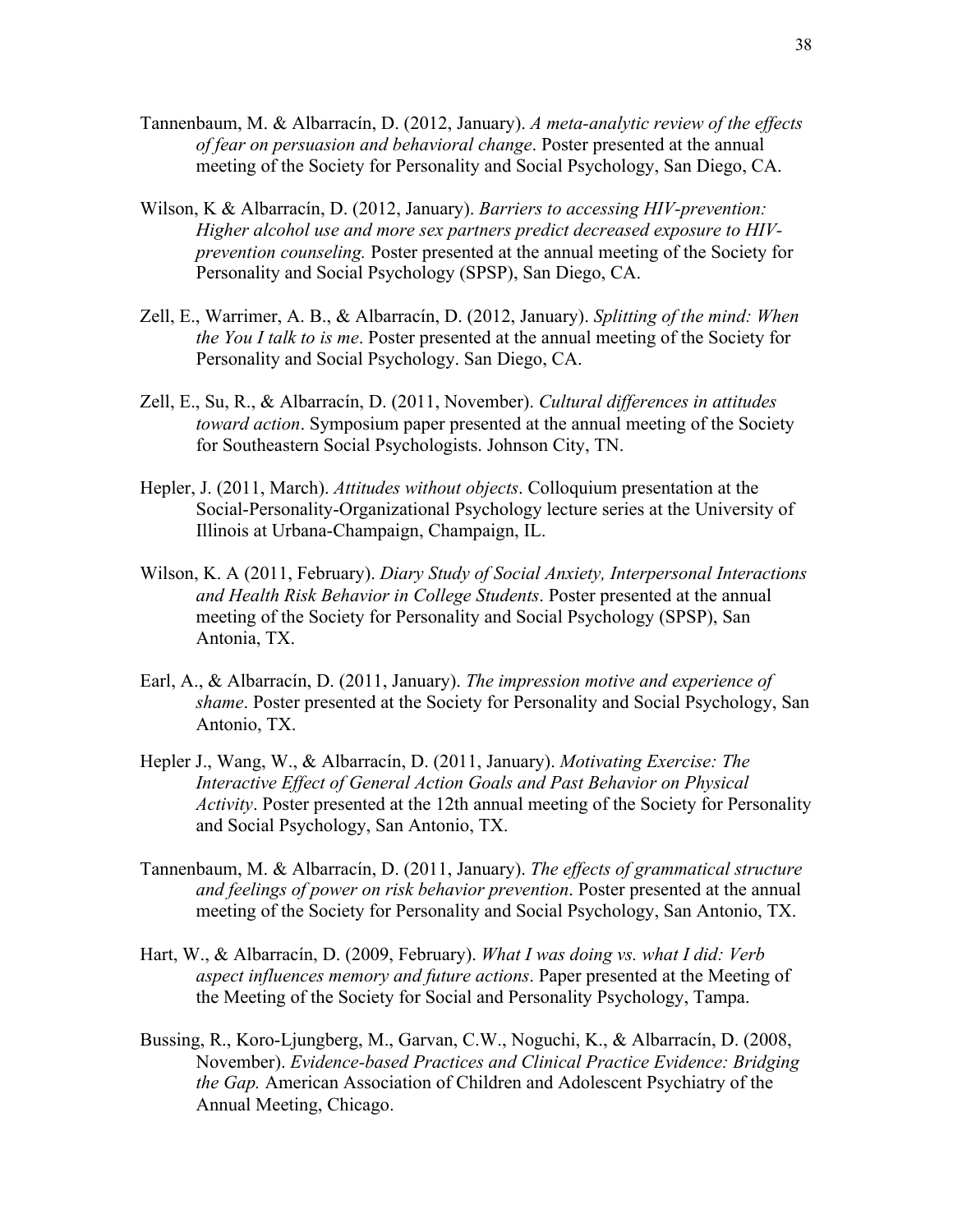- Tannenbaum, M. & Albarracín, D. (2012, January). *A meta-analytic review of the effects of fear on persuasion and behavioral change*. Poster presented at the annual meeting of the Society for Personality and Social Psychology, San Diego, CA.
- Wilson, K & Albarracín, D. (2012, January). *Barriers to accessing HIV-prevention: Higher alcohol use and more sex partners predict decreased exposure to HIVprevention counseling.* Poster presented at the annual meeting of the Society for Personality and Social Psychology (SPSP), San Diego, CA.
- Zell, E., Warrimer, A. B., & Albarracín, D. (2012, January). *Splitting of the mind: When the You I talk to is me*. Poster presented at the annual meeting of the Society for Personality and Social Psychology. San Diego, CA.
- Zell, E., Su, R., & Albarracín, D. (2011, November). *Cultural differences in attitudes toward action*. Symposium paper presented at the annual meeting of the Society for Southeastern Social Psychologists. Johnson City, TN.
- Hepler, J. (2011, March). *Attitudes without objects*. Colloquium presentation at the Social-Personality-Organizational Psychology lecture series at the University of Illinois at Urbana-Champaign, Champaign, IL.
- Wilson, K. A (2011, February). *Diary Study of Social Anxiety, Interpersonal Interactions and Health Risk Behavior in College Students*. Poster presented at the annual meeting of the Society for Personality and Social Psychology (SPSP), San Antonia, TX.
- Earl, A., & Albarracín, D. (2011, January). *The impression motive and experience of shame*. Poster presented at the Society for Personality and Social Psychology, San Antonio, TX.
- Hepler J., Wang, W., & Albarracín, D. (2011, January). *Motivating Exercise: The Interactive Effect of General Action Goals and Past Behavior on Physical Activity*. Poster presented at the 12th annual meeting of the Society for Personality and Social Psychology, San Antonio, TX.
- Tannenbaum, M. & Albarracín, D. (2011, January). *The effects of grammatical structure and feelings of power on risk behavior prevention*. Poster presented at the annual meeting of the Society for Personality and Social Psychology, San Antonio, TX.
- Hart, W., & Albarracín, D. (2009, February). *What I was doing vs. what I did: Verb aspect influences memory and future actions*. Paper presented at the Meeting of the Meeting of the Society for Social and Personality Psychology, Tampa.
- Bussing, R., Koro-Ljungberg, M., Garvan, C.W., Noguchi, K., & Albarracín, D. (2008, November). *Evidence-based Practices and Clinical Practice Evidence: Bridging the Gap.* American Association of Children and Adolescent Psychiatry of the Annual Meeting, Chicago.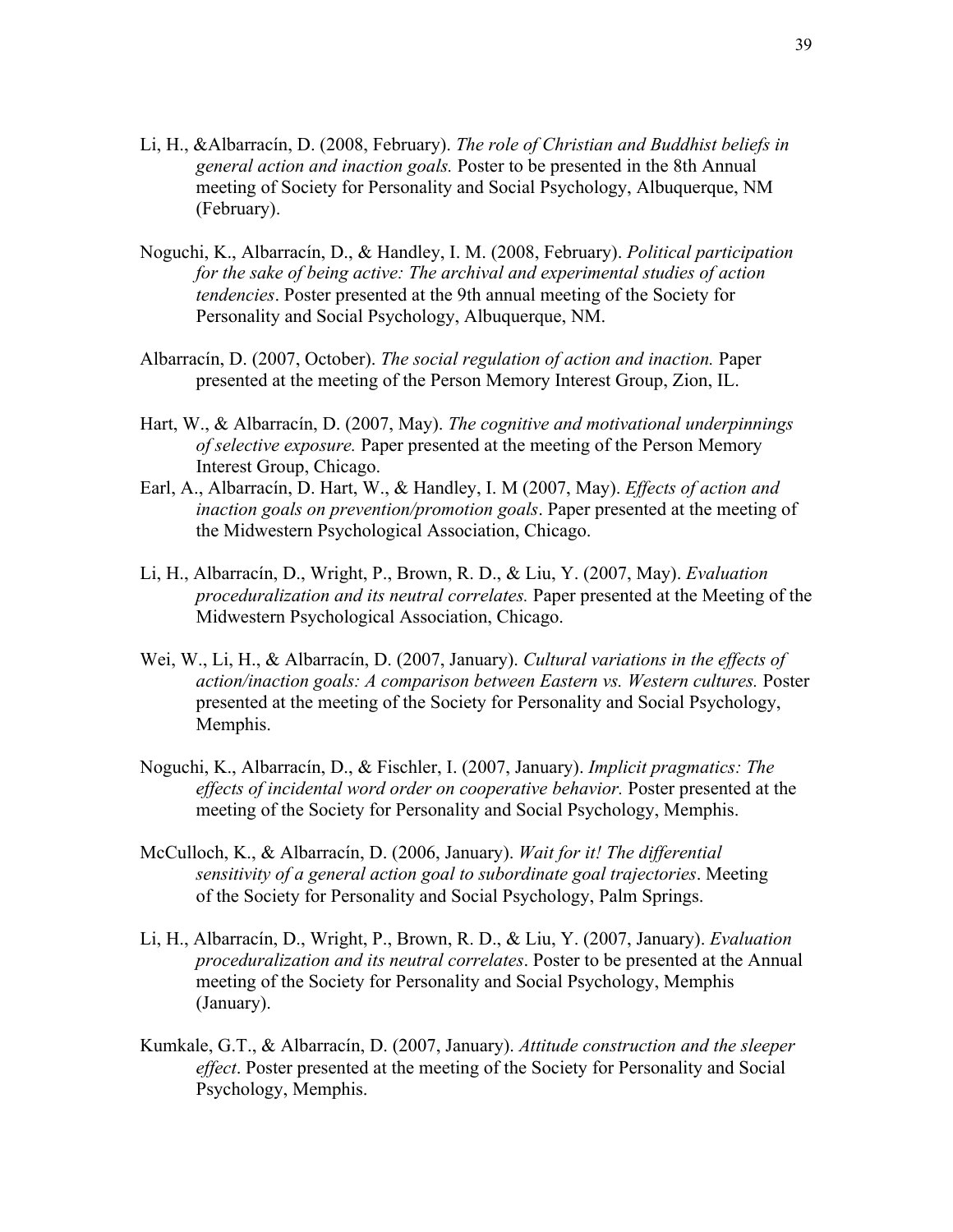- Li, H., &Albarracín, D. (2008, February). *The role of Christian and Buddhist beliefs in general action and inaction goals.* Poster to be presented in the 8th Annual meeting of Society for Personality and Social Psychology, Albuquerque, NM (February).
- Noguchi, K., Albarracín, D., & Handley, I. M. (2008, February). *Political participation for the sake of being active: The archival and experimental studies of action tendencies*. Poster presented at the 9th annual meeting of the Society for Personality and Social Psychology, Albuquerque, NM.
- Albarracín, D. (2007, October). *The social regulation of action and inaction.* Paper presented at the meeting of the Person Memory Interest Group, Zion, IL.
- Hart, W., & Albarracín, D. (2007, May). *The cognitive and motivational underpinnings of selective exposure.* Paper presented at the meeting of the Person Memory Interest Group, Chicago.
- Earl, A., Albarracín, D. Hart, W., & Handley, I. M (2007, May). *Effects of action and inaction goals on prevention/promotion goals*. Paper presented at the meeting of the Midwestern Psychological Association, Chicago.
- Li, H., Albarracín, D., Wright, P., Brown, R. D., & Liu, Y. (2007, May). *Evaluation proceduralization and its neutral correlates.* Paper presented at the Meeting of the Midwestern Psychological Association, Chicago.
- Wei, W., Li, H., & Albarracín, D. (2007, January). *Cultural variations in the effects of action/inaction goals: A comparison between Eastern vs. Western cultures.* Poster presented at the meeting of the Society for Personality and Social Psychology, Memphis.
- Noguchi, K., Albarracín, D., & Fischler, I. (2007, January). *Implicit pragmatics: The effects of incidental word order on cooperative behavior.* Poster presented at the meeting of the Society for Personality and Social Psychology, Memphis.
- McCulloch, K., & Albarracín, D. (2006, January). *Wait for it! The differential sensitivity of a general action goal to subordinate goal trajectories*. Meeting of the Society for Personality and Social Psychology, Palm Springs.
- Li, H., Albarracín, D., Wright, P., Brown, R. D., & Liu, Y. (2007, January). *Evaluation proceduralization and its neutral correlates*. Poster to be presented at the Annual meeting of the Society for Personality and Social Psychology, Memphis (January).
- Kumkale, G.T., & Albarracín, D. (2007, January). *Attitude construction and the sleeper effect*. Poster presented at the meeting of the Society for Personality and Social Psychology, Memphis.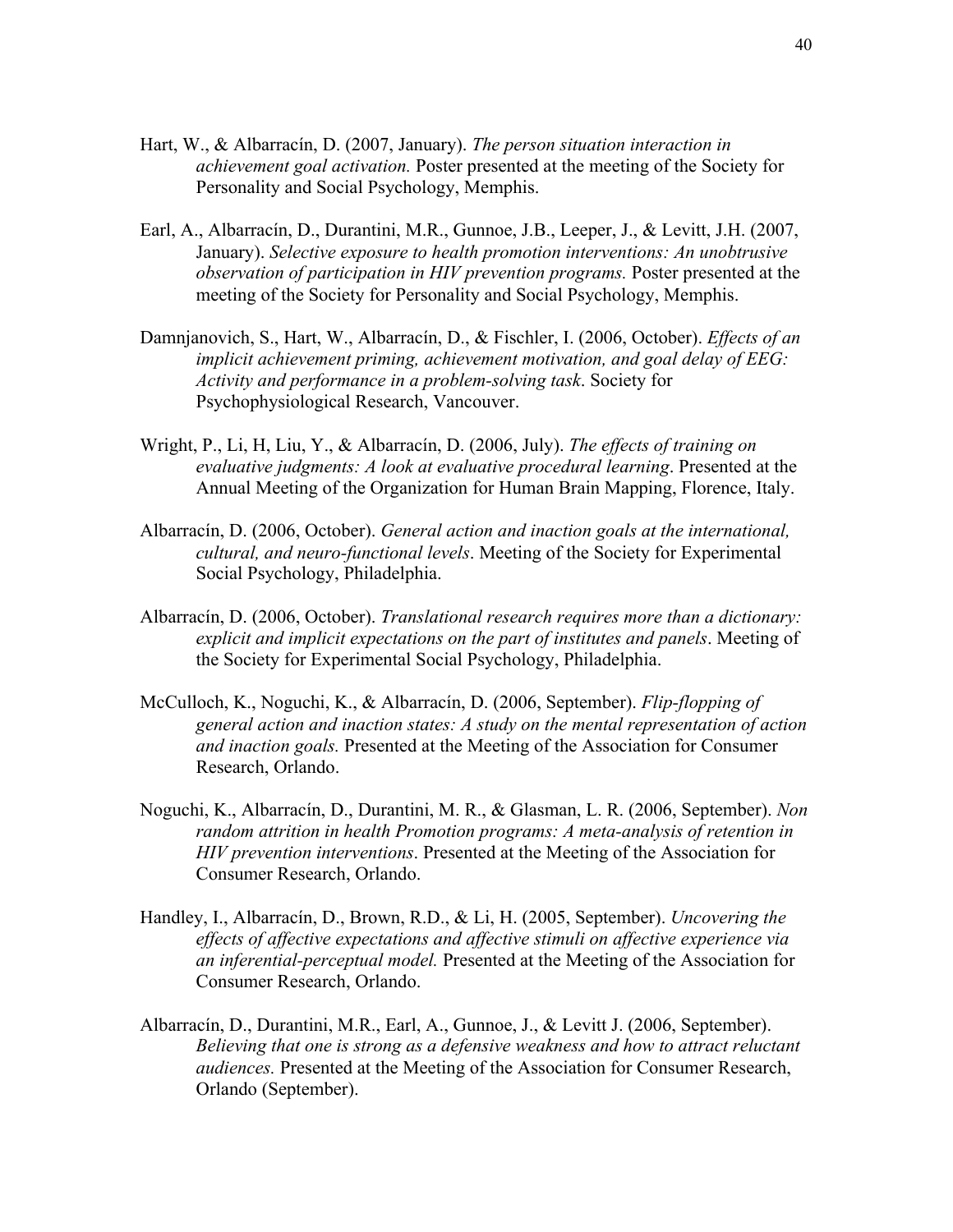- Hart, W., & Albarracín, D. (2007, January). *The person situation interaction in achievement goal activation.* Poster presented at the meeting of the Society for Personality and Social Psychology, Memphis.
- Earl, A., Albarracín, D., Durantini, M.R., Gunnoe, J.B., Leeper, J., & Levitt, J.H. (2007, January). *Selective exposure to health promotion interventions: An unobtrusive observation of participation in HIV prevention programs.* Poster presented at the meeting of the Society for Personality and Social Psychology, Memphis.
- Damnjanovich, S., Hart, W., Albarracín, D., & Fischler, I. (2006, October). *Effects of an implicit achievement priming, achievement motivation, and goal delay of EEG: Activity and performance in a problem-solving task*. Society for Psychophysiological Research, Vancouver.
- Wright, P., Li, H, Liu, Y., & Albarracín, D. (2006, July). *The effects of training on evaluative judgments: A look at evaluative procedural learning*. Presented at the Annual Meeting of the Organization for Human Brain Mapping, Florence, Italy.
- Albarracín, D. (2006, October). *General action and inaction goals at the international, cultural, and neuro-functional levels*. Meeting of the Society for Experimental Social Psychology, Philadelphia.
- Albarracín, D. (2006, October). *Translational research requires more than a dictionary: explicit and implicit expectations on the part of institutes and panels*. Meeting of the Society for Experimental Social Psychology, Philadelphia.
- McCulloch, K., Noguchi, K., & Albarracín, D. (2006, September). *Flip-flopping of general action and inaction states: A study on the mental representation of action and inaction goals.* Presented at the Meeting of the Association for Consumer Research, Orlando.
- Noguchi, K., Albarracín, D., Durantini, M. R., & Glasman, L. R. (2006, September). *Non random attrition in health Promotion programs: A meta-analysis of retention in HIV prevention interventions*. Presented at the Meeting of the Association for Consumer Research, Orlando.
- Handley, I., Albarracín, D., Brown, R.D., & Li, H. (2005, September). *Uncovering the effects of affective expectations and affective stimuli on affective experience via an inferential-perceptual model.* Presented at the Meeting of the Association for Consumer Research, Orlando.
- Albarracín, D., Durantini, M.R., Earl, A., Gunnoe, J., & Levitt J. (2006, September). *Believing that one is strong as a defensive weakness and how to attract reluctant audiences.* Presented at the Meeting of the Association for Consumer Research, Orlando (September).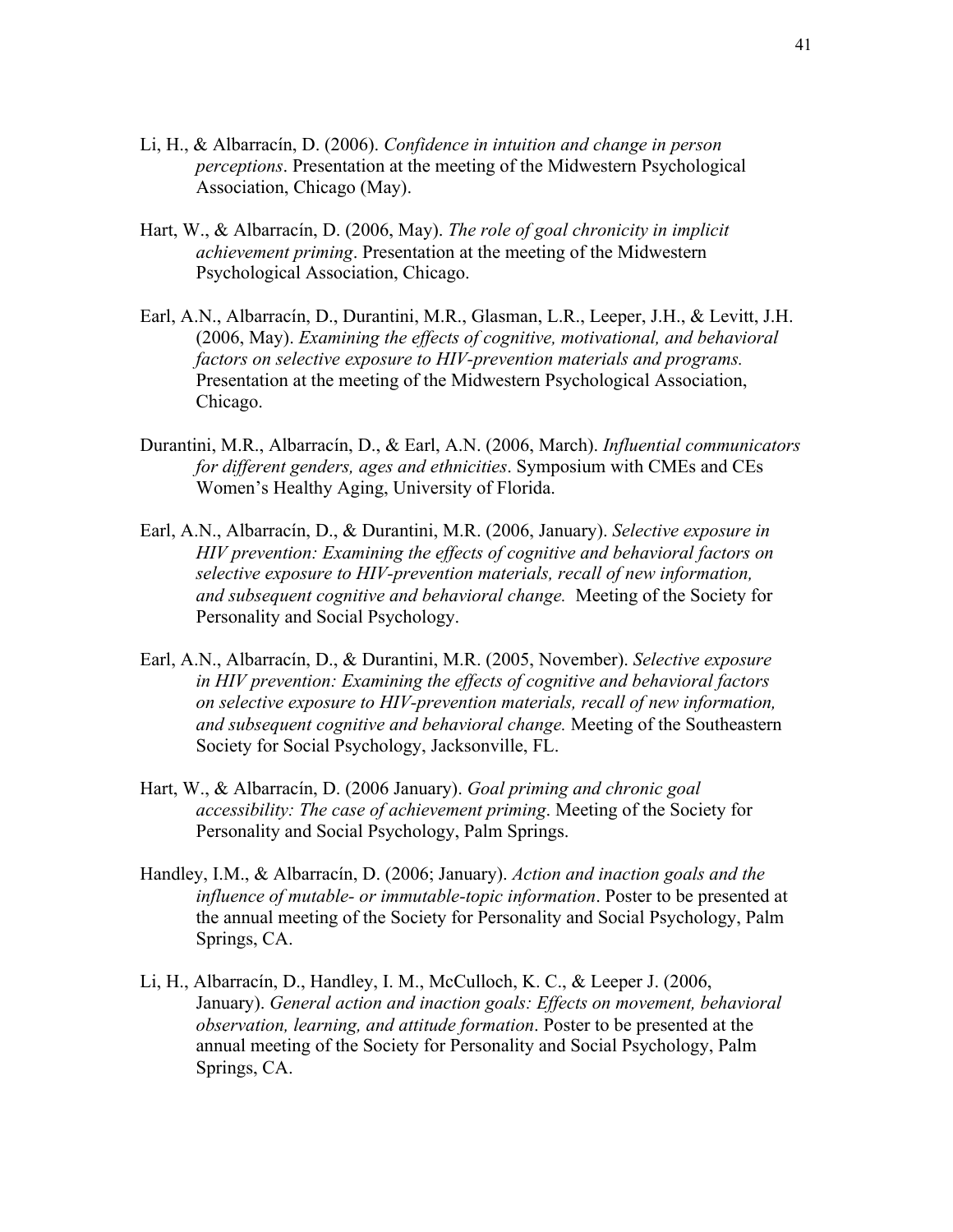- Li, H., & Albarracín, D. (2006). *Confidence in intuition and change in person perceptions*. Presentation at the meeting of the Midwestern Psychological Association, Chicago (May).
- Hart, W., & Albarracín, D. (2006, May). *The role of goal chronicity in implicit achievement priming*. Presentation at the meeting of the Midwestern Psychological Association, Chicago.
- Earl, A.N., Albarracín, D., Durantini, M.R., Glasman, L.R., Leeper, J.H., & Levitt, J.H. (2006, May). *Examining the effects of cognitive, motivational, and behavioral factors on selective exposure to HIV-prevention materials and programs.* Presentation at the meeting of the Midwestern Psychological Association, Chicago.
- Durantini, M.R., Albarracín, D., & Earl, A.N. (2006, March). *Influential communicators for different genders, ages and ethnicities*. Symposium with CMEs and CEs Women's Healthy Aging, University of Florida.
- Earl, A.N., Albarracín, D., & Durantini, M.R. (2006, January). *Selective exposure in HIV prevention: Examining the effects of cognitive and behavioral factors on selective exposure to HIV-prevention materials, recall of new information, and subsequent cognitive and behavioral change.* Meeting of the Society for Personality and Social Psychology.
- Earl, A.N., Albarracín, D., & Durantini, M.R. (2005, November). *Selective exposure in HIV prevention: Examining the effects of cognitive and behavioral factors on selective exposure to HIV-prevention materials, recall of new information, and subsequent cognitive and behavioral change.* Meeting of the Southeastern Society for Social Psychology, Jacksonville, FL.
- Hart, W., & Albarracín, D. (2006 January). *Goal priming and chronic goal accessibility: The case of achievement priming*. Meeting of the Society for Personality and Social Psychology, Palm Springs.
- Handley, I.M., & Albarracín, D. (2006; January). *Action and inaction goals and the influence of mutable- or immutable-topic information*. Poster to be presented at the annual meeting of the Society for Personality and Social Psychology, Palm Springs, CA.
- Li, H., Albarracín, D., Handley, I. M., McCulloch, K. C., & Leeper J. (2006, January). *General action and inaction goals: Effects on movement, behavioral observation, learning, and attitude formation*. Poster to be presented at the annual meeting of the Society for Personality and Social Psychology, Palm Springs, CA.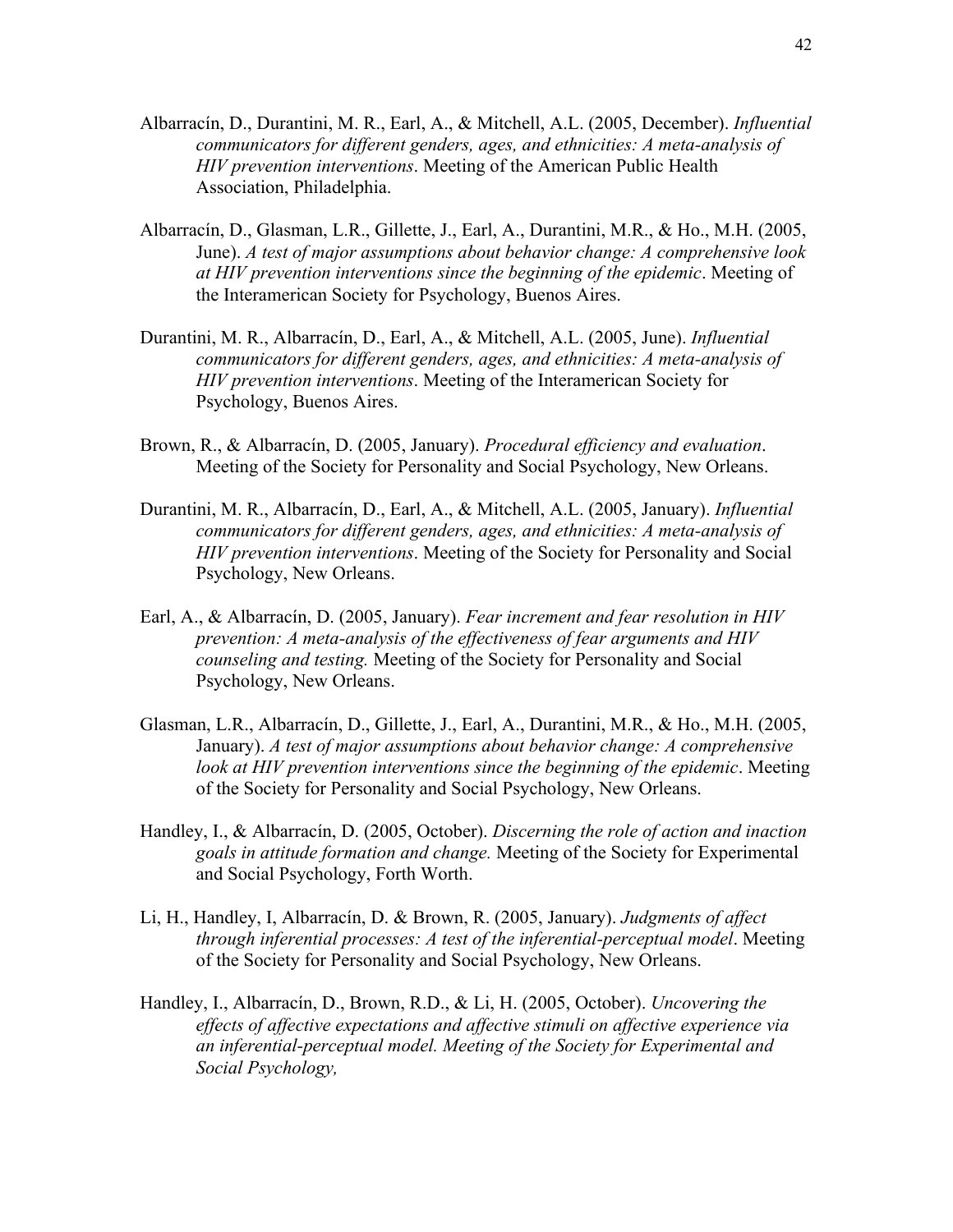- Albarracín, D., Durantini, M. R., Earl, A., & Mitchell, A.L. (2005, December). *Influential communicators for different genders, ages, and ethnicities: A meta-analysis of HIV prevention interventions*. Meeting of the American Public Health Association, Philadelphia.
- Albarracín, D., Glasman, L.R., Gillette, J., Earl, A., Durantini, M.R., & Ho., M.H. (2005, June). *A test of major assumptions about behavior change: A comprehensive look at HIV prevention interventions since the beginning of the epidemic*. Meeting of the Interamerican Society for Psychology, Buenos Aires.
- Durantini, M. R., Albarracín, D., Earl, A., & Mitchell, A.L. (2005, June). *Influential communicators for different genders, ages, and ethnicities: A meta-analysis of HIV prevention interventions*. Meeting of the Interamerican Society for Psychology, Buenos Aires.
- Brown, R., & Albarracín, D. (2005, January). *Procedural efficiency and evaluation*. Meeting of the Society for Personality and Social Psychology, New Orleans.
- Durantini, M. R., Albarracín, D., Earl, A., & Mitchell, A.L. (2005, January). *Influential communicators for different genders, ages, and ethnicities: A meta-analysis of HIV prevention interventions*. Meeting of the Society for Personality and Social Psychology, New Orleans.
- Earl, A., & Albarracín, D. (2005, January). *Fear increment and fear resolution in HIV prevention: A meta-analysis of the effectiveness of fear arguments and HIV counseling and testing.* Meeting of the Society for Personality and Social Psychology, New Orleans.
- Glasman, L.R., Albarracín, D., Gillette, J., Earl, A., Durantini, M.R., & Ho., M.H. (2005, January). *A test of major assumptions about behavior change: A comprehensive look at HIV prevention interventions since the beginning of the epidemic*. Meeting of the Society for Personality and Social Psychology, New Orleans.
- Handley, I., & Albarracín, D. (2005, October). *Discerning the role of action and inaction goals in attitude formation and change.* Meeting of the Society for Experimental and Social Psychology, Forth Worth.
- Li, H., Handley, I, Albarracín, D. & Brown, R. (2005, January). *Judgments of affect through inferential processes: A test of the inferential-perceptual model*. Meeting of the Society for Personality and Social Psychology, New Orleans.
- Handley, I., Albarracín, D., Brown, R.D., & Li, H. (2005, October). *Uncovering the effects of affective expectations and affective stimuli on affective experience via an inferential-perceptual model. Meeting of the Society for Experimental and Social Psychology,*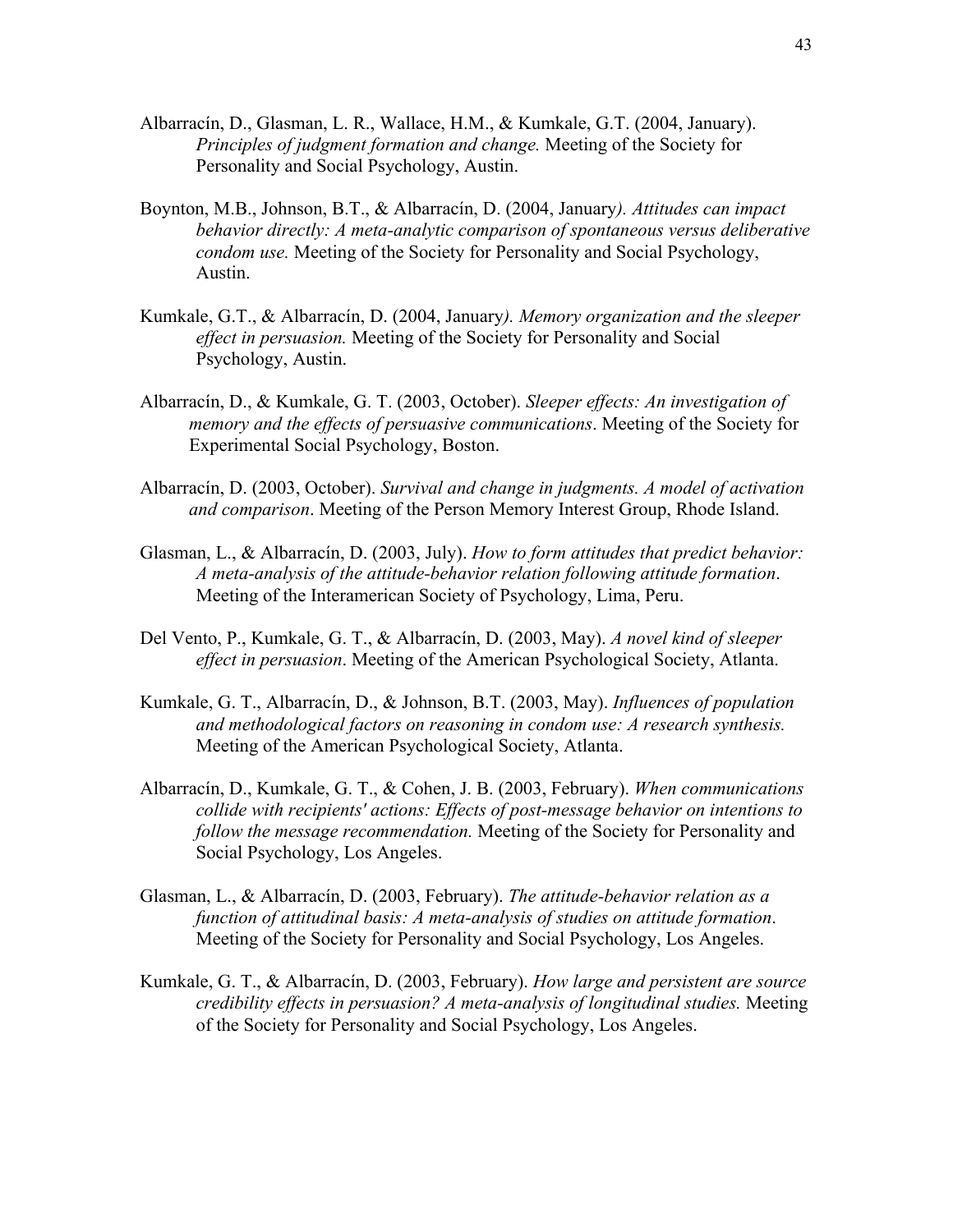- Albarracín, D., Glasman, L. R., Wallace, H.M., & Kumkale, G.T. (2004, January). *Principles of judgment formation and change.* Meeting of the Society for Personality and Social Psychology, Austin.
- Boynton, M.B., Johnson, B.T., & Albarracín, D. (2004, January*). Attitudes can impact behavior directly: A meta-analytic comparison of spontaneous versus deliberative condom use.* Meeting of the Society for Personality and Social Psychology, Austin.
- Kumkale, G.T., & Albarracín, D. (2004, January*). Memory organization and the sleeper effect in persuasion.* Meeting of the Society for Personality and Social Psychology, Austin.
- Albarracín, D., & Kumkale, G. T. (2003, October). *Sleeper effects: An investigation of memory and the effects of persuasive communications*. Meeting of the Society for Experimental Social Psychology, Boston.
- Albarracín, D. (2003, October). *Survival and change in judgments. A model of activation and comparison*. Meeting of the Person Memory Interest Group, Rhode Island.
- Glasman, L., & Albarracín, D. (2003, July). *How to form attitudes that predict behavior: A meta-analysis of the attitude-behavior relation following attitude formation*. Meeting of the Interamerican Society of Psychology, Lima, Peru.
- Del Vento, P., Kumkale, G. T., & Albarracín, D. (2003, May). *A novel kind of sleeper effect in persuasion*. Meeting of the American Psychological Society, Atlanta.
- Kumkale, G. T., Albarracín, D., & Johnson, B.T. (2003, May). *Influences of population and methodological factors on reasoning in condom use: A research synthesis.* Meeting of the American Psychological Society, Atlanta.
- Albarracín, D., Kumkale, G. T., & Cohen, J. B. (2003, February). *When communications collide with recipients' actions: Effects of post-message behavior on intentions to follow the message recommendation.* Meeting of the Society for Personality and Social Psychology, Los Angeles.
- Glasman, L., & Albarracín, D. (2003, February). *The attitude-behavior relation as a function of attitudinal basis: A meta-analysis of studies on attitude formation*. Meeting of the Society for Personality and Social Psychology, Los Angeles.
- Kumkale, G. T., & Albarracín, D. (2003, February). *How large and persistent are source credibility effects in persuasion? A meta-analysis of longitudinal studies.* Meeting of the Society for Personality and Social Psychology, Los Angeles.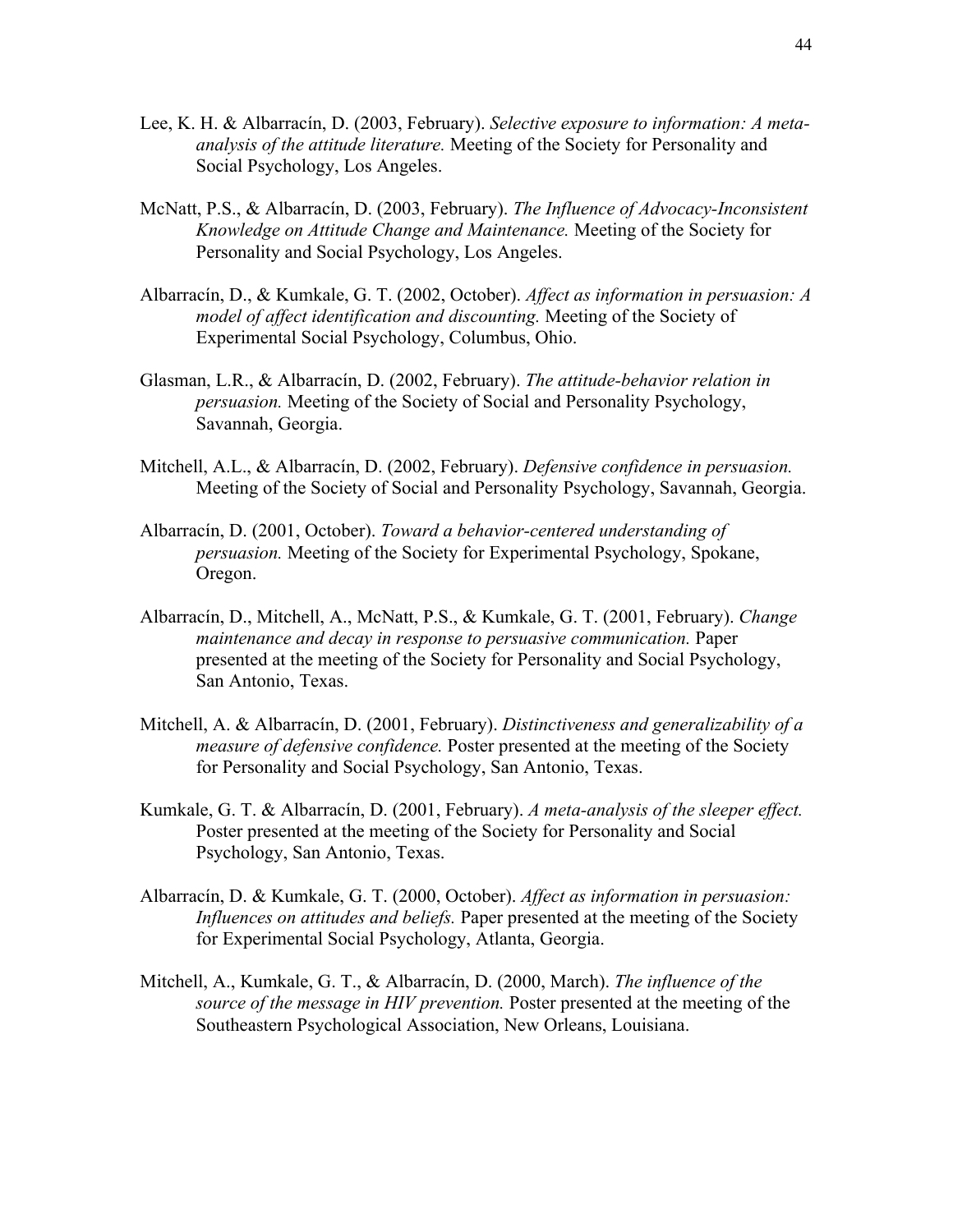- Lee, K. H. & Albarracín, D. (2003, February). *Selective exposure to information: A metaanalysis of the attitude literature.* Meeting of the Society for Personality and Social Psychology, Los Angeles.
- McNatt, P.S., & Albarracín, D. (2003, February). *The Influence of Advocacy-Inconsistent Knowledge on Attitude Change and Maintenance.* Meeting of the Society for Personality and Social Psychology, Los Angeles.
- Albarracín, D., & Kumkale, G. T. (2002, October). *Affect as information in persuasion: A model of affect identification and discounting.* Meeting of the Society of Experimental Social Psychology, Columbus, Ohio.
- Glasman, L.R., & Albarracín, D. (2002, February). *The attitude-behavior relation in persuasion.* Meeting of the Society of Social and Personality Psychology, Savannah, Georgia.
- Mitchell, A.L., & Albarracín, D. (2002, February). *Defensive confidence in persuasion.*  Meeting of the Society of Social and Personality Psychology, Savannah, Georgia.
- Albarracín, D. (2001, October). *Toward a behavior-centered understanding of persuasion.* Meeting of the Society for Experimental Psychology, Spokane, Oregon.
- Albarracín, D., Mitchell, A., McNatt, P.S., & Kumkale, G. T. (2001, February). *Change maintenance and decay in response to persuasive communication.* Paper presented at the meeting of the Society for Personality and Social Psychology, San Antonio, Texas.
- Mitchell, A. & Albarracín, D. (2001, February). *Distinctiveness and generalizability of a measure of defensive confidence.* Poster presented at the meeting of the Society for Personality and Social Psychology, San Antonio, Texas.
- Kumkale, G. T. & Albarracín, D. (2001, February). *A meta-analysis of the sleeper effect.* Poster presented at the meeting of the Society for Personality and Social Psychology, San Antonio, Texas.
- Albarracín, D. & Kumkale, G. T. (2000, October). *Affect as information in persuasion: Influences on attitudes and beliefs.* Paper presented at the meeting of the Society for Experimental Social Psychology, Atlanta, Georgia.
- Mitchell, A., Kumkale, G. T., & Albarracín, D. (2000, March). *The influence of the source of the message in HIV prevention.* Poster presented at the meeting of the Southeastern Psychological Association, New Orleans, Louisiana.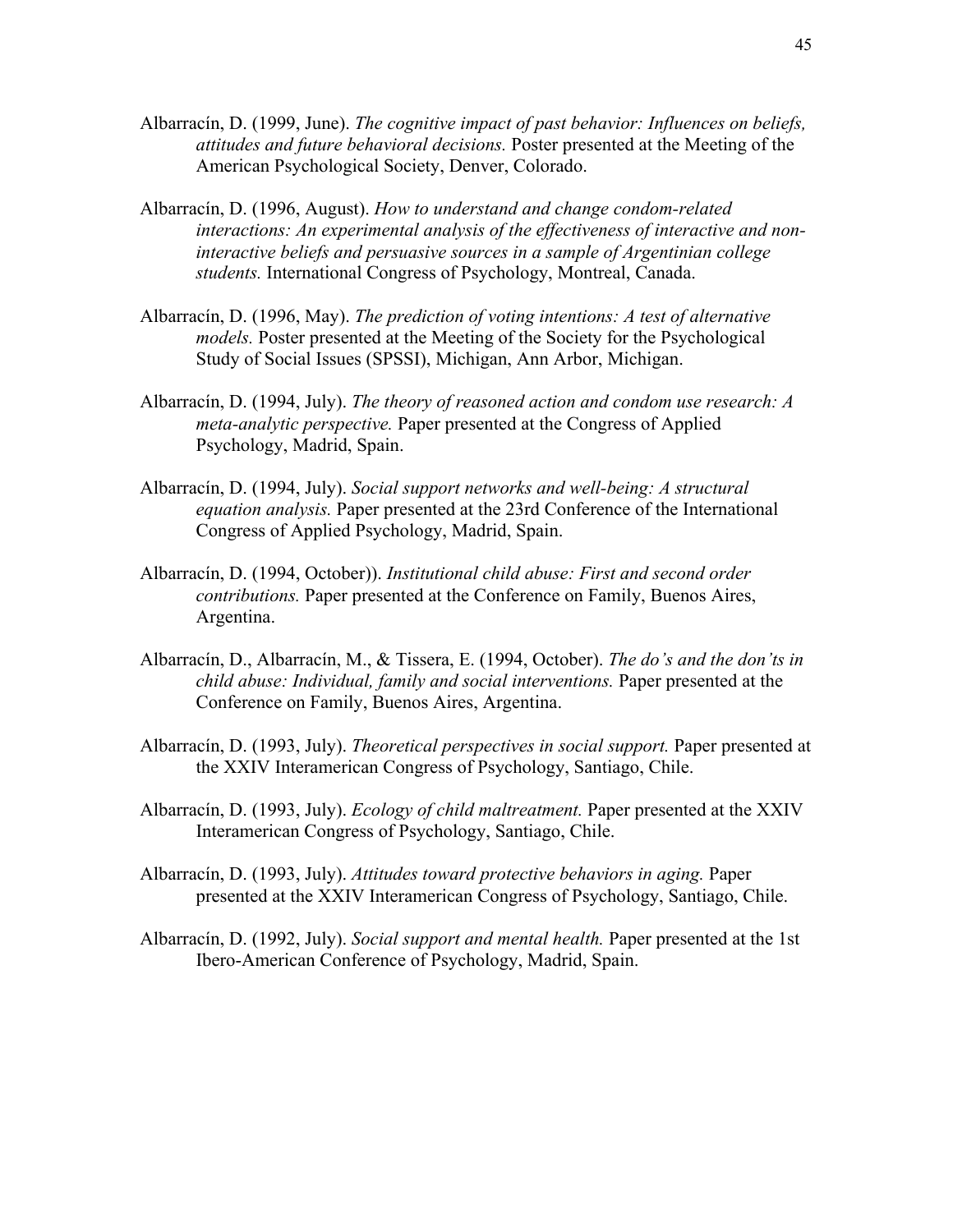- Albarracín, D. (1999, June). *The cognitive impact of past behavior: Influences on beliefs, attitudes and future behavioral decisions.* Poster presented at the Meeting of the American Psychological Society, Denver, Colorado.
- Albarracín, D. (1996, August). *How to understand and change condom-related interactions: An experimental analysis of the effectiveness of interactive and noninteractive beliefs and persuasive sources in a sample of Argentinian college students.* International Congress of Psychology, Montreal, Canada.
- Albarracín, D. (1996, May). *The prediction of voting intentions: A test of alternative models.* Poster presented at the Meeting of the Society for the Psychological Study of Social Issues (SPSSI), Michigan, Ann Arbor, Michigan.
- Albarracín, D. (1994, July). *The theory of reasoned action and condom use research: A meta-analytic perspective.* Paper presented at the Congress of Applied Psychology, Madrid, Spain.
- Albarracín, D. (1994, July). *Social support networks and well-being: A structural equation analysis.* Paper presented at the 23rd Conference of the International Congress of Applied Psychology, Madrid, Spain.
- Albarracín, D. (1994, October)). *Institutional child abuse: First and second order contributions.* Paper presented at the Conference on Family, Buenos Aires, Argentina.
- Albarracín, D., Albarracín, M., & Tissera, E. (1994, October). *The do's and the don'ts in child abuse: Individual, family and social interventions.* Paper presented at the Conference on Family, Buenos Aires, Argentina.
- Albarracín, D. (1993, July). *Theoretical perspectives in social support.* Paper presented at the XXIV Interamerican Congress of Psychology, Santiago, Chile.
- Albarracín, D. (1993, July). *Ecology of child maltreatment.* Paper presented at the XXIV Interamerican Congress of Psychology, Santiago, Chile.
- Albarracín, D. (1993, July). *Attitudes toward protective behaviors in aging.* Paper presented at the XXIV Interamerican Congress of Psychology, Santiago, Chile.
- Albarracín, D. (1992, July). *Social support and mental health.* Paper presented at the 1st Ibero-American Conference of Psychology, Madrid, Spain.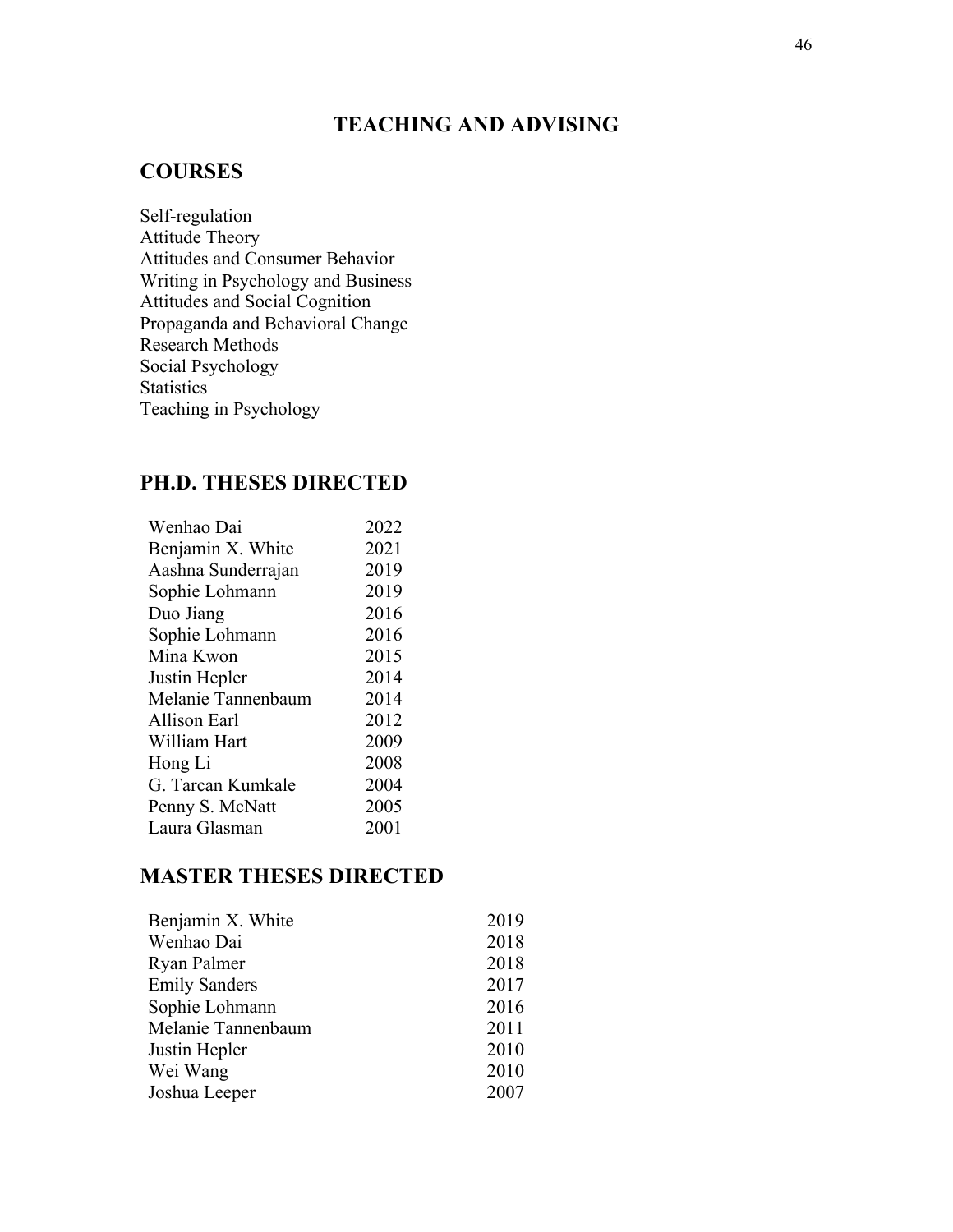# **TEACHING AND ADVISING**

#### **COURSES**

Self-regulation Attitude Theory Attitudes and Consumer Behavior Writing in Psychology and Business Attitudes and Social Cognition Propaganda and Behavioral Change Research Methods Social Psychology **Statistics** Teaching in Psychology

# **PH.D. THESES DIRECTED**

| Wenhao Dai         | 2022 |
|--------------------|------|
| Benjamin X. White  | 2021 |
| Aashna Sunderrajan | 2019 |
| Sophie Lohmann     | 2019 |
| Duo Jiang          | 2016 |
| Sophie Lohmann     | 2016 |
| Mina Kwon          | 2015 |
| Justin Hepler      | 2014 |
| Melanie Tannenbaum | 2014 |
| Allison Earl       | 2012 |
| William Hart       | 2009 |
| Hong Li            | 2008 |
| G. Tarcan Kumkale  | 2004 |
| Penny S. McNatt    | 2005 |
| Laura Glasman      | 2001 |

# **MASTER THESES DIRECTED**

| Benjamin X. White    | 2019 |
|----------------------|------|
| Wenhao Dai           | 2018 |
| Ryan Palmer          | 2018 |
| <b>Emily Sanders</b> | 2017 |
| Sophie Lohmann       | 2016 |
| Melanie Tannenbaum   | 2011 |
| Justin Hepler        | 2010 |
| Wei Wang             | 2010 |
| Joshua Leeper        | 2007 |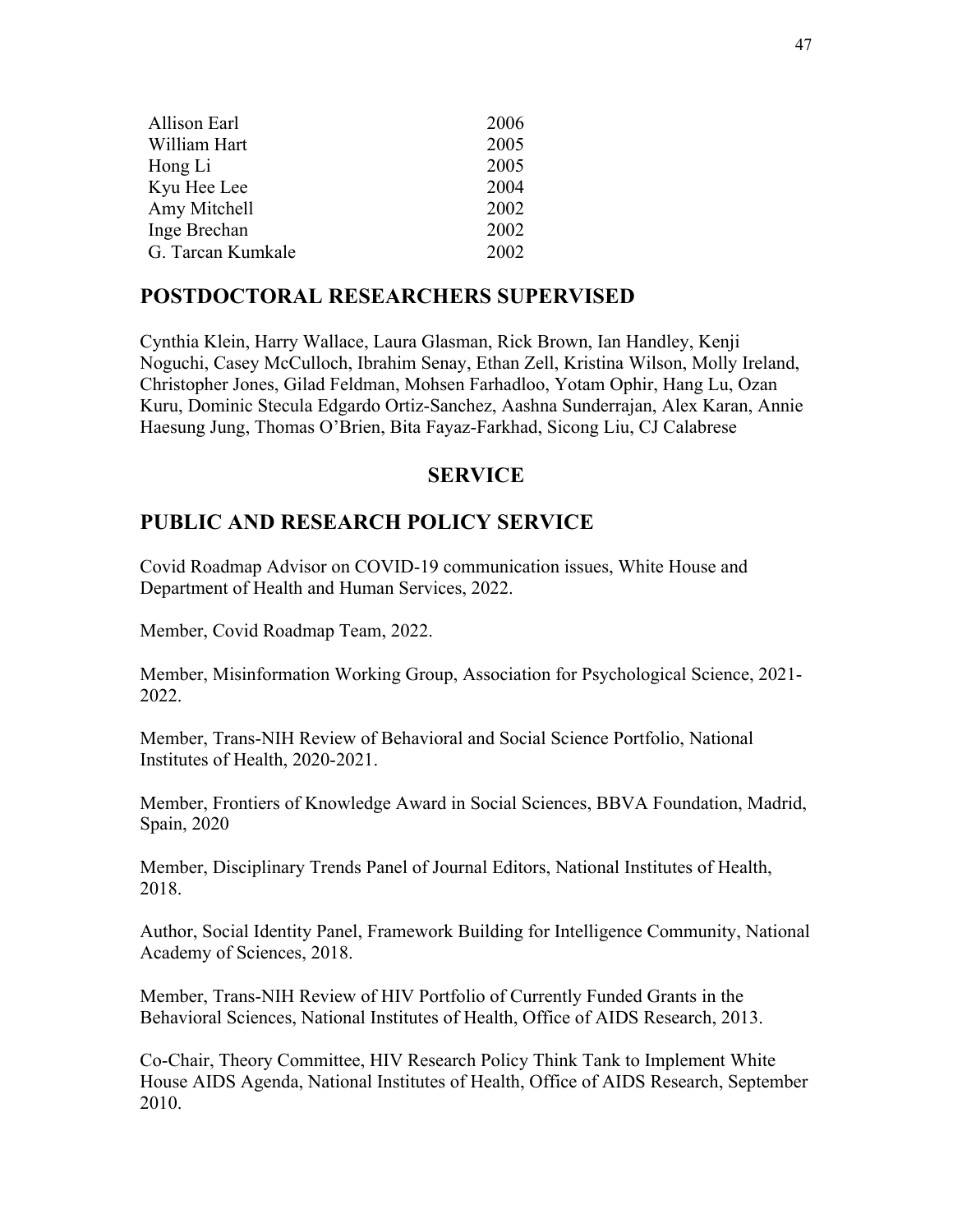| 2006 |
|------|
| 2005 |
| 2005 |
| 2004 |
| 2002 |
| 2002 |
| 2002 |
|      |

#### **POSTDOCTORAL RESEARCHERS SUPERVISED**

Cynthia Klein, Harry Wallace, Laura Glasman, Rick Brown, Ian Handley, Kenji Noguchi, Casey McCulloch, Ibrahim Senay, Ethan Zell, Kristina Wilson, Molly Ireland, Christopher Jones, Gilad Feldman, Mohsen Farhadloo, Yotam Ophir, Hang Lu, Ozan Kuru, Dominic Stecula Edgardo Ortiz-Sanchez, Aashna Sunderrajan, Alex Karan, Annie Haesung Jung, Thomas O'Brien, Bita Fayaz-Farkhad, Sicong Liu, CJ Calabrese

#### **SERVICE**

### **PUBLIC AND RESEARCH POLICY SERVICE**

Covid Roadmap Advisor on COVID-19 communication issues, White House and Department of Health and Human Services, 2022.

Member, Covid Roadmap Team, 2022.

Member, Misinformation Working Group, Association for Psychological Science, 2021- 2022.

Member, Trans-NIH Review of Behavioral and Social Science Portfolio, National Institutes of Health, 2020-2021.

Member, Frontiers of Knowledge Award in Social Sciences, BBVA Foundation, Madrid, Spain, 2020

Member, Disciplinary Trends Panel of Journal Editors, National Institutes of Health, 2018.

Author, Social Identity Panel, Framework Building for Intelligence Community, National Academy of Sciences, 2018.

Member, Trans-NIH Review of HIV Portfolio of Currently Funded Grants in the Behavioral Sciences, National Institutes of Health, Office of AIDS Research, 2013.

Co-Chair, Theory Committee, HIV Research Policy Think Tank to Implement White House AIDS Agenda, National Institutes of Health, Office of AIDS Research, September 2010.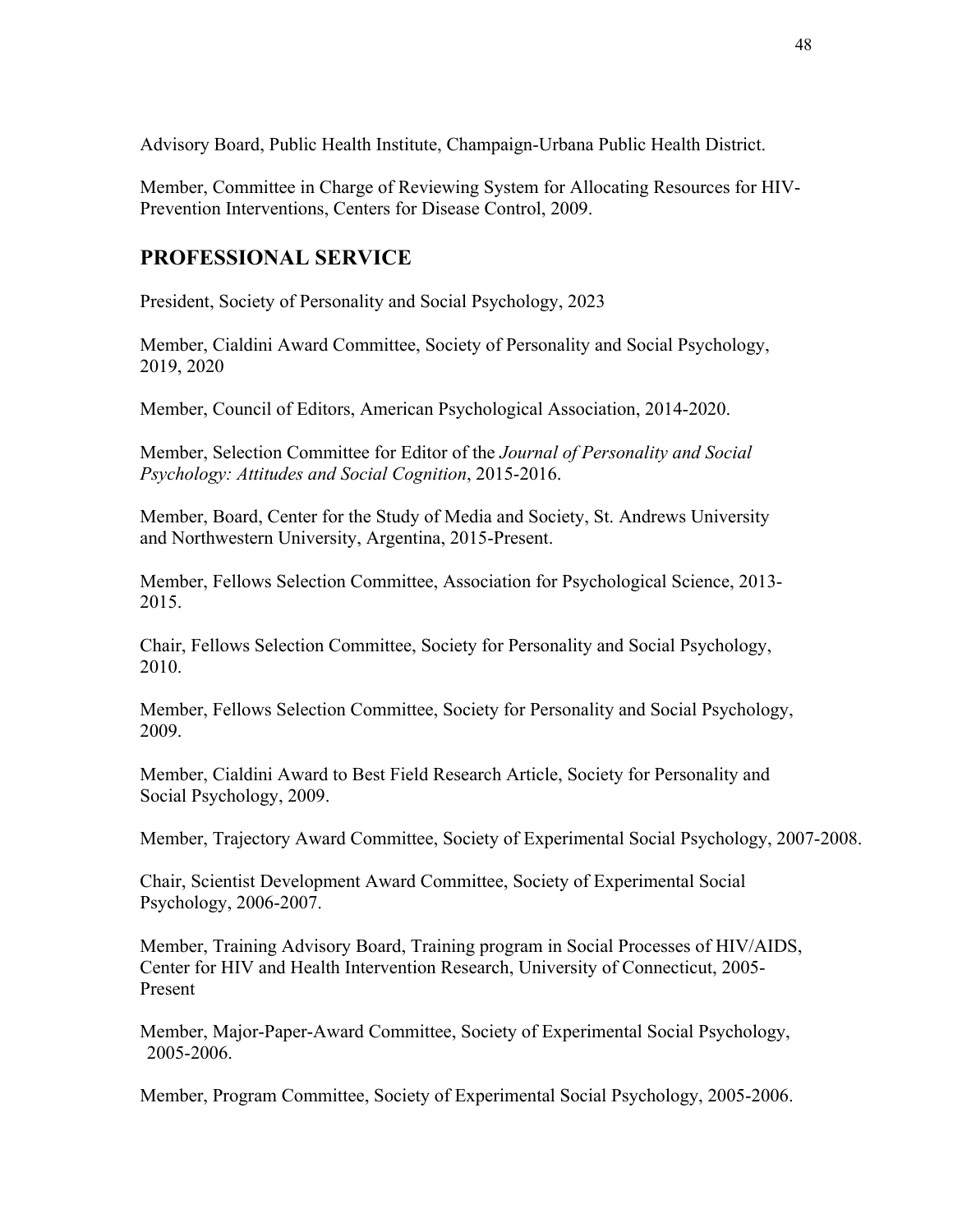Advisory Board, Public Health Institute, Champaign-Urbana Public Health District.

Member, Committee in Charge of Reviewing System for Allocating Resources for HIV-Prevention Interventions, Centers for Disease Control, 2009.

# **PROFESSIONAL SERVICE**

President, Society of Personality and Social Psychology, 2023

Member, Cialdini Award Committee, Society of Personality and Social Psychology, 2019, 2020

Member, Council of Editors, American Psychological Association, 2014-2020.

Member, Selection Committee for Editor of the *Journal of Personality and Social Psychology: Attitudes and Social Cognition*, 2015-2016.

Member, Board, Center for the Study of Media and Society, St. Andrews University and Northwestern University, Argentina, 2015-Present.

Member, Fellows Selection Committee, Association for Psychological Science, 2013- 2015.

Chair, Fellows Selection Committee, Society for Personality and Social Psychology, 2010.

Member, Fellows Selection Committee, Society for Personality and Social Psychology, 2009.

Member, Cialdini Award to Best Field Research Article, Society for Personality and Social Psychology, 2009.

Member, Trajectory Award Committee, Society of Experimental Social Psychology, 2007-2008.

Chair, Scientist Development Award Committee, Society of Experimental Social Psychology, 2006-2007.

Member, Training Advisory Board, Training program in Social Processes of HIV/AIDS, Center for HIV and Health Intervention Research, University of Connecticut, 2005- Present

Member, Major-Paper-Award Committee, Society of Experimental Social Psychology, 2005-2006.

Member, Program Committee, Society of Experimental Social Psychology, 2005-2006.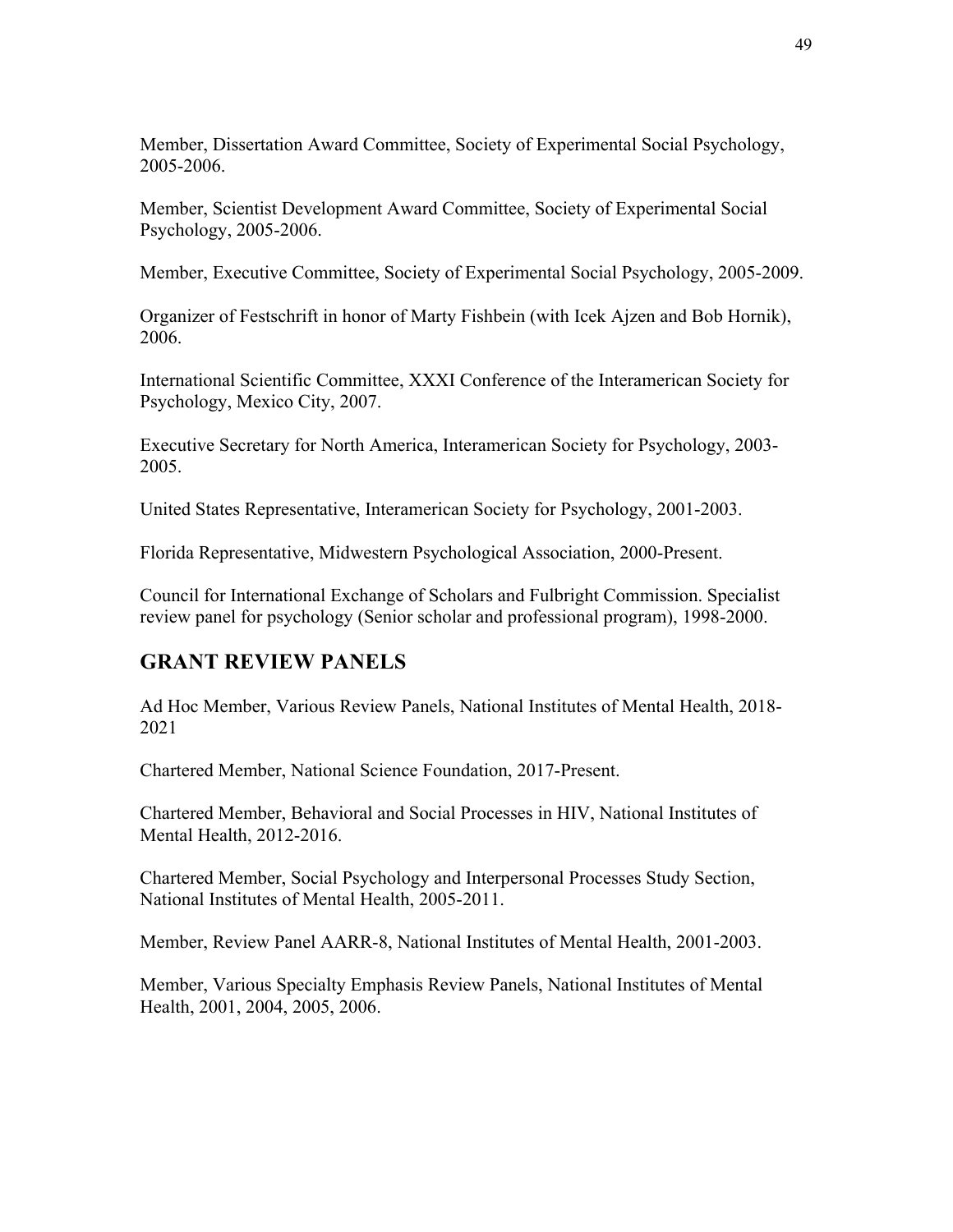Member, Dissertation Award Committee, Society of Experimental Social Psychology, 2005-2006.

Member, Scientist Development Award Committee, Society of Experimental Social Psychology, 2005-2006.

Member, Executive Committee, Society of Experimental Social Psychology, 2005-2009.

Organizer of Festschrift in honor of Marty Fishbein (with Icek Ajzen and Bob Hornik), 2006.

International Scientific Committee, XXXI Conference of the Interamerican Society for Psychology, Mexico City, 2007.

Executive Secretary for North America, Interamerican Society for Psychology, 2003- 2005.

United States Representative, Interamerican Society for Psychology, 2001-2003.

Florida Representative, Midwestern Psychological Association, 2000-Present.

Council for International Exchange of Scholars and Fulbright Commission. Specialist review panel for psychology (Senior scholar and professional program), 1998-2000.

# **GRANT REVIEW PANELS**

Ad Hoc Member, Various Review Panels, National Institutes of Mental Health, 2018- 2021

Chartered Member, National Science Foundation, 2017-Present.

Chartered Member, Behavioral and Social Processes in HIV, National Institutes of Mental Health, 2012-2016.

Chartered Member, Social Psychology and Interpersonal Processes Study Section, National Institutes of Mental Health, 2005-2011.

Member, Review Panel AARR-8, National Institutes of Mental Health, 2001-2003.

Member, Various Specialty Emphasis Review Panels, National Institutes of Mental Health, 2001, 2004, 2005, 2006.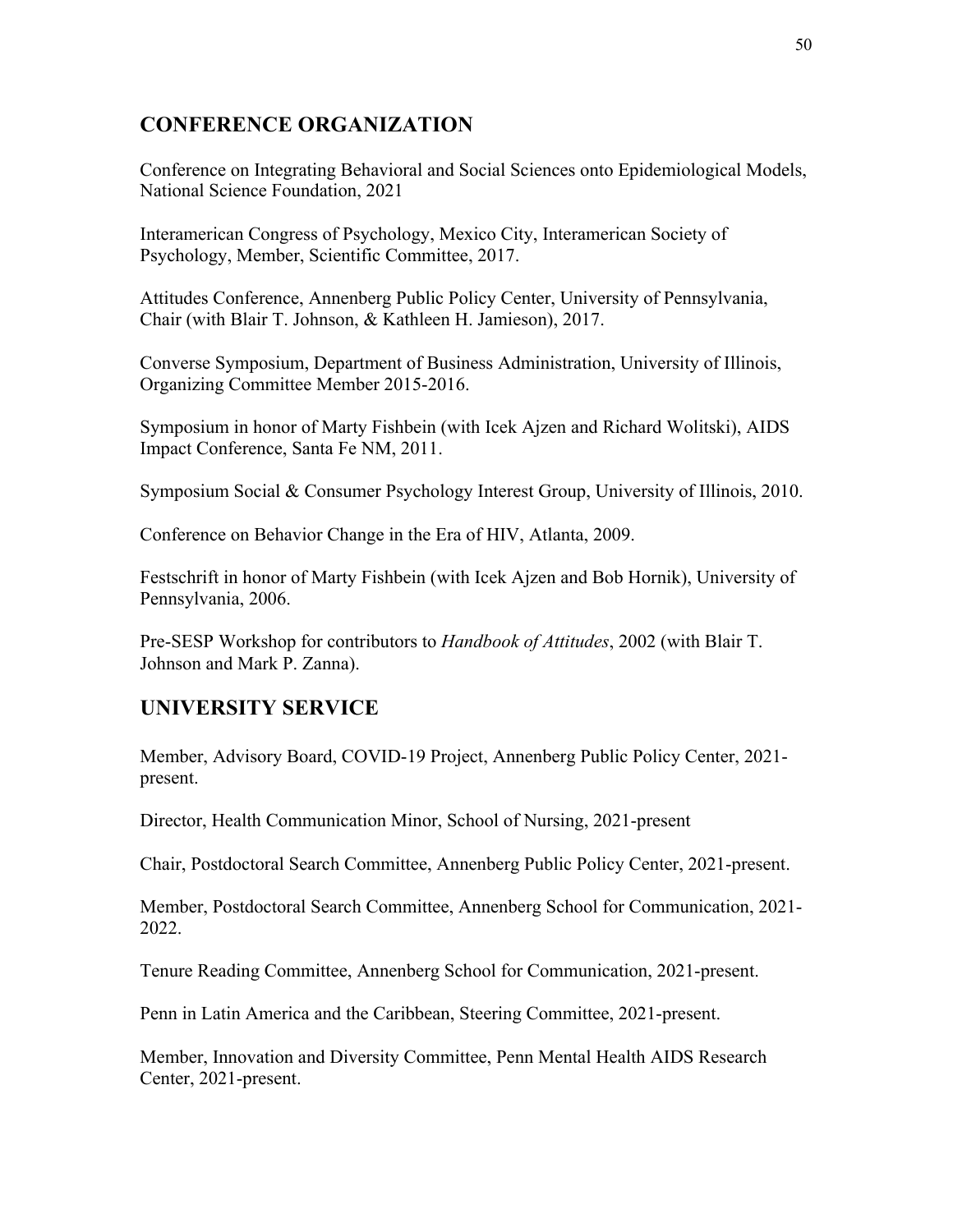# **CONFERENCE ORGANIZATION**

Conference on Integrating Behavioral and Social Sciences onto Epidemiological Models, National Science Foundation, 2021

Interamerican Congress of Psychology, Mexico City, Interamerican Society of Psychology, Member, Scientific Committee, 2017.

Attitudes Conference, Annenberg Public Policy Center, University of Pennsylvania, Chair (with Blair T. Johnson, & Kathleen H. Jamieson), 2017.

Converse Symposium, Department of Business Administration, University of Illinois, Organizing Committee Member 2015-2016.

Symposium in honor of Marty Fishbein (with Icek Ajzen and Richard Wolitski), AIDS Impact Conference, Santa Fe NM, 2011.

Symposium Social & Consumer Psychology Interest Group, University of Illinois, 2010.

Conference on Behavior Change in the Era of HIV, Atlanta, 2009.

Festschrift in honor of Marty Fishbein (with Icek Ajzen and Bob Hornik), University of Pennsylvania, 2006.

Pre-SESP Workshop for contributors to *Handbook of Attitudes*, 2002 (with Blair T. Johnson and Mark P. Zanna).

# **UNIVERSITY SERVICE**

Member, Advisory Board, COVID-19 Project, Annenberg Public Policy Center, 2021 present.

Director, Health Communication Minor, School of Nursing, 2021-present

Chair, Postdoctoral Search Committee, Annenberg Public Policy Center, 2021-present.

Member, Postdoctoral Search Committee, Annenberg School for Communication, 2021- 2022.

Tenure Reading Committee, Annenberg School for Communication, 2021-present.

Penn in Latin America and the Caribbean, Steering Committee, 2021-present.

Member, Innovation and Diversity Committee, Penn Mental Health AIDS Research Center, 2021-present.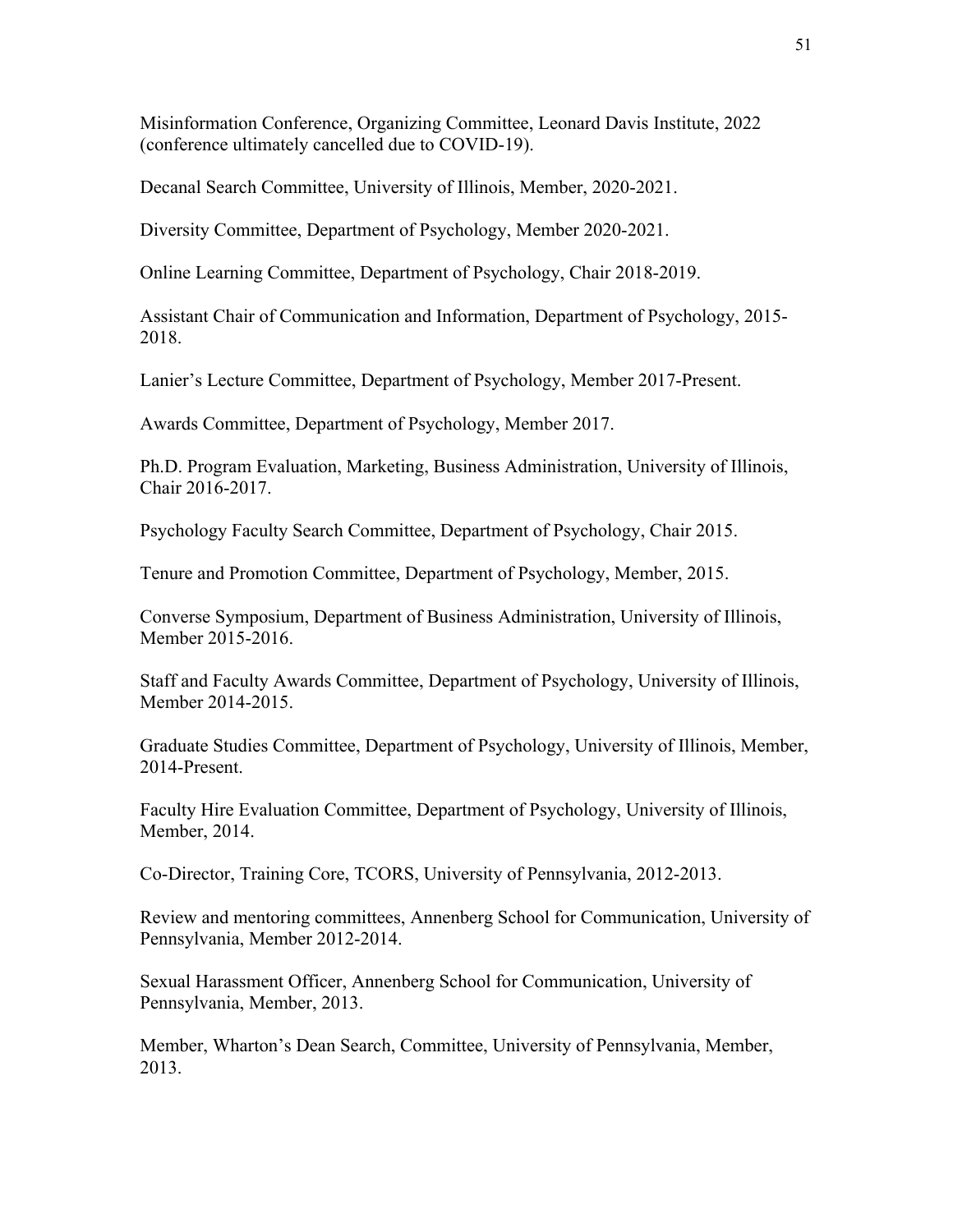Misinformation Conference, Organizing Committee, Leonard Davis Institute, 2022 (conference ultimately cancelled due to COVID-19).

Decanal Search Committee, University of Illinois, Member, 2020-2021.

Diversity Committee, Department of Psychology, Member 2020-2021.

Online Learning Committee, Department of Psychology, Chair 2018-2019.

Assistant Chair of Communication and Information, Department of Psychology, 2015- 2018.

Lanier's Lecture Committee, Department of Psychology, Member 2017-Present.

Awards Committee, Department of Psychology, Member 2017.

Ph.D. Program Evaluation, Marketing, Business Administration, University of Illinois, Chair 2016-2017.

Psychology Faculty Search Committee, Department of Psychology, Chair 2015.

Tenure and Promotion Committee, Department of Psychology, Member, 2015.

Converse Symposium, Department of Business Administration, University of Illinois, Member 2015-2016.

Staff and Faculty Awards Committee, Department of Psychology, University of Illinois, Member 2014-2015.

Graduate Studies Committee, Department of Psychology, University of Illinois, Member, 2014-Present.

Faculty Hire Evaluation Committee, Department of Psychology, University of Illinois, Member, 2014.

Co-Director, Training Core, TCORS, University of Pennsylvania, 2012-2013.

Review and mentoring committees, Annenberg School for Communication, University of Pennsylvania, Member 2012-2014.

Sexual Harassment Officer, Annenberg School for Communication, University of Pennsylvania, Member, 2013.

Member, Wharton's Dean Search, Committee, University of Pennsylvania, Member, 2013.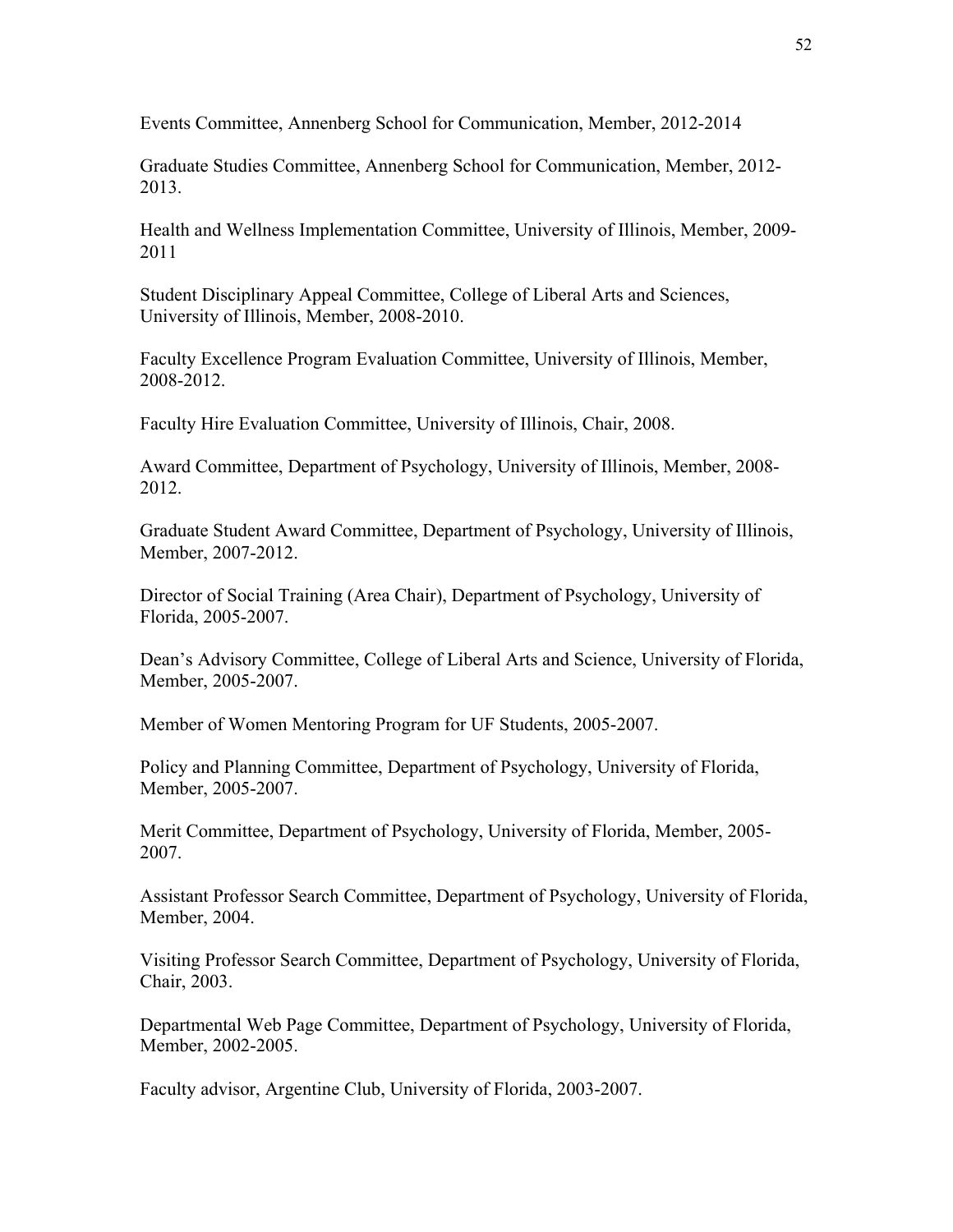Events Committee, Annenberg School for Communication, Member, 2012-2014

Graduate Studies Committee, Annenberg School for Communication, Member, 2012- 2013.

Health and Wellness Implementation Committee, University of Illinois, Member, 2009- 2011

Student Disciplinary Appeal Committee, College of Liberal Arts and Sciences, University of Illinois, Member, 2008-2010.

Faculty Excellence Program Evaluation Committee, University of Illinois, Member, 2008-2012.

Faculty Hire Evaluation Committee, University of Illinois, Chair, 2008.

Award Committee, Department of Psychology, University of Illinois, Member, 2008- 2012.

Graduate Student Award Committee, Department of Psychology, University of Illinois, Member, 2007-2012.

Director of Social Training (Area Chair), Department of Psychology, University of Florida, 2005-2007.

Dean's Advisory Committee, College of Liberal Arts and Science, University of Florida, Member, 2005-2007.

Member of Women Mentoring Program for UF Students, 2005-2007.

Policy and Planning Committee, Department of Psychology, University of Florida, Member, 2005-2007.

Merit Committee, Department of Psychology, University of Florida, Member, 2005- 2007.

Assistant Professor Search Committee, Department of Psychology, University of Florida, Member, 2004.

Visiting Professor Search Committee, Department of Psychology, University of Florida, Chair, 2003.

Departmental Web Page Committee, Department of Psychology, University of Florida, Member, 2002-2005.

Faculty advisor, Argentine Club, University of Florida, 2003-2007.